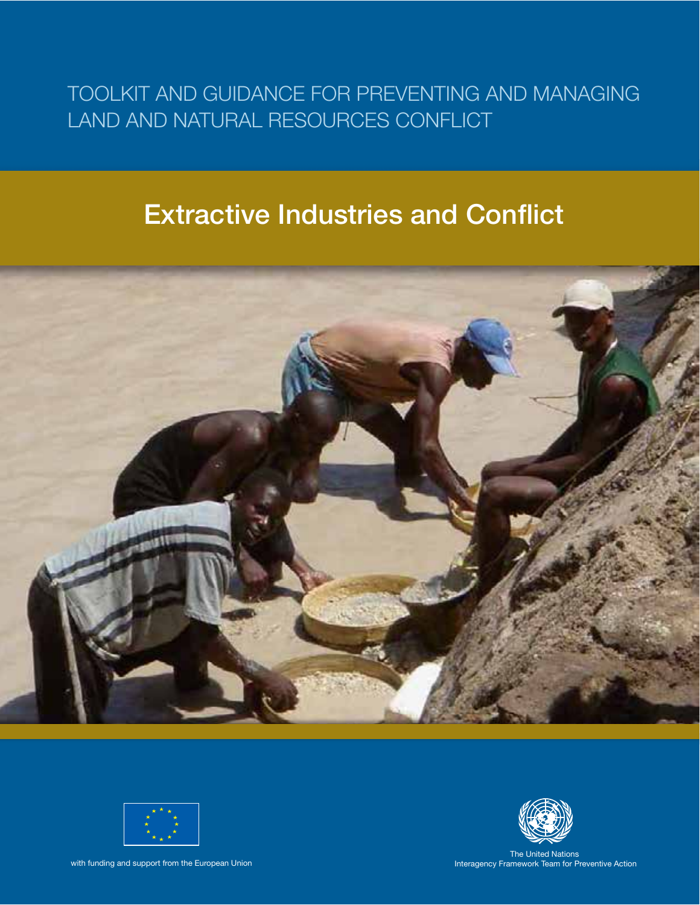# TOOLKIT AND GUIDANCE FOR PREVENTING AND MANAGING LAND AND NATURAL RESOURCES CONFLICT

# **Extractive Industries and Conflict**





with funding and support from the European Union



The United Nations Interagency Framework Team for Preventive Action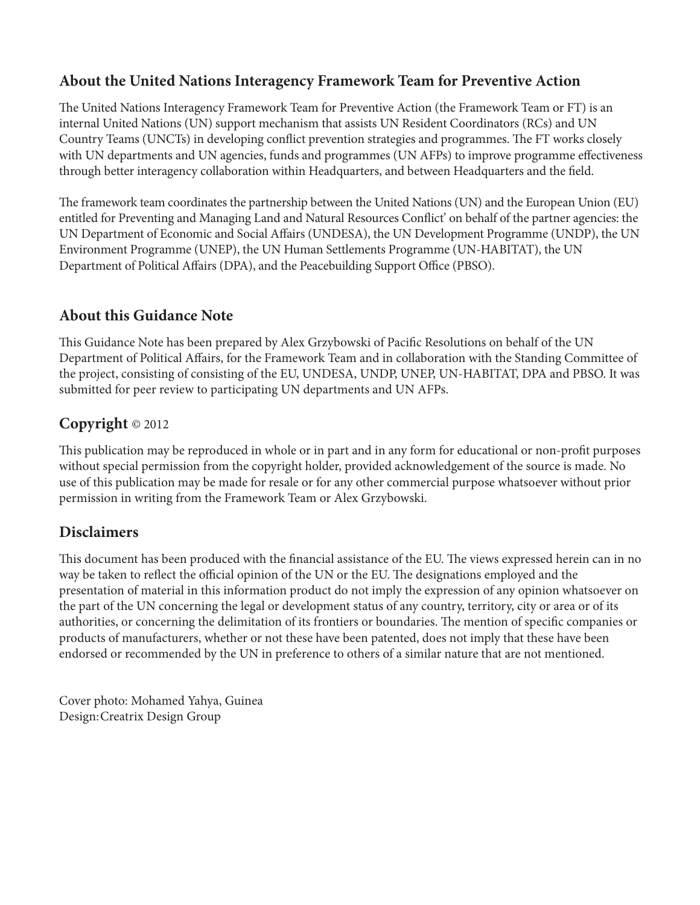# **About the United Nations Interagency Framework Team for Preventive Action**

The United Nations Interagency Framework Team for Preventive Action (the Framework Team or FT) is an internal United Nations (UN) support mechanism that assists UN Resident Coordinators (RCs) and UN Country Teams (UNCTs) in developing conflict prevention strategies and programmes. The FT works closely with UN departments and UN agencies, funds and programmes (UN AFPs) to improve programme effectiveness through better interagency collaboration within Headquarters, and between Headquarters and the field.

The framework team coordinates the partnership between the United Nations (UN) and the European Union (EU) entitled for Preventing and Managing Land and Natural Resources Conflict' on behalf of the partner agencies: the UN Department of Economic and Social Affairs (UNDESA), the UN Development Programme (UNDP), the UN Environment Programme (UNEP), the UN Human Settlements Programme (UN-HABITAT), the UN Department of Political Affairs (DPA), and the Peacebuilding Support Office (PBSO).

# **About this Guidance Note**

This Guidance Note has been prepared by Alex Grzybowski of Pacific Resolutions on behalf of the UN Department of Political Affairs, for the Framework Team and in collaboration with the Standing Committee of the project, consisting of consisting of the EU, UNDESA, UNDP, UNEP, UN-HABITAT, DPA and PBSO. It was submitted for peer review to participating UN departments and UN AFPs.

# **Copyright** © 2012

This publication may be reproduced in whole or in part and in any form for educational or non-profit purposes without special permission from the copyright holder, provided acknowledgement of the source is made. No use of this publication may be made for resale or for any other commercial purpose whatsoever without prior permission in writing from the Framework Team or Alex Grzybowski.

# **Disclaimers**

This document has been produced with the financial assistance of the EU. The views expressed herein can in no way be taken to reflect the official opinion of the UN or the EU. The designations employed and the presentation of material in this information product do not imply the expression of any opinion whatsoever on the part of the UN concerning the legal or development status of any country, territory, city or area or of its authorities, or concerning the delimitation of its frontiers or boundaries. The mention of specific companies or products of manufacturers, whether or not these have been patented, does not imply that these have been endorsed or recommended by the UN in preference to others of a similar nature that are not mentioned.

Cover photo: Mohamed Yahya, Guinea Design: Creatrix Design Group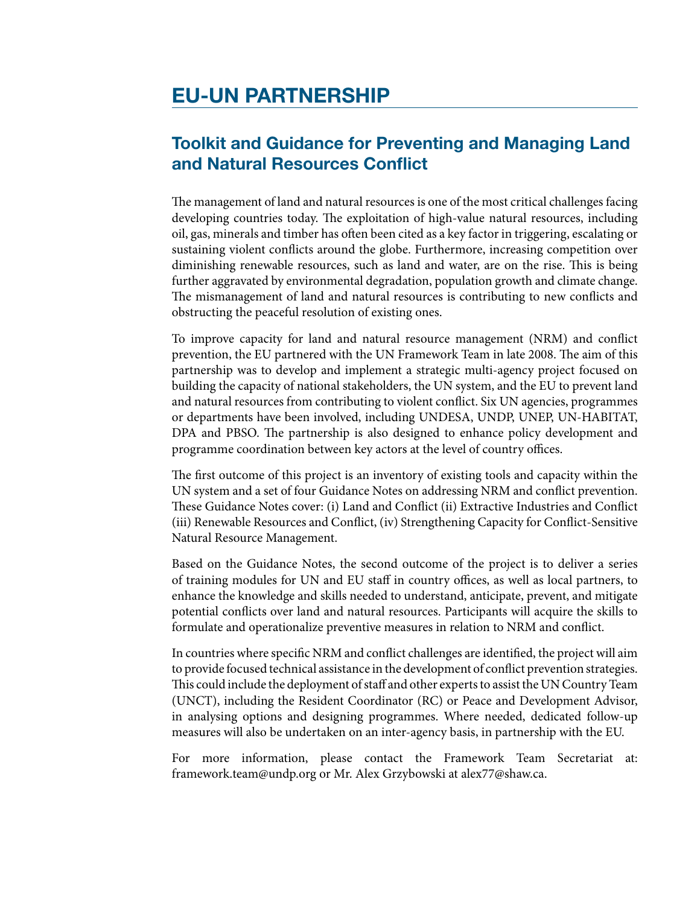# **EU-UN PARTNERSHIP**

# **Toolkit and Guidance for Preventing and Managing Land and Natural Resources Conflict**

The management of land and natural resources is one of the most critical challenges facing developing countries today. The exploitation of high-value natural resources, including oil, gas, minerals and timber has often been cited as a key factorin triggering, escalating or sustaining violent conflicts around the globe. Furthermore, increasing competition over diminishing renewable resources, such as land and water, are on the rise. This is being further aggravated by environmental degradation, population growth and climate change. The mismanagement of land and natural resources is contributing to new conflicts and obstructing the peaceful resolution of existing ones.

To improve capacity for land and natural resource management (NRM) and conflict prevention, the EU partnered with the UN Framework Team in late 2008. The aim of this partnership was to develop and implement a strategic multi-agency project focused on building the capacity of national stakeholders, the UN system, and the EU to prevent land and natural resources from contributing to violent conflict. Six UN agencies, programmes or departments have been involved, including UNDESA, UNDP, UNEP, UN-HABITAT, DPA and PBSO. The partnership is also designed to enhance policy development and programme coordination between key actors at the level of country offices.

The first outcome of this project is an inventory of existing tools and capacity within the UN system and a set of four Guidance Notes on addressing NRM and conflict prevention. These Guidance Notes cover: (i) Land and Conflict (ii) Extractive Industries and Conflict (iii) Renewable Resources and Conflict, (iv) Strengthening Capacity for Conflict-Sensitive Natural Resource Management.

Based on the Guidance Notes, the second outcome of the project is to deliver a series of training modules for UN and EU staff in country offices, as well as local partners, to enhance the knowledge and skills needed to understand, anticipate, prevent, and mitigate potential conflicts over land and natural resources. Participants will acquire the skills to formulate and operationalize preventive measures in relation to NRM and conflict.

In countries where specific NRM and conflict challenges are identified, the project will aim to provide focused technical assistance in the development of conflict prevention strategies. This could include the deployment of staff and other experts to assist the UN Country Team (UNCT), including the Resident Coordinator (RC) or Peace and Development Advisor, in analysing options and designing programmes. Where needed, dedicated follow-up measures will also be undertaken on an inter-agency basis, in partnership with the EU.

For more information, please contact the Framework Team Secretariat at: framework.team@undp.org or Mr. Alex Grzybowski at alex77@shaw.ca.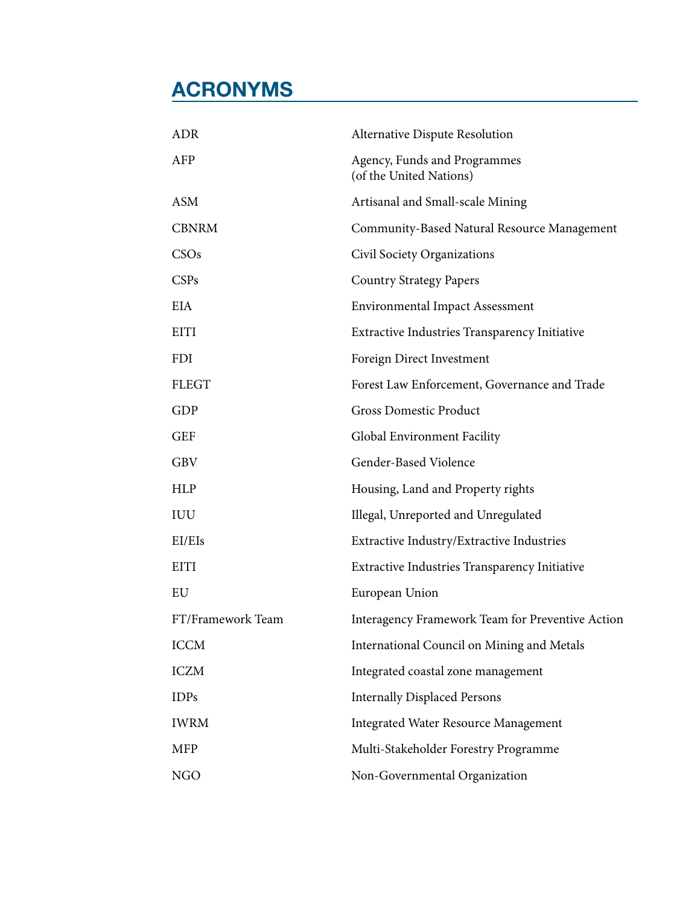# **ACRONYMS**

| <b>ADR</b>        | <b>Alternative Dispute Resolution</b>                   |
|-------------------|---------------------------------------------------------|
| AFP               | Agency, Funds and Programmes<br>(of the United Nations) |
| <b>ASM</b>        | Artisanal and Small-scale Mining                        |
| <b>CBNRM</b>      | Community-Based Natural Resource Management             |
| CSOs              | Civil Society Organizations                             |
| CSPs              | <b>Country Strategy Papers</b>                          |
| <b>EIA</b>        | <b>Environmental Impact Assessment</b>                  |
| <b>EITI</b>       | Extractive Industries Transparency Initiative           |
| FDI               | Foreign Direct Investment                               |
| <b>FLEGT</b>      | Forest Law Enforcement, Governance and Trade            |
| <b>GDP</b>        | <b>Gross Domestic Product</b>                           |
| <b>GEF</b>        | Global Environment Facility                             |
| <b>GBV</b>        | Gender-Based Violence                                   |
| <b>HLP</b>        | Housing, Land and Property rights                       |
| IUU               | Illegal, Unreported and Unregulated                     |
| EI/EIs            | Extractive Industry/Extractive Industries               |
| EITI              | <b>Extractive Industries Transparency Initiative</b>    |
| EU                | European Union                                          |
| FT/Framework Team | Interagency Framework Team for Preventive Action        |
| <b>ICCM</b>       | International Council on Mining and Metals              |
| <b>ICZM</b>       | Integrated coastal zone management                      |
| <b>IDPs</b>       | <b>Internally Displaced Persons</b>                     |
| <b>IWRM</b>       | <b>Integrated Water Resource Management</b>             |
| MFP               | Multi-Stakeholder Forestry Programme                    |
| <b>NGO</b>        | Non-Governmental Organization                           |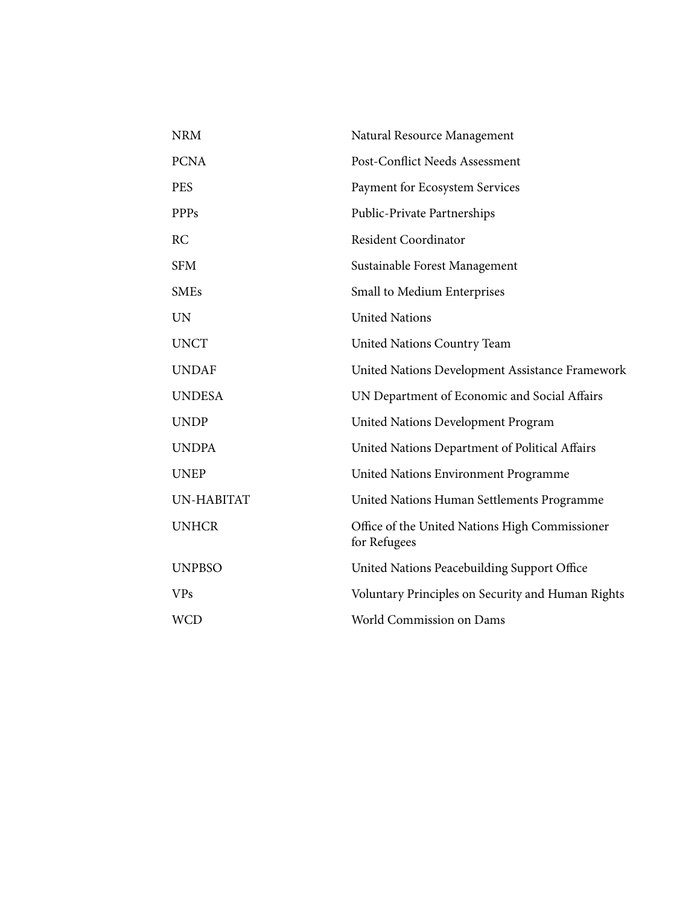| <b>NRM</b>    | Natural Resource Management                                    |
|---------------|----------------------------------------------------------------|
| <b>PCNA</b>   | Post-Conflict Needs Assessment                                 |
| <b>PES</b>    | Payment for Ecosystem Services                                 |
| <b>PPPs</b>   | Public-Private Partnerships                                    |
| RC            | <b>Resident Coordinator</b>                                    |
| <b>SFM</b>    | Sustainable Forest Management                                  |
| <b>SMEs</b>   | Small to Medium Enterprises                                    |
| <b>UN</b>     | <b>United Nations</b>                                          |
| <b>UNCT</b>   | <b>United Nations Country Team</b>                             |
| <b>UNDAF</b>  | United Nations Development Assistance Framework                |
| <b>UNDESA</b> | UN Department of Economic and Social Affairs                   |
| <b>UNDP</b>   | <b>United Nations Development Program</b>                      |
| <b>UNDPA</b>  | United Nations Department of Political Affairs                 |
| <b>UNEP</b>   | United Nations Environment Programme                           |
| UN-HABITAT    | United Nations Human Settlements Programme                     |
| <b>UNHCR</b>  | Office of the United Nations High Commissioner<br>for Refugees |
| <b>UNPBSO</b> | United Nations Peacebuilding Support Office                    |
| <b>VPs</b>    | Voluntary Principles on Security and Human Rights              |
| <b>WCD</b>    | World Commission on Dams                                       |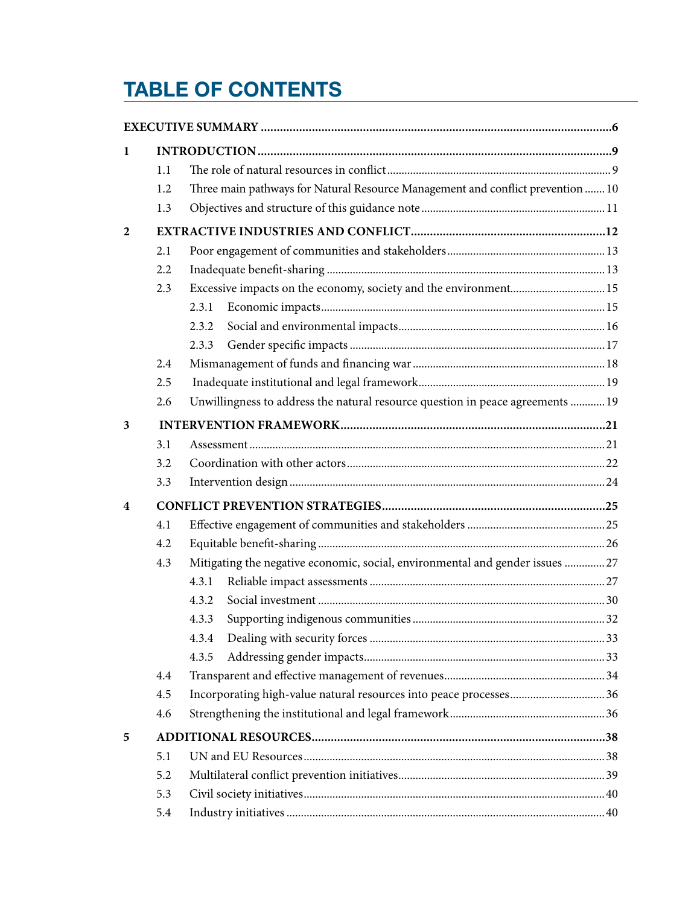# **TABLE OF CONTENTS**

| 1              |     |                                                                                 |  |
|----------------|-----|---------------------------------------------------------------------------------|--|
|                | 1.1 |                                                                                 |  |
|                | 1.2 | Three main pathways for Natural Resource Management and conflict prevention  10 |  |
|                | 1.3 |                                                                                 |  |
| $\overline{2}$ |     |                                                                                 |  |
|                | 2.1 |                                                                                 |  |
|                | 2.2 |                                                                                 |  |
|                | 2.3 | Excessive impacts on the economy, society and the environment 15                |  |
|                |     | 2.3.1                                                                           |  |
|                |     | 2.3.2                                                                           |  |
|                |     | 2.3.3                                                                           |  |
|                | 2.4 |                                                                                 |  |
|                | 2.5 |                                                                                 |  |
|                | 2.6 | Unwillingness to address the natural resource question in peace agreements  19  |  |
| 3              |     |                                                                                 |  |
|                | 3.1 |                                                                                 |  |
|                | 3.2 |                                                                                 |  |
|                | 3.3 |                                                                                 |  |
| 4              |     |                                                                                 |  |
|                | 4.1 |                                                                                 |  |
|                | 4.2 |                                                                                 |  |
|                | 4.3 | Mitigating the negative economic, social, environmental and gender issues 27    |  |
|                |     | 4.3.1                                                                           |  |
|                |     | 4.3.2                                                                           |  |
|                |     | 4.3.3                                                                           |  |
|                |     | 4.3.4                                                                           |  |
|                |     | 4.3.5                                                                           |  |
|                | 4.4 |                                                                                 |  |
|                | 4.5 |                                                                                 |  |
|                | 4.6 |                                                                                 |  |
| 5              |     |                                                                                 |  |
|                | 5.1 |                                                                                 |  |
|                | 5.2 |                                                                                 |  |
|                | 5.3 |                                                                                 |  |
|                | 5.4 |                                                                                 |  |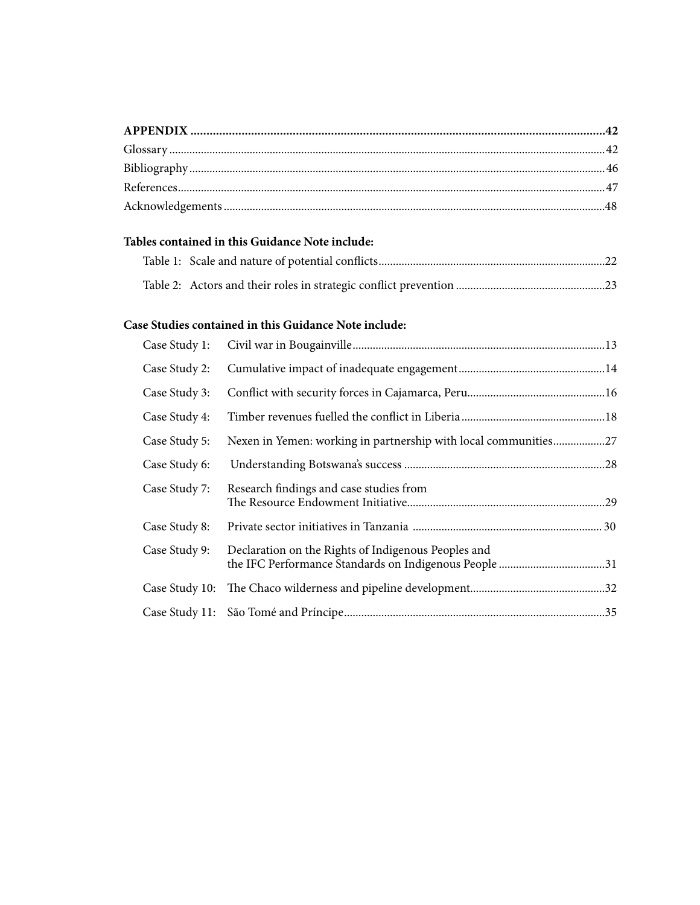|                | Tables contained in this Guidance Note include:                 |  |
|----------------|-----------------------------------------------------------------|--|
|                |                                                                 |  |
|                |                                                                 |  |
|                | Case Studies contained in this Guidance Note include:           |  |
| Case Study 1:  |                                                                 |  |
| Case Study 2:  |                                                                 |  |
| Case Study 3:  |                                                                 |  |
| Case Study 4:  |                                                                 |  |
| Case Study 5:  | Nexen in Yemen: working in partnership with local communities27 |  |
| Case Study 6:  |                                                                 |  |
| Case Study 7:  | Research findings and case studies from                         |  |
| Case Study 8:  |                                                                 |  |
| Case Study 9:  | Declaration on the Rights of Indigenous Peoples and             |  |
| Case Study 10: |                                                                 |  |
| Case Study 11: |                                                                 |  |
|                |                                                                 |  |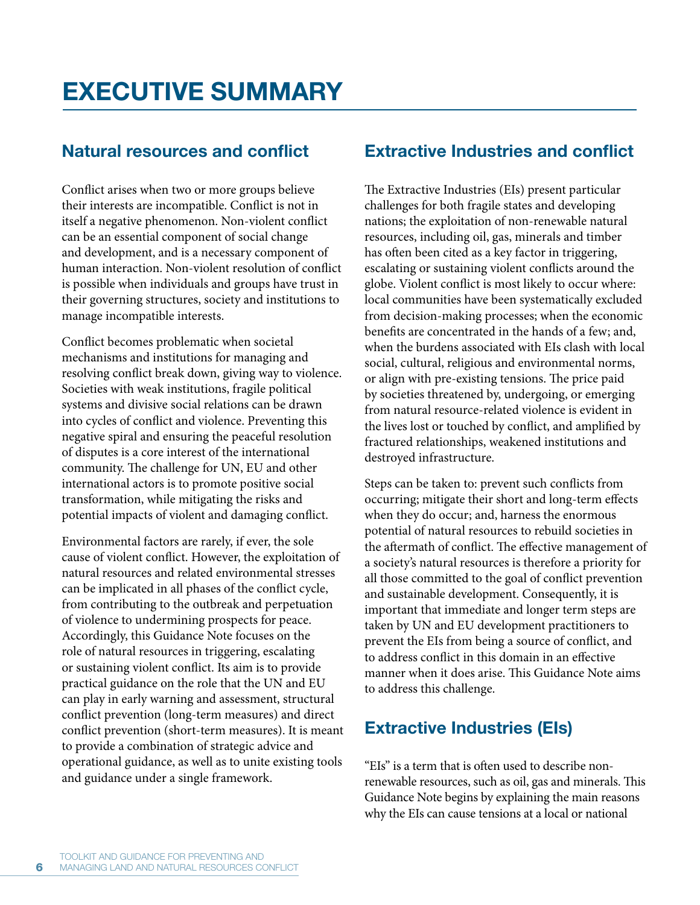# **Natural resources and conflict**

Conflict arises when two or more groups believe their interests are incompatible. Conflict is not in itself a negative phenomenon. Non-violent conflict can be an essential component of social change and development, and is a necessary component of human interaction. Non-violent resolution of conflict is possible when individuals and groups have trust in their governing structures, society and institutions to manage incompatible interests.

Conflict becomes problematic when societal mechanisms and institutions for managing and resolving conflict break down, giving way to violence. Societies with weak institutions, fragile political systems and divisive social relations can be drawn into cycles of conflict and violence. Preventing this negative spiral and ensuring the peaceful resolution of disputes is a core interest of the international community. The challenge for UN, EU and other international actors is to promote positive social transformation, while mitigating the risks and potential impacts of violent and damaging conflict.

Environmental factors are rarely, if ever, the sole cause of violent conflict. However, the exploitation of natural resources and related environmental stresses can be implicated in all phases of the conflict cycle, from contributing to the outbreak and perpetuation of violence to undermining prospects for peace. Accordingly, this Guidance Note focuses on the role of natural resources in triggering, escalating or sustaining violent conflict. Its aim is to provide practical guidance on the role that the UN and EU can play in early warning and assessment, structural conflict prevention (long-term measures) and direct conflict prevention (short-term measures). It is meant to provide a combination of strategic advice and operational guidance, as well as to unite existing tools and guidance under a single framework.

# **Extractive Industries and conflict**

The Extractive Industries (EIs) present particular challenges for both fragile states and developing nations; the exploitation of non-renewable natural resources, including oil, gas, minerals and timber has often been cited as a key factor in triggering, escalating or sustaining violent conflicts around the globe. Violent conflict is most likely to occur where: local communities have been systematically excluded from decision-making processes; when the economic benefits are concentrated in the hands of a few; and, when the burdens associated with EIs clash with local social, cultural, religious and environmental norms, or align with pre-existing tensions. The price paid by societies threatened by, undergoing, or emerging from natural resource-related violence is evident in the lives lost or touched by conflict, and amplified by fractured relationships, weakened institutions and destroyed infrastructure.

Steps can be taken to: prevent such conflicts from occurring; mitigate their short and long-term effects when they do occur; and, harness the enormous potential of natural resources to rebuild societies in the aftermath of conflict. The effective management of a society's natural resources is therefore a priority for all those committed to the goal of conflict prevention and sustainable development. Consequently, it is important that immediate and longer term steps are taken by UN and EU development practitioners to prevent the EIs from being a source of conflict, and to address conflict in this domain in an effective manner when it does arise. This Guidance Note aims to address this challenge.

# **Extractive Industries (EIs)**

"EIs" is a term that is often used to describe nonrenewable resources, such as oil, gas and minerals. This Guidance Note begins by explaining the main reasons why the EIs can cause tensions at a local or national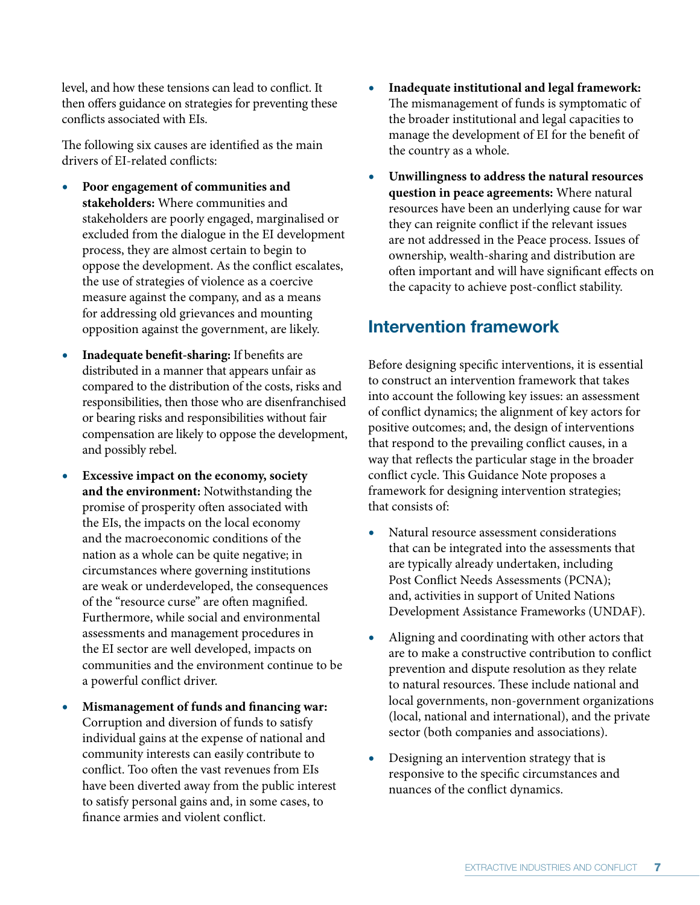level, and how these tensions can lead to conflict. It then offers guidance on strategies for preventing these conflicts associated with EIs.

The following six causes are identified as the main drivers of EI-related conflicts:

- **r Poor engagement of communities and stakeholders:** Where communities and stakeholders are poorly engaged, marginalised or excluded from the dialogue in the EI development process, they are almost certain to begin to oppose the development. As the conflict escalates, the use of strategies of violence as a coercive measure against the company, and as a means for addressing old grievances and mounting opposition against the government, are likely.
- **r Inadequate benefit-sharing:** If benefits are distributed in a manner that appears unfair as compared to the distribution of the costs, risks and responsibilities, then those who are disenfranchised or bearing risks and responsibilities without fair compensation are likely to oppose the development, and possibly rebel.
- **r Excessive impact on the economy, society and the environment:** Notwithstanding the promise of prosperity often associated with the EIs, the impacts on the local economy and the macroeconomic conditions of the nation as a whole can be quite negative; in circumstances where governing institutions are weak or underdeveloped, the consequences of the "resource curse" are often magnified. Furthermore, while social and environmental assessments and management procedures in the EI sector are well developed, impacts on communities and the environment continue to be a powerful conflict driver.
- **r Mismanagement of funds and financing war:** Corruption and diversion of funds to satisfy individual gains at the expense of national and community interests can easily contribute to conflict. Too often the vast revenues from EIs have been diverted away from the public interest to satisfy personal gains and, in some cases, to finance armies and violent conflict.
- **r Inadequate institutional and legal framework:**  The mismanagement of funds is symptomatic of the broader institutional and legal capacities to manage the development of EI for the benefit of the country as a whole.
- **r Unwillingness to address the natural resources question in peace agreements:** Where natural resources have been an underlying cause for war they can reignite conflict if the relevant issues are not addressed in the Peace process. Issues of ownership, wealth-sharing and distribution are often important and will have significant effects on the capacity to achieve post-conflict stability.

# **Intervention framework**

Before designing specific interventions, it is essential to construct an intervention framework that takes into account the following key issues: an assessment of conflict dynamics; the alignment of key actors for positive outcomes; and, the design of interventions that respond to the prevailing conflict causes, in a way that reflects the particular stage in the broader conflict cycle. This Guidance Note proposes a framework for designing intervention strategies; that consists of:

- **r** Natural resource assessment considerations that can be integrated into the assessments that are typically already undertaken, including Post Conflict Needs Assessments (PCNA); and, activities in support of United Nations Development Assistance Frameworks (UNDAF).
- **r** Aligning and coordinating with other actors that are to make a constructive contribution to conflict prevention and dispute resolution as they relate to natural resources. These include national and local governments, non-government organizations (local, national and international), and the private sector (both companies and associations).
- Designing an intervention strategy that is responsive to the specific circumstances and nuances of the conflict dynamics.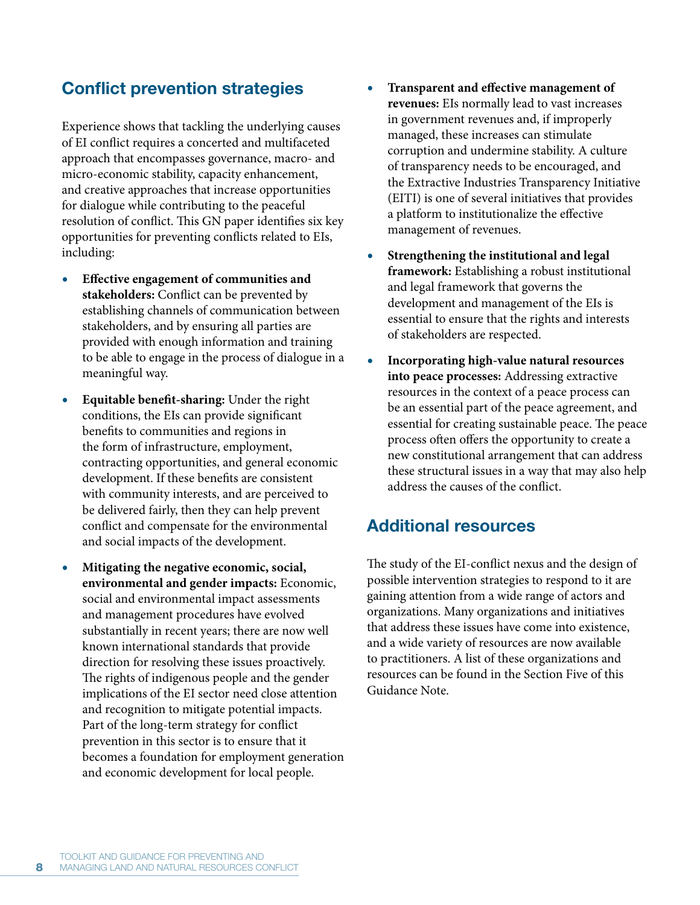# **Conflict prevention strategies**

Experience shows that tackling the underlying causes of EI conflict requires a concerted and multifaceted approach that encompasses governance, macro- and micro-economic stability, capacity enhancement, and creative approaches that increase opportunities for dialogue while contributing to the peaceful resolution of conflict. This GN paper identifies six key opportunities for preventing conflicts related to EIs, including:

- **r Effective engagement of communities and stakeholders:** Conflict can be prevented by establishing channels of communication between stakeholders, and by ensuring all parties are provided with enough information and training to be able to engage in the process of dialogue in a meaningful way.
- **r Equitable benefit-sharing:** Under the right conditions, the EIs can provide significant benefits to communities and regions in the form of infrastructure, employment, contracting opportunities, and general economic development. If these benefits are consistent with community interests, and are perceived to be delivered fairly, then they can help prevent conflict and compensate for the environmental and social impacts of the development.
- **r Mitigating the negative economic, social, environmental and gender impacts:** Economic, social and environmental impact assessments and management procedures have evolved substantially in recent years; there are now well known international standards that provide direction for resolving these issues proactively. The rights of indigenous people and the gender implications of the EI sector need close attention and recognition to mitigate potential impacts. Part of the long-term strategy for conflict prevention in this sector is to ensure that it becomes a foundation for employment generation and economic development for local people.
- **r Transparent and effective management of revenues:** EIs normally lead to vast increases in government revenues and, if improperly managed, these increases can stimulate corruption and undermine stability. A culture of transparency needs to be encouraged, and the Extractive Industries Transparency Initiative (EITI) is one of several initiatives that provides a platform to institutionalize the effective management of revenues.
- **r Strengthening the institutional and legal framework:** Establishing a robust institutional and legal framework that governs the development and management of the EIs is essential to ensure that the rights and interests of stakeholders are respected.
- **r Incorporating high-value natural resources into peace processes:** Addressing extractive resources in the context of a peace process can be an essential part of the peace agreement, and essential for creating sustainable peace. The peace process often offers the opportunity to create a new constitutional arrangement that can address these structural issues in a way that may also help address the causes of the conflict.

# **Additional resources**

The study of the EI-conflict nexus and the design of possible intervention strategies to respond to it are gaining attention from a wide range of actors and organizations. Many organizations and initiatives that address these issues have come into existence, and a wide variety of resources are now available to practitioners. A list of these organizations and resources can be found in the Section Five of this Guidance Note.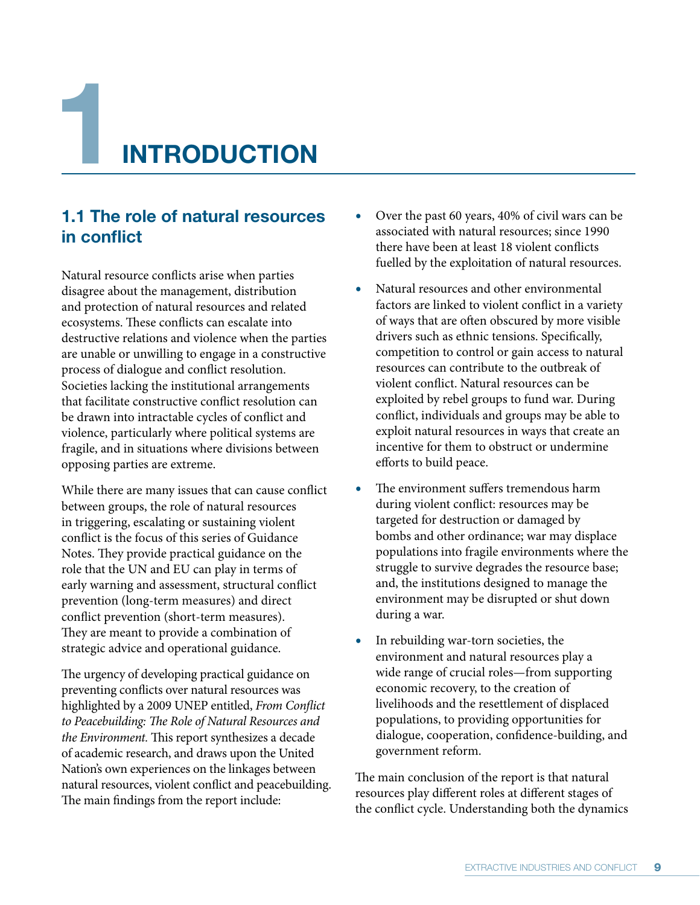**1INTRODUCTION**

# **1.1 The role of natural resources in conflict**

Natural resource conflicts arise when parties disagree about the management, distribution and protection of natural resources and related ecosystems. These conflicts can escalate into destructive relations and violence when the parties are unable or unwilling to engage in a constructive process of dialogue and conflict resolution. Societies lacking the institutional arrangements that facilitate constructive conflict resolution can be drawn into intractable cycles of conflict and violence, particularly where political systems are fragile, and in situations where divisions between opposing parties are extreme.

While there are many issues that can cause conflict between groups, the role of natural resources in triggering, escalating or sustaining violent conflict is the focus of this series of Guidance Notes. They provide practical guidance on the role that the UN and EU can play in terms of early warning and assessment, structural conflict prevention (long-term measures) and direct conflict prevention (short-term measures). They are meant to provide a combination of strategic advice and operational guidance.

The urgency of developing practical guidance on preventing conflicts over natural resources was highlighted by a 2009 UNEP entitled, *From Conflict to Peacebuilding: The Role of Natural Resources and the Environment.* This report synthesizes a decade of academic research, and draws upon the United Nation's own experiences on the linkages between natural resources, violent conflict and peacebuilding. The main findings from the report include:

- Over the past 60 years, 40% of civil wars can be associated with natural resources; since 1990 there have been at least 18 violent conflicts fuelled by the exploitation of natural resources.
- **r** Natural resources and other environmental factors are linked to violent conflict in a variety of ways that are often obscured by more visible drivers such as ethnic tensions. Specifically, competition to control or gain access to natural resources can contribute to the outbreak of violent conflict. Natural resources can be exploited by rebel groups to fund war. During conflict, individuals and groups may be able to exploit natural resources in ways that create an incentive for them to obstruct or undermine efforts to build peace.
- **r** The environment suffers tremendous harm during violent conflict: resources may be targeted for destruction or damaged by bombs and other ordinance; war may displace populations into fragile environments where the struggle to survive degrades the resource base; and, the institutions designed to manage the environment may be disrupted or shut down during a war.
- In rebuilding war-torn societies, the environment and natural resources play a wide range of crucial roles—from supporting economic recovery, to the creation of livelihoods and the resettlement of displaced populations, to providing opportunities for dialogue, cooperation, confidence-building, and government reform.

The main conclusion of the report is that natural resources play different roles at different stages of the conflict cycle. Understanding both the dynamics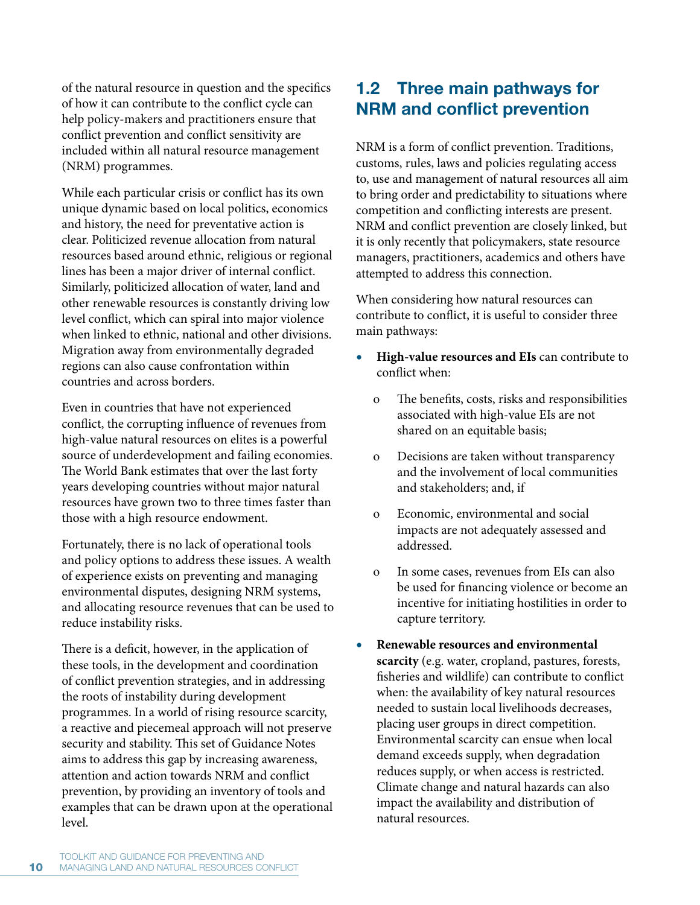of the natural resource in question and the specifics of how it can contribute to the conflict cycle can help policy-makers and practitioners ensure that conflict prevention and conflict sensitivity are included within all natural resource management (NRM) programmes.

While each particular crisis or conflict has its own unique dynamic based on local politics, economics and history, the need for preventative action is clear. Politicized revenue allocation from natural resources based around ethnic, religious or regional lines has been a major driver of internal conflict. Similarly, politicized allocation of water, land and other renewable resources is constantly driving low level conflict, which can spiral into major violence when linked to ethnic, national and other divisions. Migration away from environmentally degraded regions can also cause confrontation within countries and across borders.

Even in countries that have not experienced conflict, the corrupting influence of revenues from high-value natural resources on elites is a powerful source of underdevelopment and failing economies. The World Bank estimates that over the last forty years developing countries without major natural resources have grown two to three times faster than those with a high resource endowment.

Fortunately, there is no lack of operational tools and policy options to address these issues. A wealth of experience exists on preventing and managing environmental disputes, designing NRM systems, and allocating resource revenues that can be used to reduce instability risks.

There is a deficit, however, in the application of these tools, in the development and coordination of conflict prevention strategies, and in addressing the roots of instability during development programmes. In a world of rising resource scarcity, a reactive and piecemeal approach will not preserve security and stability. This set of Guidance Notes aims to address this gap by increasing awareness, attention and action towards NRM and conflict prevention, by providing an inventory of tools and examples that can be drawn upon at the operational level.

# **1.2 Three main pathways for NRM and conflict prevention**

NRM is a form of conflict prevention. Traditions, customs, rules, laws and policies regulating access to, use and management of natural resources all aim to bring order and predictability to situations where competition and conflicting interests are present. NRM and conflict prevention are closely linked, but it is only recently that policymakers, state resource managers, practitioners, academics and others have attempted to address this connection.

When considering how natural resources can contribute to conflict, it is useful to consider three main pathways:

- **r High-value resources and EIs** can contribute to conflict when:
	- o The benefits, costs, risks and responsibilities associated with high-value EIs are not shared on an equitable basis;
	- o Decisions are taken without transparency and the involvement of local communities and stakeholders; and, if
	- o Economic, environmental and social impacts are not adequately assessed and addressed.
	- o In some cases, revenues from EIs can also be used for financing violence or become an incentive for initiating hostilities in order to capture territory.
- **r Renewable resources and environmental scarcity** (e.g. water, cropland, pastures, forests, fisheries and wildlife) can contribute to conflict when: the availability of key natural resources needed to sustain local livelihoods decreases, placing user groups in direct competition. Environmental scarcity can ensue when local demand exceeds supply, when degradation reduces supply, or when access is restricted. Climate change and natural hazards can also impact the availability and distribution of natural resources.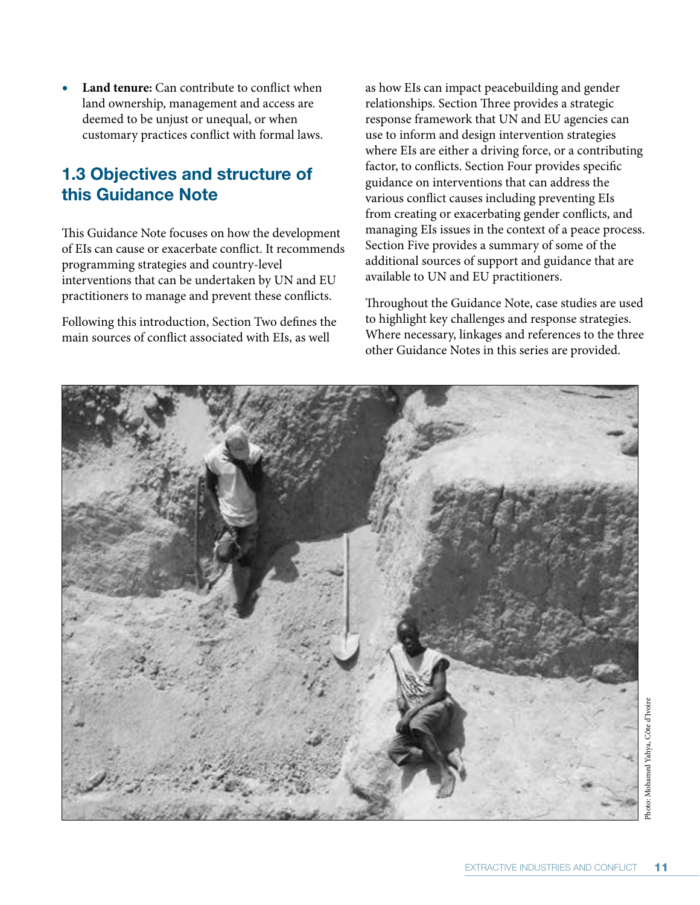**Land tenure:** Can contribute to conflict when land ownership, management and access are deemed to be unjust or unequal, or when customary practices conflict with formal laws.

# **1.3 Objectives and structure of this Guidance Note**

This Guidance Note focuses on how the development of EIs can cause or exacerbate conflict. It recommends programming strategies and country-level interventions that can be undertaken by UN and EU practitioners to manage and prevent these conflicts.

Following this introduction, Section Two defines the main sources of conflict associated with EIs, as well

as how EIs can impact peacebuilding and gender relationships. Section Three provides a strategic response framework that UN and EU agencies can use to inform and design intervention strategies where EIs are either a driving force, or a contributing factor, to conflicts. Section Four provides specific guidance on interventions that can address the various conflict causes including preventing EIs from creating or exacerbating gender conflicts, and managing EIs issues in the context of a peace process. Section Five provides a summary of some of the additional sources of support and guidance that are available to UN and EU practitioners.

Throughout the Guidance Note, case studies are used to highlight key challenges and response strategies. Where necessary, linkages and references to the three other Guidance Notes in this series are provided.

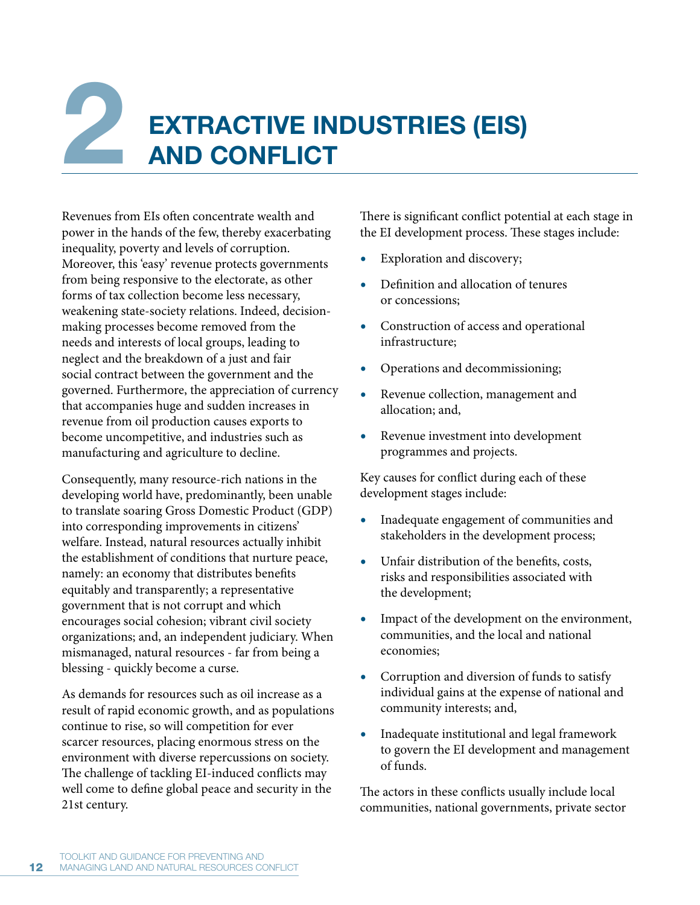# **22 EXTRACTIVE INDUSTRIES (EIS) AND CONFLICT**

Revenues from EIs often concentrate wealth and power in the hands of the few, thereby exacerbating inequality, poverty and levels of corruption. Moreover, this 'easy' revenue protects governments from being responsive to the electorate, as other forms of tax collection become less necessary, weakening state-society relations. Indeed, decisionmaking processes become removed from the needs and interests of local groups, leading to neglect and the breakdown of a just and fair social contract between the government and the governed. Furthermore, the appreciation of currency that accompanies huge and sudden increases in revenue from oil production causes exports to become uncompetitive, and industries such as manufacturing and agriculture to decline.

Consequently, many resource-rich nations in the developing world have, predominantly, been unable to translate soaring Gross Domestic Product (GDP) into corresponding improvements in citizens' welfare. Instead, natural resources actually inhibit the establishment of conditions that nurture peace, namely: an economy that distributes benefits equitably and transparently; a representative government that is not corrupt and which encourages social cohesion; vibrant civil society organizations; and, an independent judiciary. When mismanaged, natural resources - far from being a blessing - quickly become a curse.

As demands for resources such as oil increase as a result of rapid economic growth, and as populations continue to rise, so will competition for ever scarcer resources, placing enormous stress on the environment with diverse repercussions on society. The challenge of tackling EI-induced conflicts may well come to define global peace and security in the 21st century.

There is significant conflict potential at each stage in the EI development process. These stages include:

- **Exploration and discovery;**
- **r** Definition and allocation of tenures or concessions;
- **r** Construction of access and operational infrastructure;
- **r** Operations and decommissioning;
- **•** Revenue collection, management and allocation; and,
- **•** Revenue investment into development programmes and projects.

Key causes for conflict during each of these development stages include:

- **r** Inadequate engagement of communities and stakeholders in the development process;
- Unfair distribution of the benefits, costs, risks and responsibilities associated with the development;
- Impact of the development on the environment, communities, and the local and national economies;
- **r** Corruption and diversion of funds to satisfy individual gains at the expense of national and community interests; and,
- **r** Inadequate institutional and legal framework to govern the EI development and management of funds.

The actors in these conflicts usually include local communities, national governments, private sector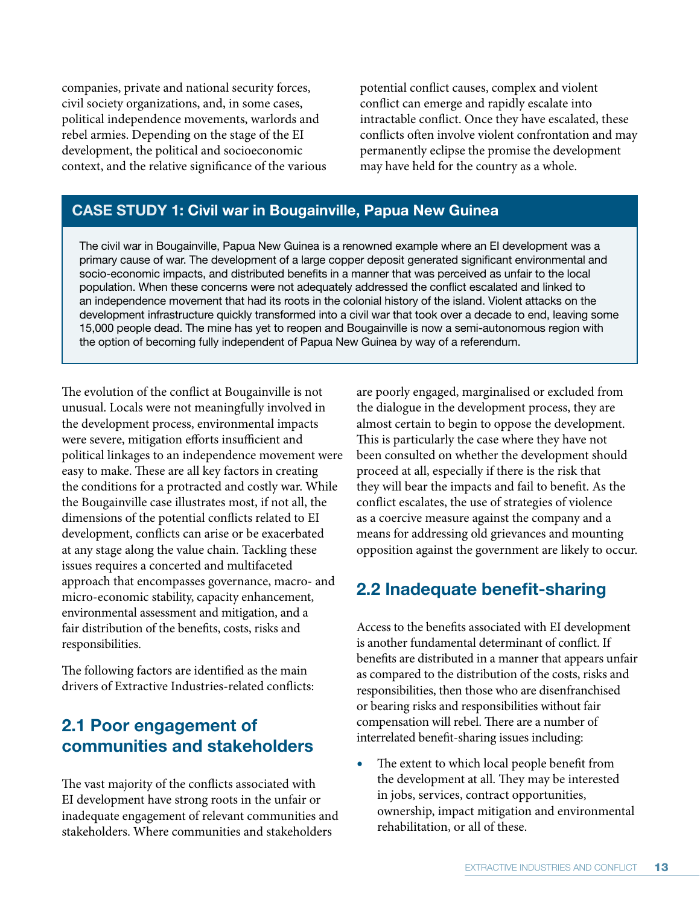companies, private and national security forces, civil society organizations, and, in some cases, political independence movements, warlords and rebel armies. Depending on the stage of the EI development, the political and socioeconomic context, and the relative significance of the various potential conflict causes, complex and violent conflict can emerge and rapidly escalate into intractable conflict. Once they have escalated, these conflicts often involve violent confrontation and may permanently eclipse the promise the development may have held for the country as a whole.

# **CASE STUDY 1: Civil war in Bougainville, Papua New Guinea**

The civil war in Bougainville, Papua New Guinea is a renowned example where an EI development was a primary cause of war. The development of a large copper deposit generated significant environmental and socio-economic impacts, and distributed benefits in a manner that was perceived as unfair to the local population. When these concerns were not adequately addressed the conflict escalated and linked to an independence movement that had its roots in the colonial history of the island. Violent attacks on the development infrastructure quickly transformed into a civil war that took over a decade to end, leaving some 15,000 people dead. The mine has yet to reopen and Bougainville is now a semi-autonomous region with the option of becoming fully independent of Papua New Guinea by way of a referendum.

The evolution of the conflict at Bougainville is not unusual. Locals were not meaningfully involved in the development process, environmental impacts were severe, mitigation efforts insufficient and political linkages to an independence movement were easy to make. These are all key factors in creating the conditions for a protracted and costly war. While the Bougainville case illustrates most, if not all, the dimensions of the potential conflicts related to EI development, conflicts can arise or be exacerbated at any stage along the value chain. Tackling these issues requires a concerted and multifaceted approach that encompasses governance, macro- and micro-economic stability, capacity enhancement, environmental assessment and mitigation, and a fair distribution of the benefits, costs, risks and responsibilities.

The following factors are identified as the main drivers of Extractive Industries-related conflicts:

# **2.1 Poor engagement of communities and stakeholders**

The vast majority of the conflicts associated with EI development have strong roots in the unfair or inadequate engagement of relevant communities and stakeholders. Where communities and stakeholders

are poorly engaged, marginalised or excluded from the dialogue in the development process, they are almost certain to begin to oppose the development. This is particularly the case where they have not been consulted on whether the development should proceed at all, especially if there is the risk that they will bear the impacts and fail to benefit. As the conflict escalates, the use of strategies of violence as a coercive measure against the company and a means for addressing old grievances and mounting opposition against the government are likely to occur.

# **2.2 Inadequate benefit-sharing**

Access to the benefits associated with EI development is another fundamental determinant of conflict. If benefits are distributed in a manner that appears unfair as compared to the distribution of the costs, risks and responsibilities, then those who are disenfranchised or bearing risks and responsibilities without fair compensation will rebel. There are a number of interrelated benefit-sharing issues including:

The extent to which local people benefit from the development at all. They may be interested in jobs, services, contract opportunities, ownership, impact mitigation and environmental rehabilitation, or all of these.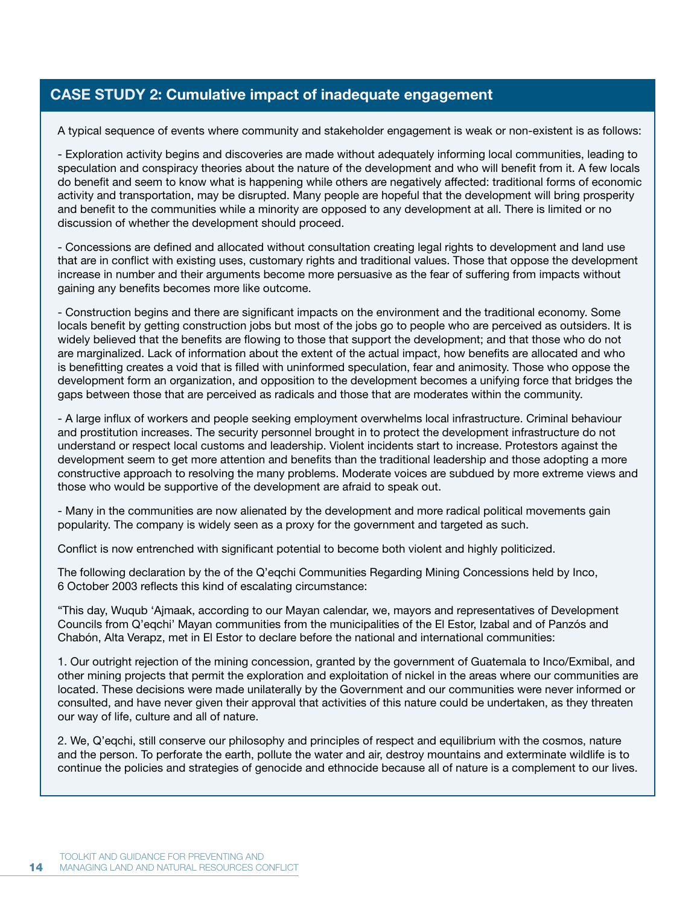# **CASE STUDY 2: Cumulative impact of inadequate engagement**

A typical sequence of events where community and stakeholder engagement is weak or non-existent is as follows:

- Exploration activity begins and discoveries are made without adequately informing local communities, leading to speculation and conspiracy theories about the nature of the development and who will benefit from it. A few locals do benefit and seem to know what is happening while others are negatively affected: traditional forms of economic activity and transportation, may be disrupted. Many people are hopeful that the development will bring prosperity and benefit to the communities while a minority are opposed to any development at all. There is limited or no discussion of whether the development should proceed.

- Concessions are defined and allocated without consultation creating legal rights to development and land use that are in conflict with existing uses, customary rights and traditional values. Those that oppose the development increase in number and their arguments become more persuasive as the fear of suffering from impacts without gaining any benefits becomes more like outcome.

- Construction begins and there are significant impacts on the environment and the traditional economy. Some locals benefit by getting construction jobs but most of the jobs go to people who are perceived as outsiders. It is widely believed that the benefits are flowing to those that support the development; and that those who do not are marginalized. Lack of information about the extent of the actual impact, how benefits are allocated and who is benefitting creates a void that is filled with uninformed speculation, fear and animosity. Those who oppose the development form an organization, and opposition to the development becomes a unifying force that bridges the gaps between those that are perceived as radicals and those that are moderates within the community.

- A large influx of workers and people seeking employment overwhelms local infrastructure. Criminal behaviour and prostitution increases. The security personnel brought in to protect the development infrastructure do not understand or respect local customs and leadership. Violent incidents start to increase. Protestors against the development seem to get more attention and benefits than the traditional leadership and those adopting a more constructive approach to resolving the many problems. Moderate voices are subdued by more extreme views and those who would be supportive of the development are afraid to speak out.

- Many in the communities are now alienated by the development and more radical political movements gain popularity. The company is widely seen as a proxy for the government and targeted as such.

Conflict is now entrenched with significant potential to become both violent and highly politicized.

The following declaration by the of the Q'eqchi Communities Regarding Mining Concessions held by Inco, 6 October 2003 reflects this kind of escalating circumstance:

"This day, Wuqub 'Ajmaak, according to our Mayan calendar, we, mayors and representatives of Development Councils from Q'eqchi' Mayan communities from the municipalities of the El Estor, Izabal and of Panzós and Chabón, Alta Verapz, met in El Estor to declare before the national and international communities:

1. Our outright rejection of the mining concession, granted by the government of Guatemala to Inco/Exmibal, and other mining projects that permit the exploration and exploitation of nickel in the areas where our communities are located. These decisions were made unilaterally by the Government and our communities were never informed or consulted, and have never given their approval that activities of this nature could be undertaken, as they threaten our way of life, culture and all of nature.

2. We, Q'eqchi, still conserve our philosophy and principles of respect and equilibrium with the cosmos, nature and the person. To perforate the earth, pollute the water and air, destroy mountains and exterminate wildlife is to continue the policies and strategies of genocide and ethnocide because all of nature is a complement to our lives.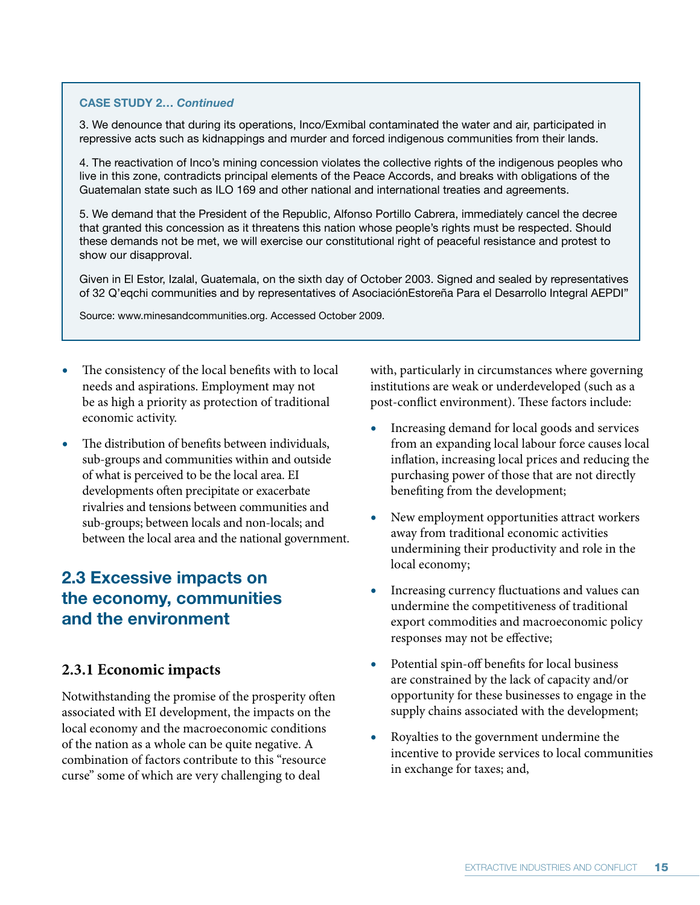### **CASE STUDY 2…** *Continued*

3. We denounce that during its operations, Inco/Exmibal contaminated the water and air, participated in repressive acts such as kidnappings and murder and forced indigenous communities from their lands.

4. The reactivation of Inco's mining concession violates the collective rights of the indigenous peoples who live in this zone, contradicts principal elements of the Peace Accords, and breaks with obligations of the Guatemalan state such as ILO 169 and other national and international treaties and agreements.

5. We demand that the President of the Republic, Alfonso Portillo Cabrera, immediately cancel the decree that granted this concession as it threatens this nation whose people's rights must be respected. Should these demands not be met, we will exercise our constitutional right of peaceful resistance and protest to show our disapproval.

Given in El Estor, Izalal, Guatemala, on the sixth day of October 2003. Signed and sealed by representatives of 32 Q'eqchi communities and by representatives of AsociaciónEstoreña Para el Desarrollo Integral AEPDI"

Source: www.minesandcommunities.org. Accessed October 2009.

- The consistency of the local benefits with to local needs and aspirations. Employment may not be as high a priority as protection of traditional economic activity.
- **r** The distribution of benefits between individuals, sub-groups and communities within and outside of what is perceived to be the local area. EI developments often precipitate or exacerbate rivalries and tensions between communities and sub-groups; between locals and non-locals; and between the local area and the national government.

# **2.3 Excessive impacts on the economy, communities and the environment**

# **2.3.1 Economic impacts**

Notwithstanding the promise of the prosperity often associated with EI development, the impacts on the local economy and the macroeconomic conditions of the nation as a whole can be quite negative. A combination of factors contribute to this "resource curse" some of which are very challenging to deal

with, particularly in circumstances where governing institutions are weak or underdeveloped (such as a post-conflict environment). These factors include:

- **r** Increasing demand for local goods and services from an expanding local labour force causes local inflation, increasing local prices and reducing the purchasing power of those that are not directly benefiting from the development;
- **r** New employment opportunities attract workers away from traditional economic activities undermining their productivity and role in the local economy;
- **r** Increasing currency fluctuations and values can undermine the competitiveness of traditional export commodities and macroeconomic policy responses may not be effective;
- Potential spin-off benefits for local business are constrained by the lack of capacity and/or opportunity for these businesses to engage in the supply chains associated with the development;
- **r** Royalties to the government undermine the incentive to provide services to local communities in exchange for taxes; and,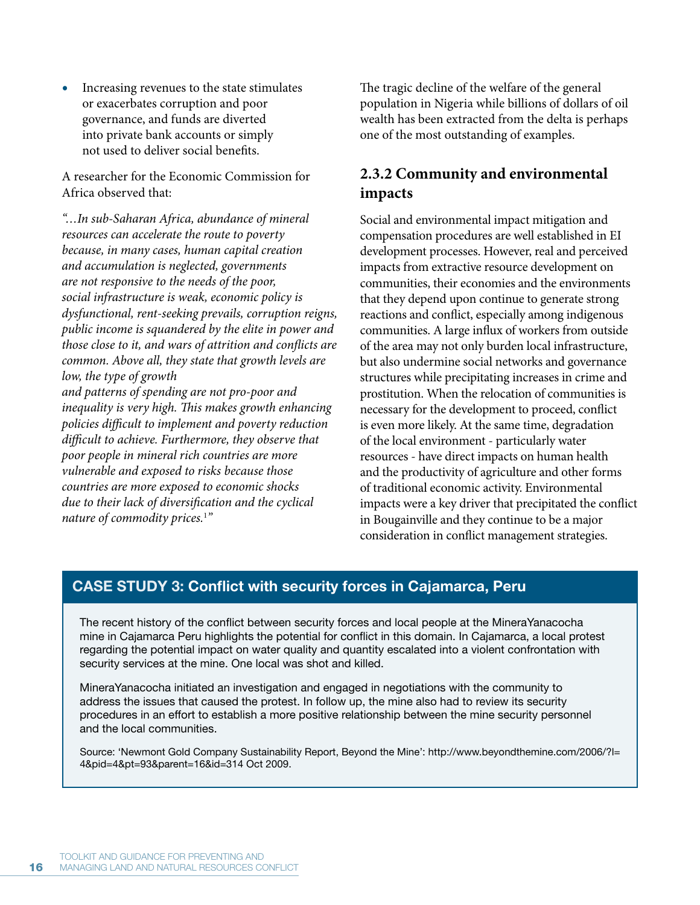**r** Increasing revenues to the state stimulates or exacerbates corruption and poor governance, and funds are diverted into private bank accounts or simply not used to deliver social benefits.

A researcher for the Economic Commission for Africa observed that:

*"…In sub-Saharan Africa, abundance of mineral resources can accelerate the route to poverty because, in many cases, human capital creation and accumulation is neglected, governments are not responsive to the needs of the poor, social infrastructure is weak, economic policy is dysfunctional, rent-seeking prevails, corruption reigns, public income is squandered by the elite in power and those close to it, and wars of attrition and conflicts are common. Above all, they state that growth levels are low, the type of growth* 

*and patterns of spending are not pro-poor and inequality is very high. This makes growth enhancing policies difficult to implement and poverty reduction difficult to achieve. Furthermore, they observe that poor people in mineral rich countries are more vulnerable and exposed to risks because those countries are more exposed to economic shocks due to their lack of diversification and the cyclical nature of commodity prices.*<sup>1</sup> *"*

The tragic decline of the welfare of the general population in Nigeria while billions of dollars of oil wealth has been extracted from the delta is perhaps one of the most outstanding of examples.

# **2.3.2 Community and environmental impacts**

Social and environmental impact mitigation and compensation procedures are well established in EI development processes. However, real and perceived impacts from extractive resource development on communities, their economies and the environments that they depend upon continue to generate strong reactions and conflict, especially among indigenous communities. A large influx of workers from outside of the area may not only burden local infrastructure, but also undermine social networks and governance structures while precipitating increases in crime and prostitution. When the relocation of communities is necessary for the development to proceed, conflict is even more likely. At the same time, degradation of the local environment - particularly water resources - have direct impacts on human health and the productivity of agriculture and other forms of traditional economic activity. Environmental impacts were a key driver that precipitated the conflict in Bougainville and they continue to be a major consideration in conflict management strategies.

# **CASE STUDY 3: Conflict with security forces in Cajamarca, Peru**

The recent history of the conflict between security forces and local people at the MineraYanacocha mine in Cajamarca Peru highlights the potential for conflict in this domain. In Cajamarca, a local protest regarding the potential impact on water quality and quantity escalated into a violent confrontation with security services at the mine. One local was shot and killed.

MineraYanacocha initiated an investigation and engaged in negotiations with the community to address the issues that caused the protest. In follow up, the mine also had to review its security procedures in an effort to establish a more positive relationship between the mine security personnel and the local communities.

Source: 'Newmont Gold Company Sustainability Report, Beyond the Mine': http://www.beyondthemine.com/2006/?l= 4&pid=4&pt=93&parent=16&id=314 Oct 2009.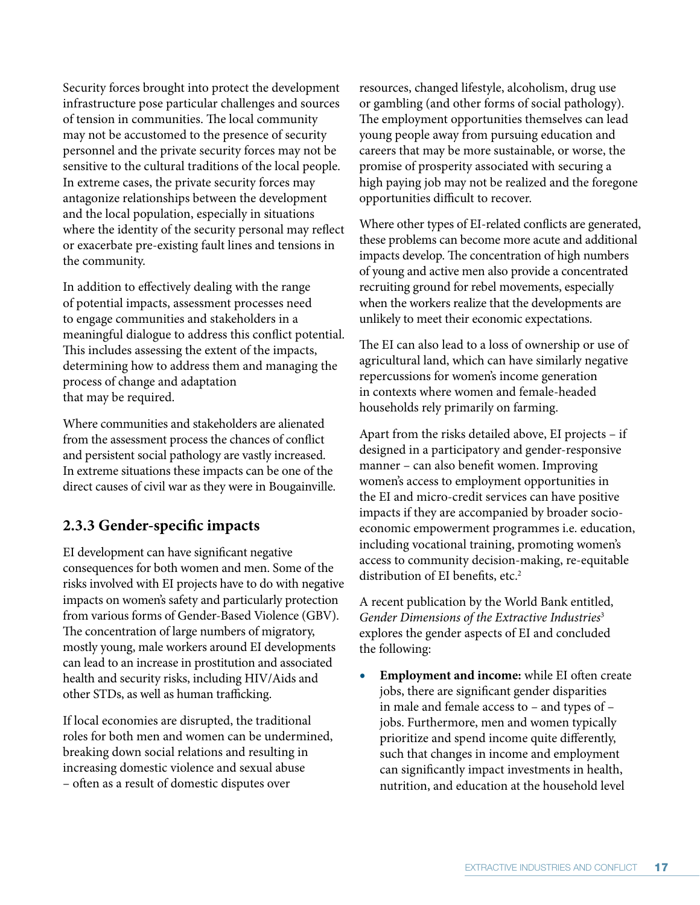Security forces brought into protect the development infrastructure pose particular challenges and sources of tension in communities. The local community may not be accustomed to the presence of security personnel and the private security forces may not be sensitive to the cultural traditions of the local people. In extreme cases, the private security forces may antagonize relationships between the development and the local population, especially in situations where the identity of the security personal may reflect or exacerbate pre-existing fault lines and tensions in the community.

In addition to effectively dealing with the range of potential impacts, assessment processes need to engage communities and stakeholders in a meaningful dialogue to address this conflict potential. This includes assessing the extent of the impacts, determining how to address them and managing the process of change and adaptation that may be required.

Where communities and stakeholders are alienated from the assessment process the chances of conflict and persistent social pathology are vastly increased. In extreme situations these impacts can be one of the direct causes of civil war as they were in Bougainville.

# **2.3.3 Gender-specific impacts**

EI development can have significant negative consequences for both women and men. Some of the risks involved with EI projects have to do with negative impacts on women's safety and particularly protection from various forms of Gender-Based Violence (GBV). The concentration of large numbers of migratory, mostly young, male workers around EI developments can lead to an increase in prostitution and associated health and security risks, including HIV/Aids and other STDs, as well as human trafficking.

If local economies are disrupted, the traditional roles for both men and women can be undermined, breaking down social relations and resulting in increasing domestic violence and sexual abuse – often as a result of domestic disputes over

resources, changed lifestyle, alcoholism, drug use or gambling (and other forms of social pathology). The employment opportunities themselves can lead young people away from pursuing education and careers that may be more sustainable, or worse, the promise of prosperity associated with securing a high paying job may not be realized and the foregone opportunities difficult to recover.

Where other types of EI-related conflicts are generated, these problems can become more acute and additional impacts develop. The concentration of high numbers of young and active men also provide a concentrated recruiting ground for rebel movements, especially when the workers realize that the developments are unlikely to meet their economic expectations.

The EI can also lead to a loss of ownership or use of agricultural land, which can have similarly negative repercussions for women's income generation in contexts where women and female-headed households rely primarily on farming.

Apart from the risks detailed above, EI projects – if designed in a participatory and gender-responsive manner – can also benefit women. Improving women's access to employment opportunities in the EI and micro-credit services can have positive impacts if they are accompanied by broader socioeconomic empowerment programmes i.e. education, including vocational training, promoting women's access to community decision-making, re-equitable distribution of EI benefits, etc.<sup>2</sup>

A recent publication by the World Bank entitled, *Gender Dimensions of the Extractive Industries*<sup>3</sup> explores the gender aspects of EI and concluded the following:

**Employment and income:** while EI often create jobs, there are significant gender disparities in male and female access to – and types of – jobs. Furthermore, men and women typically prioritize and spend income quite differently, such that changes in income and employment can significantly impact investments in health, nutrition, and education at the household level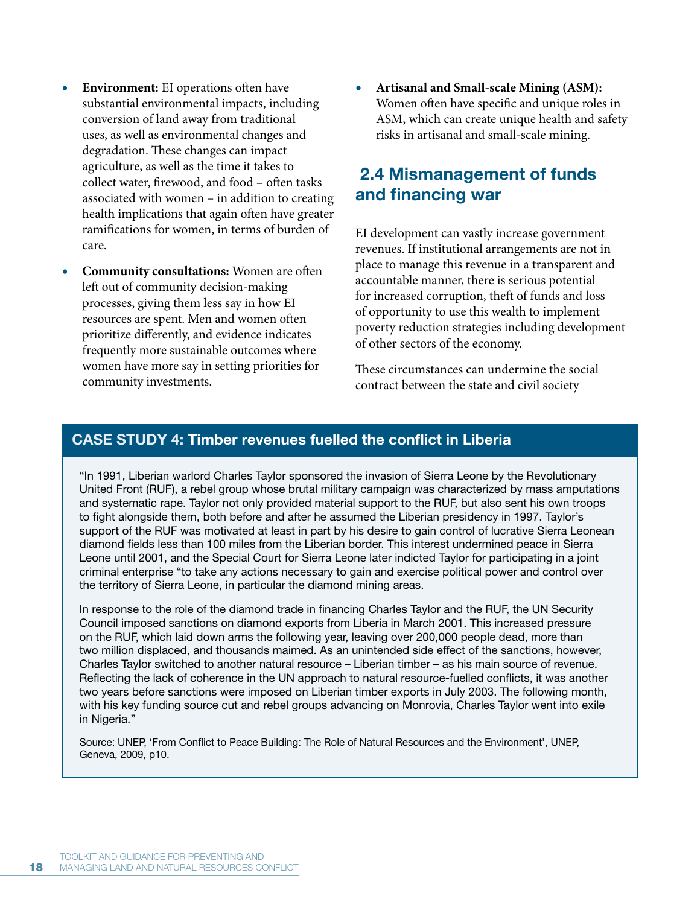- **Environment:** EI operations often have substantial environmental impacts, including conversion of land away from traditional uses, as well as environmental changes and degradation. These changes can impact agriculture, as well as the time it takes to collect water, firewood, and food – often tasks associated with women – in addition to creating health implications that again often have greater ramifications for women, in terms of burden of care.
- **Community consultations:** Women are often left out of community decision-making processes, giving them less say in how EI resources are spent. Men and women often prioritize differently, and evidence indicates frequently more sustainable outcomes where women have more say in setting priorities for community investments.

**r Artisanal and Small-scale Mining (ASM):**  Women often have specific and unique roles in ASM, which can create unique health and safety risks in artisanal and small-scale mining.

# **2.4 Mismanagement of funds and financing war**

EI development can vastly increase government revenues. If institutional arrangements are not in place to manage this revenue in a transparent and accountable manner, there is serious potential for increased corruption, theft of funds and loss of opportunity to use this wealth to implement poverty reduction strategies including development of other sectors of the economy.

These circumstances can undermine the social contract between the state and civil society

# **CASE STUDY 4: Timber revenues fuelled the conflict in Liberia**

"In 1991, Liberian warlord Charles Taylor sponsored the invasion of Sierra Leone by the Revolutionary United Front (RUF), a rebel group whose brutal military campaign was characterized by mass amputations and systematic rape. Taylor not only provided material support to the RUF, but also sent his own troops to fight alongside them, both before and after he assumed the Liberian presidency in 1997. Taylor's support of the RUF was motivated at least in part by his desire to gain control of lucrative Sierra Leonean diamond fields less than 100 miles from the Liberian border. This interest undermined peace in Sierra Leone until 2001, and the Special Court for Sierra Leone later indicted Taylor for participating in a joint criminal enterprise "to take any actions necessary to gain and exercise political power and control over the territory of Sierra Leone, in particular the diamond mining areas.

In response to the role of the diamond trade in financing Charles Taylor and the RUF, the UN Security Council imposed sanctions on diamond exports from Liberia in March 2001. This increased pressure on the RUF, which laid down arms the following year, leaving over 200,000 people dead, more than two million displaced, and thousands maimed. As an unintended side effect of the sanctions, however, Charles Taylor switched to another natural resource – Liberian timber – as his main source of revenue. Reflecting the lack of coherence in the UN approach to natural resource-fuelled conflicts, it was another two years before sanctions were imposed on Liberian timber exports in July 2003. The following month, with his key funding source cut and rebel groups advancing on Monrovia, Charles Taylor went into exile in Nigeria."

Source: UNEP, 'From Conflict to Peace Building: The Role of Natural Resources and the Environment', UNEP, Geneva, 2009, p10.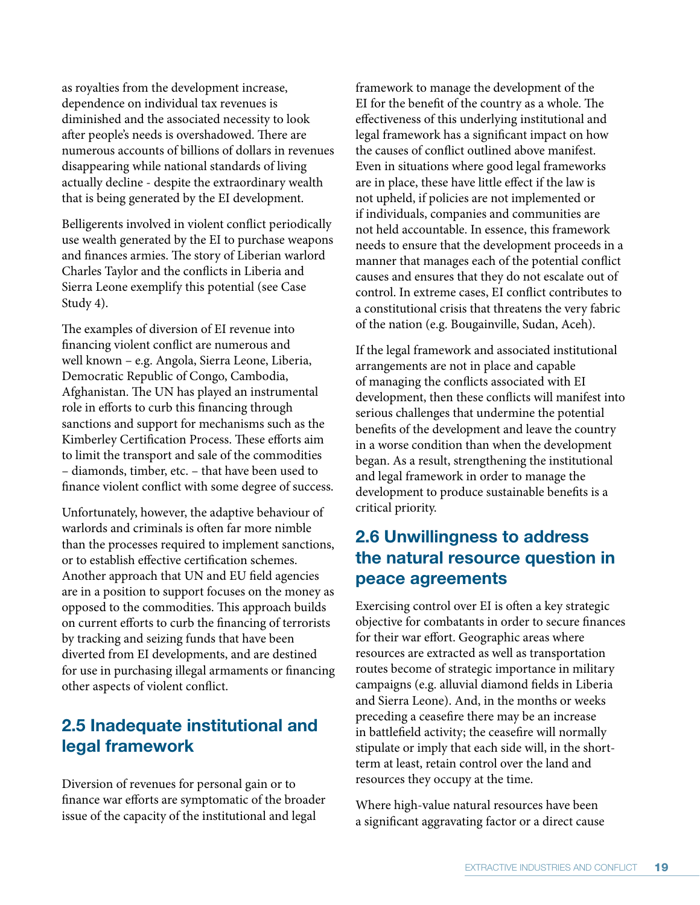as royalties from the development increase, dependence on individual tax revenues is diminished and the associated necessity to look after people's needs is overshadowed. There are numerous accounts of billions of dollars in revenues disappearing while national standards of living actually decline - despite the extraordinary wealth that is being generated by the EI development.

Belligerents involved in violent conflict periodically use wealth generated by the EI to purchase weapons and finances armies. The story of Liberian warlord Charles Taylor and the conflicts in Liberia and Sierra Leone exemplify this potential (see Case Study 4).

The examples of diversion of EI revenue into financing violent conflict are numerous and well known – e.g. Angola, Sierra Leone, Liberia, Democratic Republic of Congo, Cambodia, Afghanistan. The UN has played an instrumental role in efforts to curb this financing through sanctions and support for mechanisms such as the Kimberley Certification Process. These efforts aim to limit the transport and sale of the commodities – diamonds, timber, etc. – that have been used to finance violent conflict with some degree of success.

Unfortunately, however, the adaptive behaviour of warlords and criminals is often far more nimble than the processes required to implement sanctions, or to establish effective certification schemes. Another approach that UN and EU field agencies are in a position to support focuses on the money as opposed to the commodities. This approach builds on current efforts to curb the financing of terrorists by tracking and seizing funds that have been diverted from EI developments, and are destined for use in purchasing illegal armaments or financing other aspects of violent conflict.

# **2.5 Inadequate institutional and legal framework**

Diversion of revenues for personal gain or to finance war efforts are symptomatic of the broader issue of the capacity of the institutional and legal

framework to manage the development of the EI for the benefit of the country as a whole. The effectiveness of this underlying institutional and legal framework has a significant impact on how the causes of conflict outlined above manifest. Even in situations where good legal frameworks are in place, these have little effect if the law is not upheld, if policies are not implemented or if individuals, companies and communities are not held accountable. In essence, this framework needs to ensure that the development proceeds in a manner that manages each of the potential conflict causes and ensures that they do not escalate out of control. In extreme cases, EI conflict contributes to a constitutional crisis that threatens the very fabric of the nation (e.g. Bougainville, Sudan, Aceh).

If the legal framework and associated institutional arrangements are not in place and capable of managing the conflicts associated with EI development, then these conflicts will manifest into serious challenges that undermine the potential benefits of the development and leave the country in a worse condition than when the development began. As a result, strengthening the institutional and legal framework in order to manage the development to produce sustainable benefits is a critical priority.

# **2.6 Unwillingness to address the natural resource question in peace agreements**

Exercising control over EI is often a key strategic objective for combatants in order to secure finances for their war effort. Geographic areas where resources are extracted as well as transportation routes become of strategic importance in military campaigns (e.g. alluvial diamond fields in Liberia and Sierra Leone). And, in the months or weeks preceding a ceasefire there may be an increase in battlefield activity; the ceasefire will normally stipulate or imply that each side will, in the shortterm at least, retain control over the land and resources they occupy at the time.

Where high-value natural resources have been a significant aggravating factor or a direct cause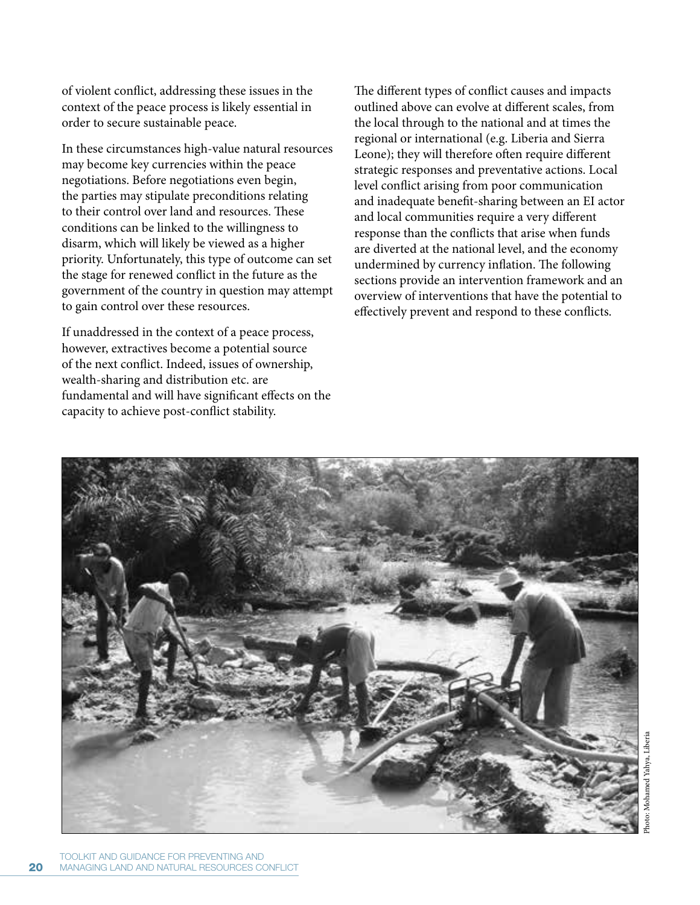of violent conflict, addressing these issues in the context of the peace process is likely essential in order to secure sustainable peace.

In these circumstances high-value natural resources may become key currencies within the peace negotiations. Before negotiations even begin, the parties may stipulate preconditions relating to their control over land and resources. These conditions can be linked to the willingness to disarm, which will likely be viewed as a higher priority. Unfortunately, this type of outcome can set the stage for renewed conflict in the future as the government of the country in question may attempt to gain control over these resources.

If unaddressed in the context of a peace process, however, extractives become a potential source of the next conflict. Indeed, issues of ownership, wealth-sharing and distribution etc. are fundamental and will have significant effects on the capacity to achieve post-conflict stability.

The different types of conflict causes and impacts outlined above can evolve at different scales, from the local through to the national and at times the regional or international (e.g. Liberia and Sierra Leone); they will therefore often require different strategic responses and preventative actions. Local level conflict arising from poor communication and inadequate benefit-sharing between an EI actor and local communities require a very different response than the conflicts that arise when funds are diverted at the national level, and the economy undermined by currency inflation. The following sections provide an intervention framework and an overview of interventions that have the potential to effectively prevent and respond to these conflicts.

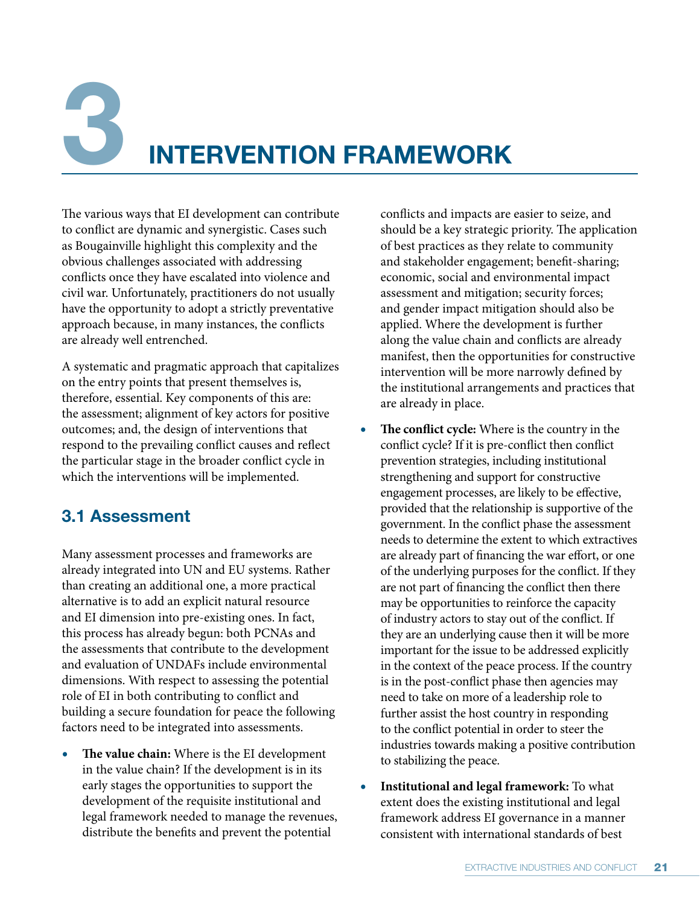# **3 INTERVENTION FRAMEWORK**

The various ways that EI development can contribute to conflict are dynamic and synergistic. Cases such as Bougainville highlight this complexity and the obvious challenges associated with addressing conflicts once they have escalated into violence and civil war. Unfortunately, practitioners do not usually have the opportunity to adopt a strictly preventative approach because, in many instances, the conflicts are already well entrenched.

A systematic and pragmatic approach that capitalizes on the entry points that present themselves is, therefore, essential. Key components of this are: the assessment; alignment of key actors for positive outcomes; and, the design of interventions that respond to the prevailing conflict causes and reflect the particular stage in the broader conflict cycle in which the interventions will be implemented.

# **3.1 Assessment**

Many assessment processes and frameworks are already integrated into UN and EU systems. Rather than creating an additional one, a more practical alternative is to add an explicit natural resource and EI dimension into pre-existing ones. In fact, this process has already begun: both PCNAs and the assessments that contribute to the development and evaluation of UNDAFs include environmental dimensions. With respect to assessing the potential role of EI in both contributing to conflict and building a secure foundation for peace the following factors need to be integrated into assessments.

**r The value chain:** Where is the EI development in the value chain? If the development is in its early stages the opportunities to support the development of the requisite institutional and legal framework needed to manage the revenues, distribute the benefits and prevent the potential

conflicts and impacts are easier to seize, and should be a key strategic priority. The application of best practices as they relate to community and stakeholder engagement; benefit-sharing; economic, social and environmental impact assessment and mitigation; security forces; and gender impact mitigation should also be applied. Where the development is further along the value chain and conflicts are already manifest, then the opportunities for constructive intervention will be more narrowly defined by the institutional arrangements and practices that are already in place.

- **r The conflict cycle:** Where is the country in the conflict cycle? If it is pre-conflict then conflict prevention strategies, including institutional strengthening and support for constructive engagement processes, are likely to be effective, provided that the relationship is supportive of the government. In the conflict phase the assessment needs to determine the extent to which extractives are already part of financing the war effort, or one of the underlying purposes for the conflict. If they are not part of financing the conflict then there may be opportunities to reinforce the capacity of industry actors to stay out of the conflict. If they are an underlying cause then it will be more important for the issue to be addressed explicitly in the context of the peace process. If the country is in the post-conflict phase then agencies may need to take on more of a leadership role to further assist the host country in responding to the conflict potential in order to steer the industries towards making a positive contribution to stabilizing the peace.
- **r Institutional and legal framework:** To what extent does the existing institutional and legal framework address EI governance in a manner consistent with international standards of best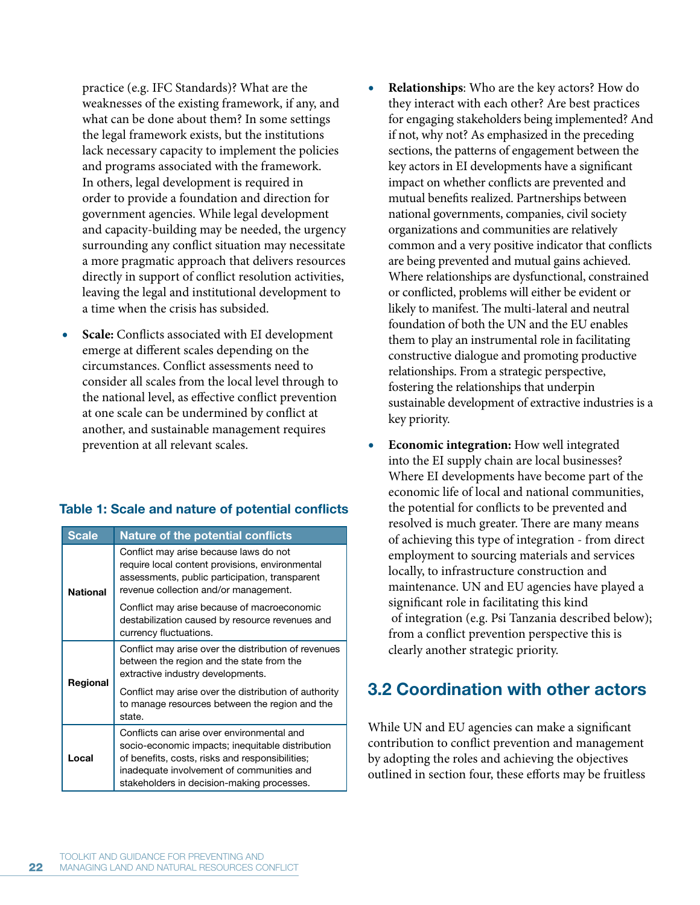practice (e.g. IFC Standards)? What are the weaknesses of the existing framework, if any, and what can be done about them? In some settings the legal framework exists, but the institutions lack necessary capacity to implement the policies and programs associated with the framework. In others, legal development is required in order to provide a foundation and direction for government agencies. While legal development and capacity-building may be needed, the urgency surrounding any conflict situation may necessitate a more pragmatic approach that delivers resources directly in support of conflict resolution activities, leaving the legal and institutional development to a time when the crisis has subsided.

**Scale:** Conflicts associated with EI development emerge at different scales depending on the circumstances. Conflict assessments need to consider all scales from the local level through to the national level, as effective conflict prevention at one scale can be undermined by conflict at another, and sustainable management requires prevention at all relevant scales.

# **Table 1: Scale and nature of potential conflicts**

| <b>Scale</b>    | <b>Nature of the potential conflicts</b>                                                                                                                                                                                                     |
|-----------------|----------------------------------------------------------------------------------------------------------------------------------------------------------------------------------------------------------------------------------------------|
| <b>National</b> | Conflict may arise because laws do not<br>require local content provisions, environmental<br>assessments, public participation, transparent<br>revenue collection and/or management.                                                         |
|                 | Conflict may arise because of macroeconomic<br>destabilization caused by resource revenues and<br>currency fluctuations.                                                                                                                     |
| Regional        | Conflict may arise over the distribution of revenues<br>between the region and the state from the<br>extractive industry developments.                                                                                                       |
|                 | Conflict may arise over the distribution of authority<br>to manage resources between the region and the<br>state.                                                                                                                            |
| Local           | Conflicts can arise over environmental and<br>socio-economic impacts; inequitable distribution<br>of benefits, costs, risks and responsibilities;<br>inadequate involvement of communities and<br>stakeholders in decision-making processes. |

- **r Relationships**: Who are the key actors? How do they interact with each other? Are best practices for engaging stakeholders being implemented? And if not, why not? As emphasized in the preceding sections, the patterns of engagement between the key actors in EI developments have a significant impact on whether conflicts are prevented and mutual benefits realized. Partnerships between national governments, companies, civil society organizations and communities are relatively common and a very positive indicator that conflicts are being prevented and mutual gains achieved. Where relationships are dysfunctional, constrained or conflicted, problems will either be evident or likely to manifest. The multi-lateral and neutral foundation of both the UN and the EU enables them to play an instrumental role in facilitating constructive dialogue and promoting productive relationships. From a strategic perspective, fostering the relationships that underpin sustainable development of extractive industries is a key priority.
- **r Economic integration:** How well integrated into the EI supply chain are local businesses? Where EI developments have become part of the economic life of local and national communities, the potential for conflicts to be prevented and resolved is much greater. There are many means of achieving this type of integration - from direct employment to sourcing materials and services locally, to infrastructure construction and maintenance. UN and EU agencies have played a significant role in facilitating this kind of integration (e.g. Psi Tanzania described below); from a conflict prevention perspective this is clearly another strategic priority.

# **3.2 Coordination with other actors**

While UN and EU agencies can make a significant contribution to conflict prevention and management by adopting the roles and achieving the objectives outlined in section four, these efforts may be fruitless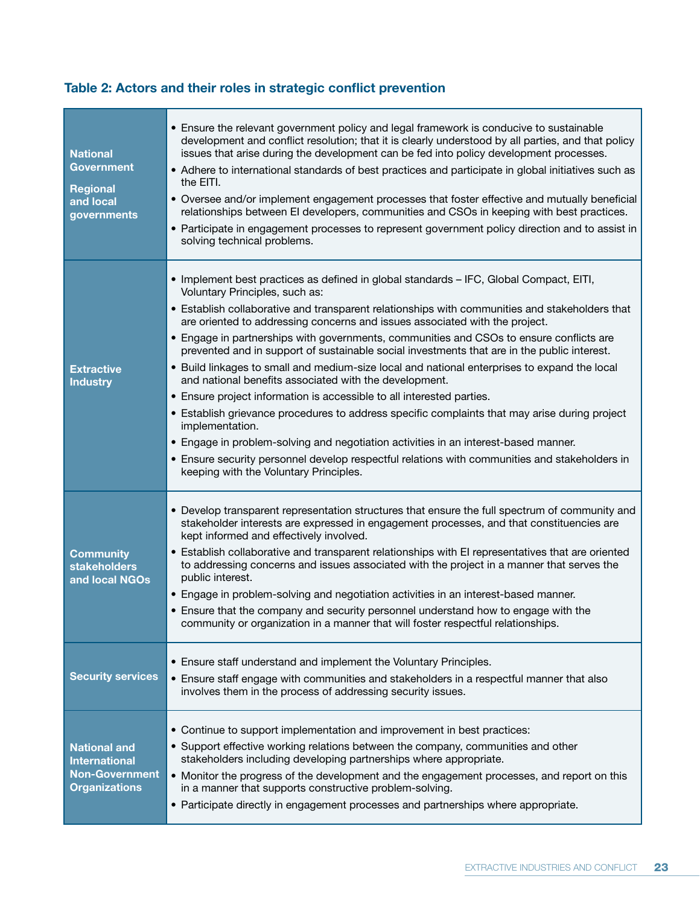# **Table 2: Actors and their roles in strategic conflict prevention**

| <b>National</b><br><b>Government</b><br><b>Regional</b><br>and local<br>governments          | • Ensure the relevant government policy and legal framework is conducive to sustainable<br>development and conflict resolution; that it is clearly understood by all parties, and that policy<br>issues that arise during the development can be fed into policy development processes.<br>• Adhere to international standards of best practices and participate in global initiatives such as<br>the EITI.<br>• Oversee and/or implement engagement processes that foster effective and mutually beneficial<br>relationships between EI developers, communities and CSOs in keeping with best practices.<br>• Participate in engagement processes to represent government policy direction and to assist in<br>solving technical problems.                                                                                                                                                                                                                                                                                                                                                  |
|----------------------------------------------------------------------------------------------|----------------------------------------------------------------------------------------------------------------------------------------------------------------------------------------------------------------------------------------------------------------------------------------------------------------------------------------------------------------------------------------------------------------------------------------------------------------------------------------------------------------------------------------------------------------------------------------------------------------------------------------------------------------------------------------------------------------------------------------------------------------------------------------------------------------------------------------------------------------------------------------------------------------------------------------------------------------------------------------------------------------------------------------------------------------------------------------------|
| <b>Extractive</b><br><b>Industry</b>                                                         | • Implement best practices as defined in global standards - IFC, Global Compact, EITI,<br>Voluntary Principles, such as:<br>• Establish collaborative and transparent relationships with communities and stakeholders that<br>are oriented to addressing concerns and issues associated with the project.<br>• Engage in partnerships with governments, communities and CSOs to ensure conflicts are<br>prevented and in support of sustainable social investments that are in the public interest.<br>• Build linkages to small and medium-size local and national enterprises to expand the local<br>and national benefits associated with the development.<br>• Ensure project information is accessible to all interested parties.<br>• Establish grievance procedures to address specific complaints that may arise during project<br>implementation.<br>• Engage in problem-solving and negotiation activities in an interest-based manner.<br>• Ensure security personnel develop respectful relations with communities and stakeholders in<br>keeping with the Voluntary Principles. |
| <b>Community</b><br><b>stakeholders</b><br>and local NGOs                                    | • Develop transparent representation structures that ensure the full spectrum of community and<br>stakeholder interests are expressed in engagement processes, and that constituencies are<br>kept informed and effectively involved.<br>• Establish collaborative and transparent relationships with EI representatives that are oriented<br>to addressing concerns and issues associated with the project in a manner that serves the<br>public interest.<br>• Engage in problem-solving and negotiation activities in an interest-based manner.<br>• Ensure that the company and security personnel understand how to engage with the<br>community or organization in a manner that will foster respectful relationships.                                                                                                                                                                                                                                                                                                                                                                 |
| <b>Security services</b>                                                                     | • Ensure staff understand and implement the Voluntary Principles.<br>• Ensure staff engage with communities and stakeholders in a respectful manner that also<br>involves them in the process of addressing security issues.                                                                                                                                                                                                                                                                                                                                                                                                                                                                                                                                                                                                                                                                                                                                                                                                                                                                 |
| <b>National and</b><br><b>International</b><br><b>Non-Government</b><br><b>Organizations</b> | • Continue to support implementation and improvement in best practices:<br>• Support effective working relations between the company, communities and other<br>stakeholders including developing partnerships where appropriate.<br>• Monitor the progress of the development and the engagement processes, and report on this<br>in a manner that supports constructive problem-solving.<br>• Participate directly in engagement processes and partnerships where appropriate.                                                                                                                                                                                                                                                                                                                                                                                                                                                                                                                                                                                                              |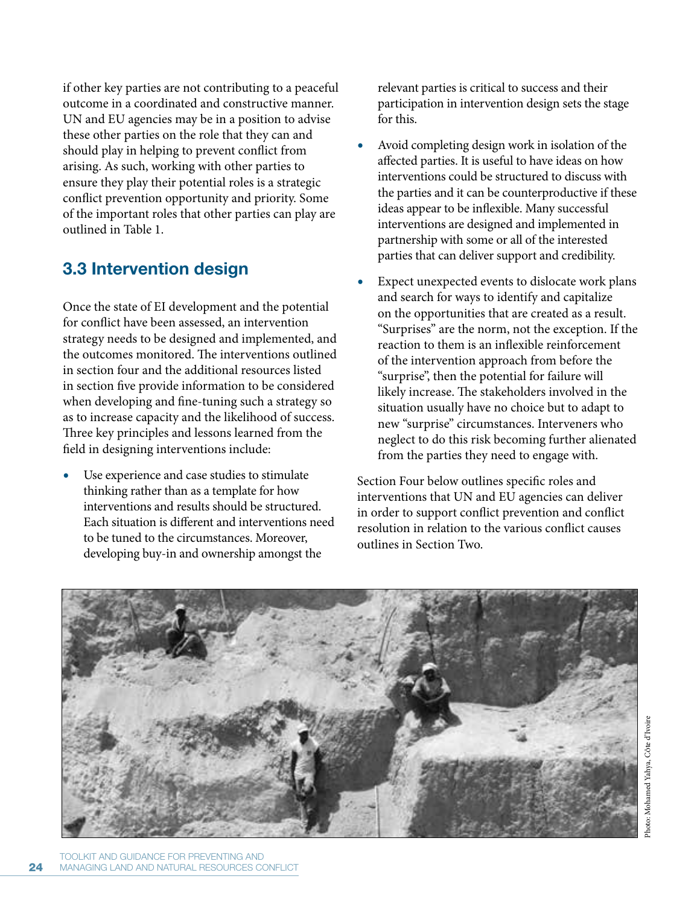if other key parties are not contributing to a peaceful outcome in a coordinated and constructive manner. UN and EU agencies may be in a position to advise these other parties on the role that they can and should play in helping to prevent conflict from arising. As such, working with other parties to ensure they play their potential roles is a strategic conflict prevention opportunity and priority. Some of the important roles that other parties can play are outlined in Table 1.

# **3.3 Intervention design**

Once the state of EI development and the potential for conflict have been assessed, an intervention strategy needs to be designed and implemented, and the outcomes monitored. The interventions outlined in section four and the additional resources listed in section five provide information to be considered when developing and fine-tuning such a strategy so as to increase capacity and the likelihood of success. Three key principles and lessons learned from the field in designing interventions include:

Use experience and case studies to stimulate thinking rather than as a template for how interventions and results should be structured. Each situation is different and interventions need to be tuned to the circumstances. Moreover, developing buy-in and ownership amongst the

relevant parties is critical to success and their participation in intervention design sets the stage for this.

- **r** Avoid completing design work in isolation of the affected parties. It is useful to have ideas on how interventions could be structured to discuss with the parties and it can be counterproductive if these ideas appear to be inflexible. Many successful interventions are designed and implemented in partnership with some or all of the interested parties that can deliver support and credibility.
- Expect unexpected events to dislocate work plans and search for ways to identify and capitalize on the opportunities that are created as a result. "Surprises" are the norm, not the exception. If the reaction to them is an inflexible reinforcement of the intervention approach from before the "surprise", then the potential for failure will likely increase. The stakeholders involved in the situation usually have no choice but to adapt to new "surprise" circumstances. Interveners who neglect to do this risk becoming further alienated from the parties they need to engage with.

Section Four below outlines specific roles and interventions that UN and EU agencies can deliver in order to support conflict prevention and conflict resolution in relation to the various conflict causes outlines in Section Two.

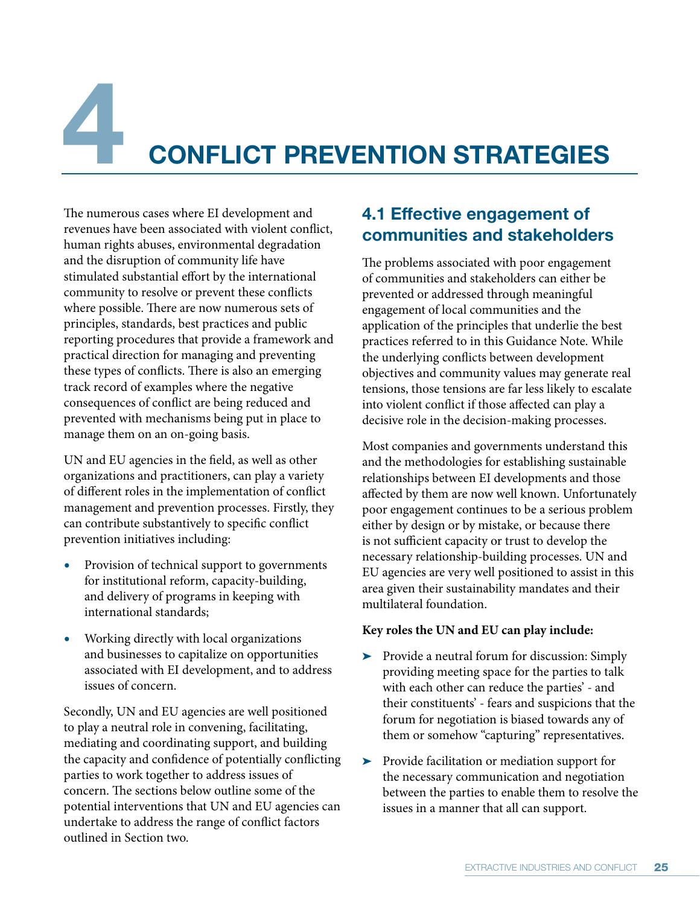# **4 CONFLICT PREVENTION STRATEGIES**

The numerous cases where EI development and revenues have been associated with violent conflict, human rights abuses, environmental degradation and the disruption of community life have stimulated substantial effort by the international community to resolve or prevent these conflicts where possible. There are now numerous sets of principles, standards, best practices and public reporting procedures that provide a framework and practical direction for managing and preventing these types of conflicts. There is also an emerging track record of examples where the negative consequences of conflict are being reduced and prevented with mechanisms being put in place to manage them on an on-going basis.

UN and EU agencies in the field, as well as other organizations and practitioners, can play a variety of different roles in the implementation of conflict management and prevention processes. Firstly, they can contribute substantively to specific conflict prevention initiatives including:

- Provision of technical support to governments for institutional reform, capacity-building, and delivery of programs in keeping with international standards;
- **r** Working directly with local organizations and businesses to capitalize on opportunities associated with EI development, and to address issues of concern.

Secondly, UN and EU agencies are well positioned to play a neutral role in convening, facilitating, mediating and coordinating support, and building the capacity and confidence of potentially conflicting parties to work together to address issues of concern. The sections below outline some of the potential interventions that UN and EU agencies can undertake to address the range of conflict factors outlined in Section two.

# **4.1 Effective engagement of communities and stakeholders**

The problems associated with poor engagement of communities and stakeholders can either be prevented or addressed through meaningful engagement of local communities and the application of the principles that underlie the best practices referred to in this Guidance Note. While the underlying conflicts between development objectives and community values may generate real tensions, those tensions are far less likely to escalate into violent conflict if those affected can play a decisive role in the decision-making processes.

Most companies and governments understand this and the methodologies for establishing sustainable relationships between EI developments and those affected by them are now well known. Unfortunately poor engagement continues to be a serious problem either by design or by mistake, or because there is not sufficient capacity or trust to develop the necessary relationship-building processes. UN and EU agencies are very well positioned to assist in this area given their sustainability mandates and their multilateral foundation.

# **Key roles the UN and EU can play include:**

- Provide a neutral forum for discussion: Simply providing meeting space for the parties to talk with each other can reduce the parties' - and their constituents' - fears and suspicions that the forum for negotiation is biased towards any of them or somehow "capturing" representatives.
- $\blacktriangleright$  Provide facilitation or mediation support for the necessary communication and negotiation between the parties to enable them to resolve the issues in a manner that all can support.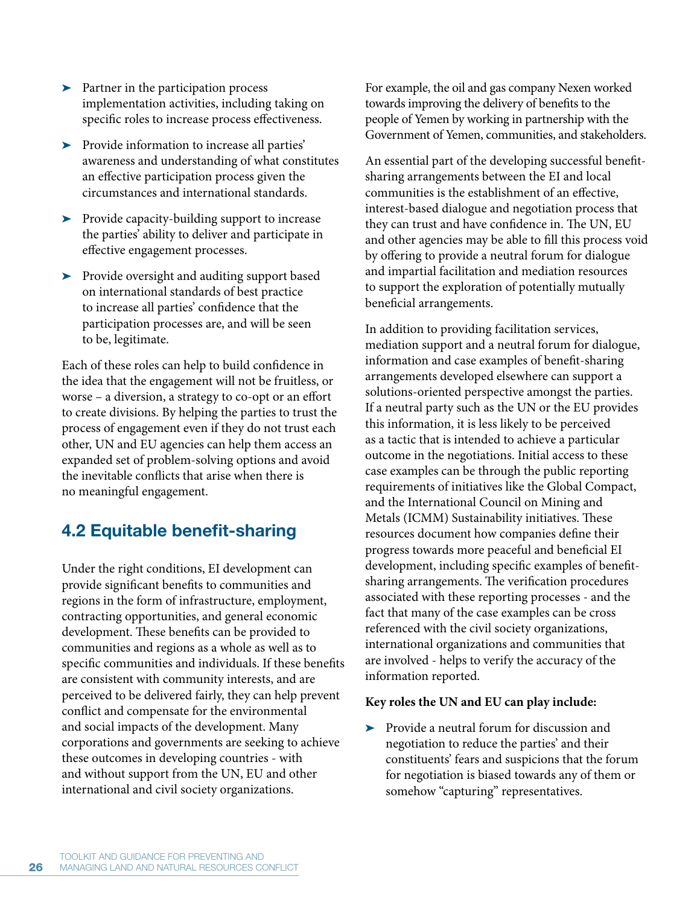- Partner in the participation process implementation activities, including taking on specific roles to increase process effectiveness.
- Provide information to increase all parties' awareness and understanding of what constitutes an effective participation process given the circumstances and international standards.
- > Provide capacity-building support to increase the parties' ability to deliver and participate in effective engagement processes.
- Provide oversight and auditing support based on international standards of best practice to increase all parties' confidence that the participation processes are, and will be seen to be, legitimate.

Each of these roles can help to build confidence in the idea that the engagement will not be fruitless, or worse – a diversion, a strategy to co-opt or an effort to create divisions. By helping the parties to trust the process of engagement even if they do not trust each other, UN and EU agencies can help them access an expanded set of problem-solving options and avoid the inevitable conflicts that arise when there is no meaningful engagement.

# **4.2 Equitable benefit-sharing**

Under the right conditions, EI development can provide significant benefits to communities and regions in the form of infrastructure, employment, contracting opportunities, and general economic development. These benefits can be provided to communities and regions as a whole as well as to specific communities and individuals. If these benefits are consistent with community interests, and are perceived to be delivered fairly, they can help prevent conflict and compensate for the environmental and social impacts of the development. Many corporations and governments are seeking to achieve these outcomes in developing countries - with and without support from the UN, EU and other international and civil society organizations.

For example, the oil and gas company Nexen worked towards improving the delivery of benefits to the people of Yemen by working in partnership with the Government of Yemen, communities, and stakeholders.

An essential part of the developing successful benefitsharing arrangements between the EI and local communities is the establishment of an effective, interest-based dialogue and negotiation process that they can trust and have confidence in. The UN, EU and other agencies may be able to fill this process void by offering to provide a neutral forum for dialogue and impartial facilitation and mediation resources to support the exploration of potentially mutually beneficial arrangements.

In addition to providing facilitation services, mediation support and a neutral forum for dialogue, information and case examples of benefit-sharing arrangements developed elsewhere can support a solutions-oriented perspective amongst the parties. If a neutral party such as the UN or the EU provides this information, it is less likely to be perceived as a tactic that is intended to achieve a particular outcome in the negotiations. Initial access to these case examples can be through the public reporting requirements of initiatives like the Global Compact, and the International Council on Mining and Metals (ICMM) Sustainability initiatives. These resources document how companies define their progress towards more peaceful and beneficial EI development, including specific examples of benefitsharing arrangements. The verification procedures associated with these reporting processes - and the fact that many of the case examples can be cross referenced with the civil society organizations, international organizations and communities that are involved - helps to verify the accuracy of the information reported.

### **Key roles the UN and EU can play include:**

- Provide a neutral forum for discussion and negotiation to reduce the parties' and their constituents' fears and suspicions that the forum for negotiation is biased towards any of them or somehow "capturing" representatives.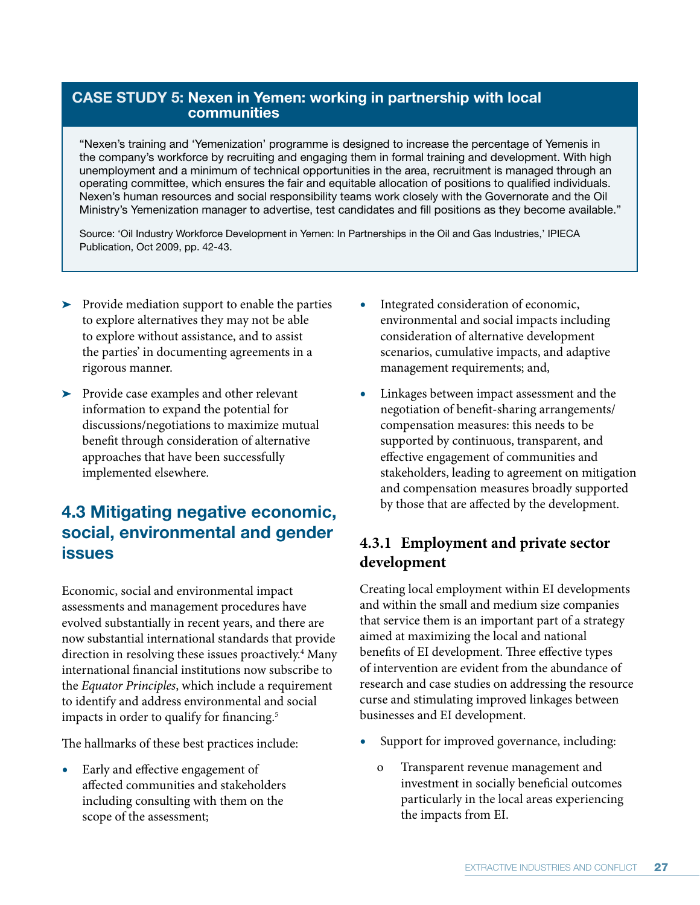# **CASE STUDY 5: Nexen in Yemen: working in partnership with local communities**

"Nexen's training and 'Yemenization' programme is designed to increase the percentage of Yemenis in the company's workforce by recruiting and engaging them in formal training and development. With high unemployment and a minimum of technical opportunities in the area, recruitment is managed through an operating committee, which ensures the fair and equitable allocation of positions to qualified individuals. Nexen's human resources and social responsibility teams work closely with the Governorate and the Oil Ministry's Yemenization manager to advertise, test candidates and fill positions as they become available."

Source: 'Oil Industry Workforce Development in Yemen: In Partnerships in the Oil and Gas Industries,' IPIECA Publication, Oct 2009, pp. 42-43.

- > Provide mediation support to enable the parties to explore alternatives they may not be able to explore without assistance, and to assist the parties' in documenting agreements in a rigorous manner.
- Provide case examples and other relevant information to expand the potential for discussions/negotiations to maximize mutual benefit through consideration of alternative approaches that have been successfully implemented elsewhere.

# **4.3 Mitigating negative economic, social, environmental and gender issues**

Economic, social and environmental impact assessments and management procedures have evolved substantially in recent years, and there are now substantial international standards that provide direction in resolving these issues proactively.<sup>4</sup> Many international financial institutions now subscribe to the *Equator Principles*, which include a requirement to identify and address environmental and social impacts in order to qualify for financing.<sup>5</sup>

The hallmarks of these best practices include:

**r** Early and effective engagement of affected communities and stakeholders including consulting with them on the scope of the assessment;

- **r** Integrated consideration of economic, environmental and social impacts including consideration of alternative development scenarios, cumulative impacts, and adaptive management requirements; and,
- **r** Linkages between impact assessment and the negotiation of benefit-sharing arrangements/ compensation measures: this needs to be supported by continuous, transparent, and effective engagement of communities and stakeholders, leading to agreement on mitigation and compensation measures broadly supported by those that are affected by the development.

# **4.3.1 Employment and private sector development**

Creating local employment within EI developments and within the small and medium size companies that service them is an important part of a strategy aimed at maximizing the local and national benefits of EI development. Three effective types of intervention are evident from the abundance of research and case studies on addressing the resource curse and stimulating improved linkages between businesses and EI development.

- Support for improved governance, including:
	- o Transparent revenue management and investment in socially beneficial outcomes particularly in the local areas experiencing the impacts from EI.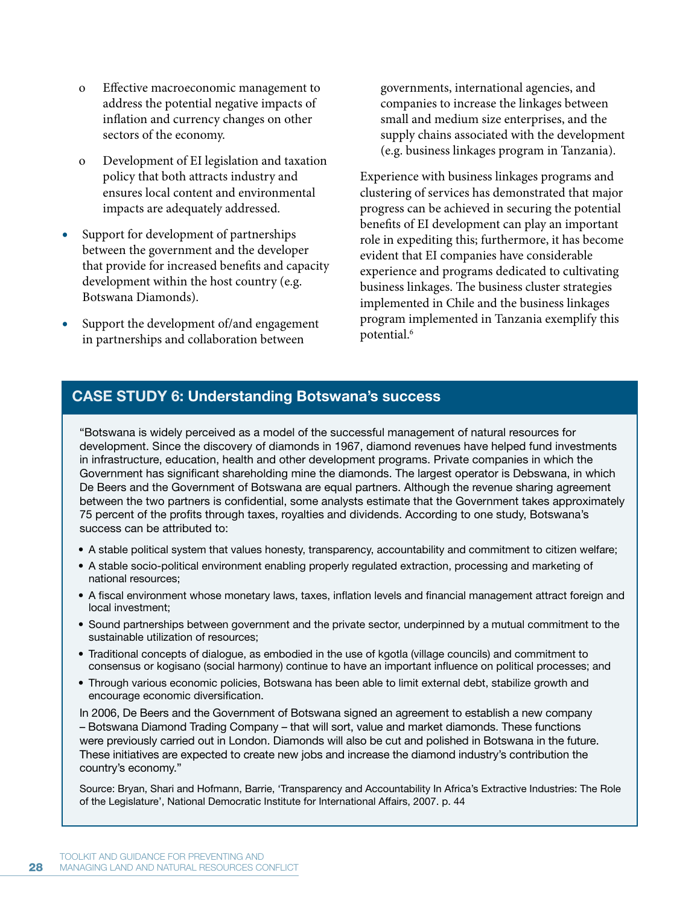- o Effective macroeconomic management to address the potential negative impacts of inflation and currency changes on other sectors of the economy.
- o Development of EI legislation and taxation policy that both attracts industry and ensures local content and environmental impacts are adequately addressed.
- Support for development of partnerships between the government and the developer that provide for increased benefits and capacity development within the host country (e.g. Botswana Diamonds).
- Support the development of/and engagement in partnerships and collaboration between

governments, international agencies, and companies to increase the linkages between small and medium size enterprises, and the supply chains associated with the development (e.g. business linkages program in Tanzania).

Experience with business linkages programs and clustering of services has demonstrated that major progress can be achieved in securing the potential benefits of EI development can play an important role in expediting this; furthermore, it has become evident that EI companies have considerable experience and programs dedicated to cultivating business linkages. The business cluster strategies implemented in Chile and the business linkages program implemented in Tanzania exemplify this potential. 6

# **CASE STUDY 6: Understanding Botswana's success**

"Botswana is widely perceived as a model of the successful management of natural resources for development. Since the discovery of diamonds in 1967, diamond revenues have helped fund investments in infrastructure, education, health and other development programs. Private companies in which the Government has significant shareholding mine the diamonds. The largest operator is Debswana, in which De Beers and the Government of Botswana are equal partners. Although the revenue sharing agreement between the two partners is confidential, some analysts estimate that the Government takes approximately 75 percent of the profits through taxes, royalties and dividends. According to one study, Botswana's success can be attributed to:

- A stable political system that values honesty, transparency, accountability and commitment to citizen welfare;
- A stable socio-political environment enabling properly regulated extraction, processing and marketing of national resources;
- A fiscal environment whose monetary laws, taxes, inflation levels and financial management attract foreign and local investment;
- Sound partnerships between government and the private sector, underpinned by a mutual commitment to the sustainable utilization of resources;
- Traditional concepts of dialogue, as embodied in the use of kgotla (village councils) and commitment to consensus or kogisano (social harmony) continue to have an important influence on political processes; and
- Through various economic policies, Botswana has been able to limit external debt, stabilize growth and encourage economic diversification.

In 2006, De Beers and the Government of Botswana signed an agreement to establish a new company – Botswana Diamond Trading Company – that will sort, value and market diamonds. These functions were previously carried out in London. Diamonds will also be cut and polished in Botswana in the future. These initiatives are expected to create new jobs and increase the diamond industry's contribution the country's economy."

Source: Bryan, Shari and Hofmann, Barrie, 'Transparency and Accountability In Africa's Extractive Industries: The Role of the Legislature', National Democratic Institute for International Affairs, 2007. p. 44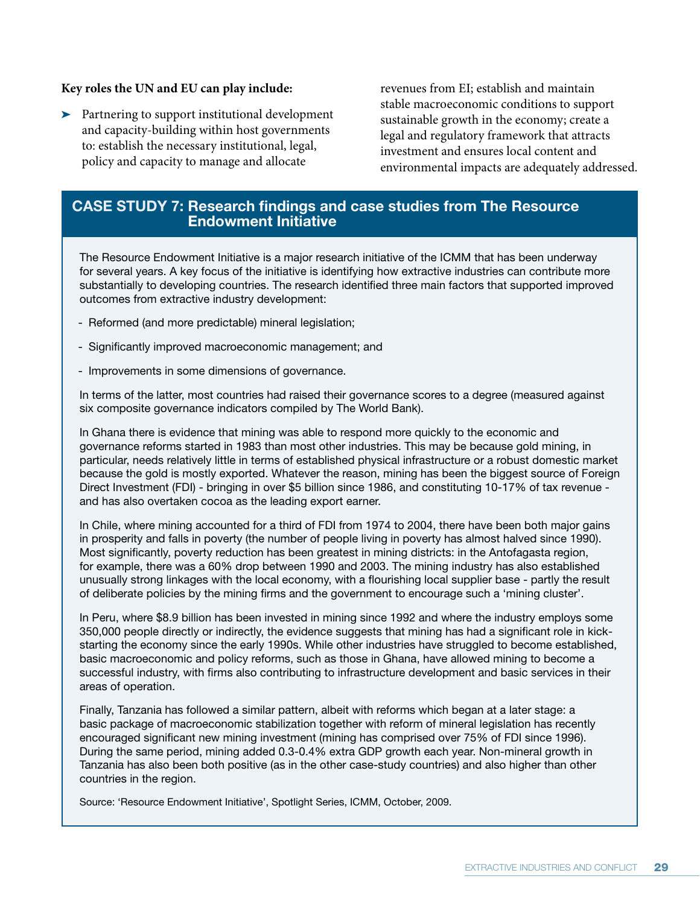### **Key roles the UN and EU can play include:**

> Partnering to support institutional development and capacity-building within host governments to: establish the necessary institutional, legal, policy and capacity to manage and allocate

revenues from EI; establish and maintain stable macroeconomic conditions to support sustainable growth in the economy; create a legal and regulatory framework that attracts investment and ensures local content and environmental impacts are adequately addressed.

# **CASE STUDY 7: Research findings and case studies from The Resource Endowment Initiative**

The Resource Endowment Initiative is a major research initiative of the ICMM that has been underway for several years. A key focus of the initiative is identifying how extractive industries can contribute more substantially to developing countries. The research identified three main factors that supported improved outcomes from extractive industry development:

- Reformed (and more predictable) mineral legislation;
- Significantly improved macroeconomic management; and
- Improvements in some dimensions of governance.

In terms of the latter, most countries had raised their governance scores to a degree (measured against six composite governance indicators compiled by The World Bank).

In Ghana there is evidence that mining was able to respond more quickly to the economic and governance reforms started in 1983 than most other industries. This may be because gold mining, in particular, needs relatively little in terms of established physical infrastructure or a robust domestic market because the gold is mostly exported. Whatever the reason, mining has been the biggest source of Foreign Direct Investment (FDI) - bringing in over \$5 billion since 1986, and constituting 10-17% of tax revenue and has also overtaken cocoa as the leading export earner.

In Chile, where mining accounted for a third of FDI from 1974 to 2004, there have been both major gains in prosperity and falls in poverty (the number of people living in poverty has almost halved since 1990). Most significantly, poverty reduction has been greatest in mining districts: in the Antofagasta region, for example, there was a 60% drop between 1990 and 2003. The mining industry has also established unusually strong linkages with the local economy, with a flourishing local supplier base - partly the result of deliberate policies by the mining firms and the government to encourage such a 'mining cluster'.

In Peru, where \$8.9 billion has been invested in mining since 1992 and where the industry employs some 350,000 people directly or indirectly, the evidence suggests that mining has had a significant role in kickstarting the economy since the early 1990s. While other industries have struggled to become established, basic macroeconomic and policy reforms, such as those in Ghana, have allowed mining to become a successful industry, with firms also contributing to infrastructure development and basic services in their areas of operation.

Finally, Tanzania has followed a similar pattern, albeit with reforms which began at a later stage: a basic package of macroeconomic stabilization together with reform of mineral legislation has recently encouraged significant new mining investment (mining has comprised over 75% of FDI since 1996). During the same period, mining added 0.3-0.4% extra GDP growth each year. Non-mineral growth in Tanzania has also been both positive (as in the other case-study countries) and also higher than other countries in the region.

Source: 'Resource Endowment Initiative', Spotlight Series, ICMM, October, 2009.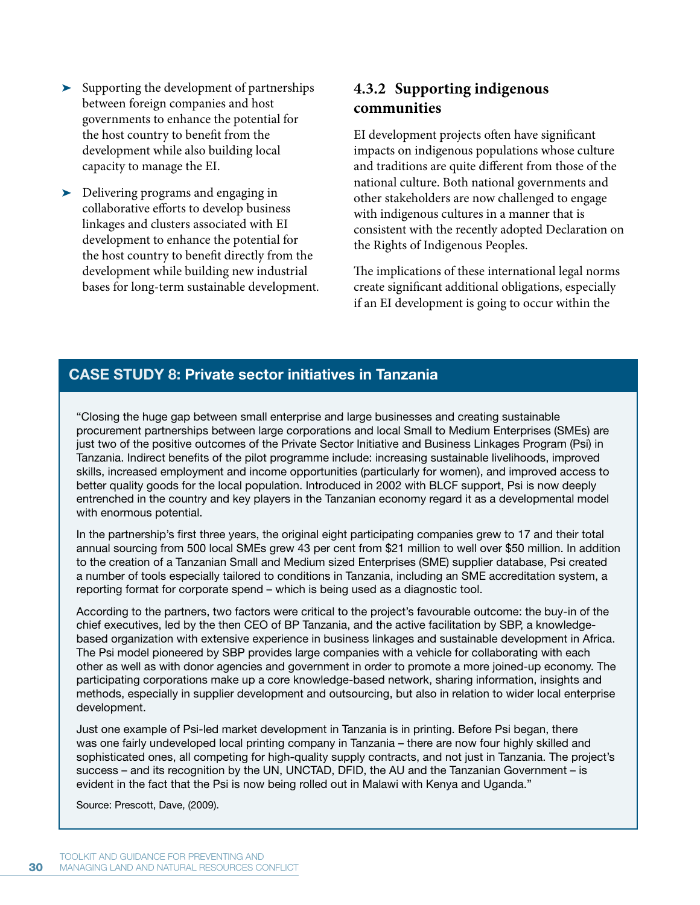- Supporting the development of partnerships between foreign companies and host governments to enhance the potential for the host country to benefit from the development while also building local capacity to manage the EI.
- Delivering programs and engaging in collaborative efforts to develop business linkages and clusters associated with EI development to enhance the potential for the host country to benefit directly from the development while building new industrial bases for long-term sustainable development.

# **4.3.2 Supporting indigenous communities**

EI development projects often have significant impacts on indigenous populations whose culture and traditions are quite different from those of the national culture. Both national governments and other stakeholders are now challenged to engage with indigenous cultures in a manner that is consistent with the recently adopted Declaration on the Rights of Indigenous Peoples.

The implications of these international legal norms create significant additional obligations, especially if an EI development is going to occur within the

# **CASE STUDY 8: Private sector initiatives in Tanzania**

"Closing the huge gap between small enterprise and large businesses and creating sustainable procurement partnerships between large corporations and local Small to Medium Enterprises (SMEs) are just two of the positive outcomes of the Private Sector Initiative and Business Linkages Program (Psi) in Tanzania. Indirect benefits of the pilot programme include: increasing sustainable livelihoods, improved skills, increased employment and income opportunities (particularly for women), and improved access to better quality goods for the local population. Introduced in 2002 with BLCF support, Psi is now deeply entrenched in the country and key players in the Tanzanian economy regard it as a developmental model with enormous potential.

In the partnership's first three years, the original eight participating companies grew to 17 and their total annual sourcing from 500 local SMEs grew 43 per cent from \$21 million to well over \$50 million. In addition to the creation of a Tanzanian Small and Medium sized Enterprises (SME) supplier database, Psi created a number of tools especially tailored to conditions in Tanzania, including an SME accreditation system, a reporting format for corporate spend – which is being used as a diagnostic tool.

According to the partners, two factors were critical to the project's favourable outcome: the buy-in of the chief executives, led by the then CEO of BP Tanzania, and the active facilitation by SBP, a knowledgebased organization with extensive experience in business linkages and sustainable development in Africa. The Psi model pioneered by SBP provides large companies with a vehicle for collaborating with each other as well as with donor agencies and government in order to promote a more joined-up economy. The participating corporations make up a core knowledge-based network, sharing information, insights and methods, especially in supplier development and outsourcing, but also in relation to wider local enterprise development.

Just one example of Psi-led market development in Tanzania is in printing. Before Psi began, there was one fairly undeveloped local printing company in Tanzania – there are now four highly skilled and sophisticated ones, all competing for high-quality supply contracts, and not just in Tanzania. The project's success – and its recognition by the UN, UNCTAD, DFID, the AU and the Tanzanian Government – is evident in the fact that the Psi is now being rolled out in Malawi with Kenya and Uganda."

Source: Prescott, Dave, (2009).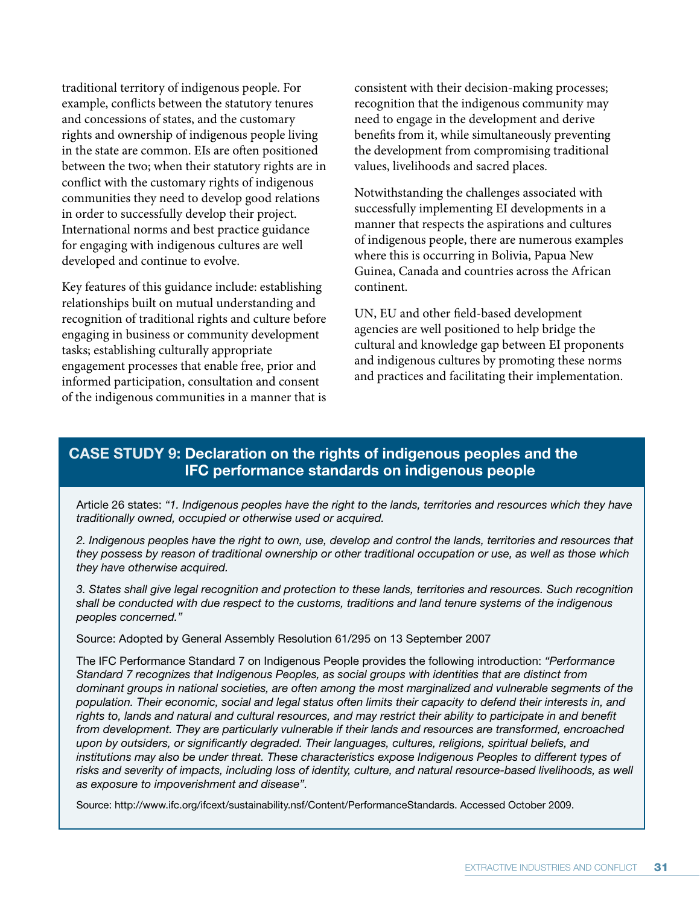traditional territory of indigenous people. For example, conflicts between the statutory tenures and concessions of states, and the customary rights and ownership of indigenous people living in the state are common. EIs are often positioned between the two; when their statutory rights are in conflict with the customary rights of indigenous communities they need to develop good relations in order to successfully develop their project. International norms and best practice guidance for engaging with indigenous cultures are well developed and continue to evolve.

Key features of this guidance include: establishing relationships built on mutual understanding and recognition of traditional rights and culture before engaging in business or community development tasks; establishing culturally appropriate engagement processes that enable free, prior and informed participation, consultation and consent of the indigenous communities in a manner that is consistent with their decision-making processes; recognition that the indigenous community may need to engage in the development and derive benefits from it, while simultaneously preventing the development from compromising traditional values, livelihoods and sacred places.

Notwithstanding the challenges associated with successfully implementing EI developments in a manner that respects the aspirations and cultures of indigenous people, there are numerous examples where this is occurring in Bolivia, Papua New Guinea, Canada and countries across the African continent.

UN, EU and other field-based development agencies are well positioned to help bridge the cultural and knowledge gap between EI proponents and indigenous cultures by promoting these norms and practices and facilitating their implementation.

# **CASE STUDY 9: Declaration on the rights of indigenous peoples and the IFC performance standards on indigenous people**

Article 26 states: "1. Indigenous peoples have the right to the lands, territories and resources which they have traditionally owned, occupied or otherwise used or acquired.

2. Indigenous peoples have the right to own, use, develop and control the lands, territories and resources that they possess by reason of traditional ownership or other traditional occupation or use, as well as those which they have otherwise acquired.

3. States shall give legal recognition and protection to these lands, territories and resources. Such recognition shall be conducted with due respect to the customs, traditions and land tenure systems of the indigenous peoples concerned."

Source: Adopted by General Assembly Resolution 61/295 on 13 September 2007

The IFC Performance Standard 7 on Indigenous People provides the following introduction: "Performance Standard 7 recognizes that Indigenous Peoples, as social groups with identities that are distinct from dominant groups in national societies, are often among the most marginalized and vulnerable segments of the population. Their economic, social and legal status often limits their capacity to defend their interests in, and rights to, lands and natural and cultural resources, and may restrict their ability to participate in and benefit from development. They are particularly vulnerable if their lands and resources are transformed, encroached upon by outsiders, or significantly degraded. Their languages, cultures, religions, spiritual beliefs, and institutions may also be under threat. These characteristics expose Indigenous Peoples to different types of risks and severity of impacts, including loss of identity, culture, and natural resource-based livelihoods, as well as exposure to impoverishment and disease".

Source: http://www.ifc.org/ifcext/sustainability.nsf/Content/PerformanceStandards. Accessed October 2009.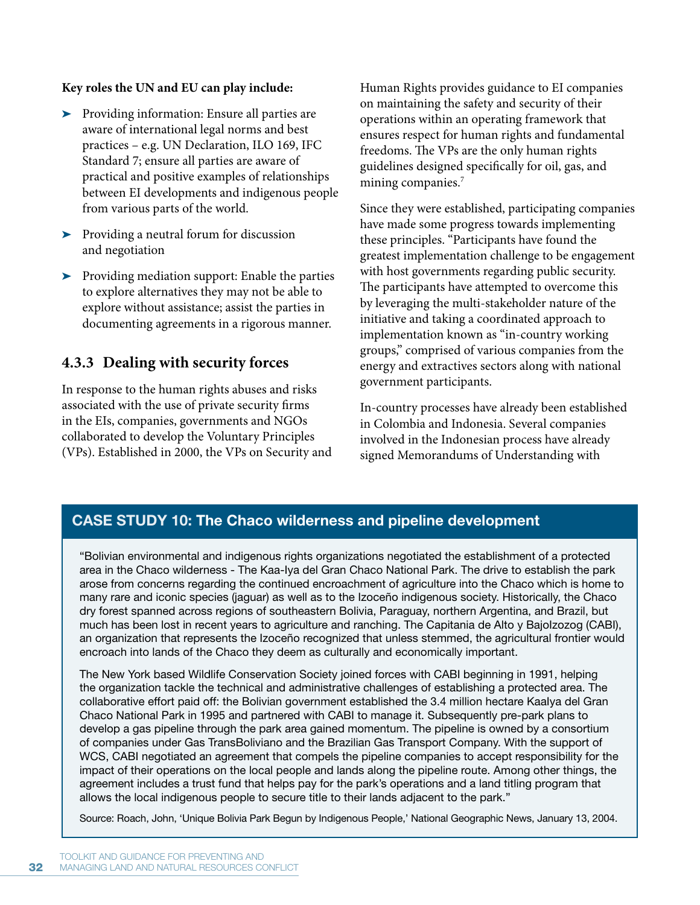### **Key roles the UN and EU can play include:**

- Providing information: Ensure all parties are aware of international legal norms and best practices – e.g. UN Declaration, ILO 169, IFC Standard 7; ensure all parties are aware of practical and positive examples of relationships between EI developments and indigenous people from various parts of the world.
- > Providing a neutral forum for discussion and negotiation
- > Providing mediation support: Enable the parties to explore alternatives they may not be able to explore without assistance; assist the parties in documenting agreements in a rigorous manner.

# **4.3.3 Dealing with security forces**

In response to the human rights abuses and risks associated with the use of private security firms in the EIs, companies, governments and NGOs collaborated to develop the Voluntary Principles (VPs). Established in 2000, the VPs on Security and Human Rights provides guidance to EI companies on maintaining the safety and security of their operations within an operating framework that ensures respect for human rights and fundamental freedoms. The VPs are the only human rights guidelines designed specifically for oil, gas, and mining companies.<sup>7</sup>

Since they were established, participating companies have made some progress towards implementing these principles. "Participants have found the greatest implementation challenge to be engagement with host governments regarding public security. The participants have attempted to overcome this by leveraging the multi-stakeholder nature of the initiative and taking a coordinated approach to implementation known as "in-country working groups," comprised of various companies from the energy and extractives sectors along with national government participants.

In-country processes have already been established in Colombia and Indonesia. Several companies involved in the Indonesian process have already signed Memorandums of Understanding with

# **CASE STUDY 10: The Chaco wilderness and pipeline development**

"Bolivian environmental and indigenous rights organizations negotiated the establishment of a protected area in the Chaco wilderness - The Kaa-Iya del Gran Chaco National Park. The drive to establish the park arose from concerns regarding the continued encroachment of agriculture into the Chaco which is home to many rare and iconic species (jaguar) as well as to the Izoceño indigenous society. Historically, the Chaco dry forest spanned across regions of southeastern Bolivia, Paraguay, northern Argentina, and Brazil, but much has been lost in recent years to agriculture and ranching. The Capitania de Alto y BajoIzozog (CABI), an organization that represents the Izoceño recognized that unless stemmed, the agricultural frontier would encroach into lands of the Chaco they deem as culturally and economically important.

The New York based Wildlife Conservation Society joined forces with CABI beginning in 1991, helping the organization tackle the technical and administrative challenges of establishing a protected area. The collaborative effort paid off: the Bolivian government established the 3.4 million hectare KaaIya del Gran Chaco National Park in 1995 and partnered with CABI to manage it. Subsequently pre-park plans to develop a gas pipeline through the park area gained momentum. The pipeline is owned by a consortium of companies under Gas TransBoliviano and the Brazilian Gas Transport Company. With the support of WCS, CABI negotiated an agreement that compels the pipeline companies to accept responsibility for the impact of their operations on the local people and lands along the pipeline route. Among other things, the agreement includes a trust fund that helps pay for the park's operations and a land titling program that allows the local indigenous people to secure title to their lands adjacent to the park."

Source: Roach, John, 'Unique Bolivia Park Begun by Indigenous People,' National Geographic News, January 13, 2004.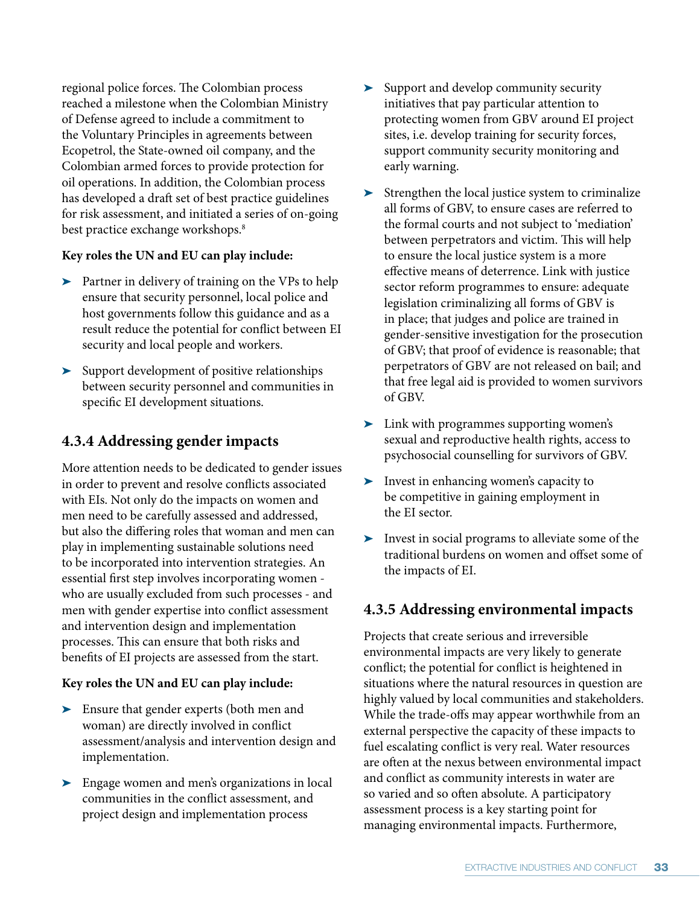regional police forces. The Colombian process reached a milestone when the Colombian Ministry of Defense agreed to include a commitment to the Voluntary Principles in agreements between Ecopetrol, the State-owned oil company, and the Colombian armed forces to provide protection for oil operations. In addition, the Colombian process has developed a draft set of best practice guidelines for risk assessment, and initiated a series of on-going best practice exchange workshops.<sup>8</sup>

# **Key roles the UN and EU can play include:**

- > Partner in delivery of training on the VPs to help ensure that security personnel, local police and host governments follow this guidance and as a result reduce the potential for conflict between EI security and local people and workers.
- Support development of positive relationships between security personnel and communities in specific EI development situations.

# **4.3.4 Addressing gender impacts**

More attention needs to be dedicated to gender issues in order to prevent and resolve conflicts associated with EIs. Not only do the impacts on women and men need to be carefully assessed and addressed, but also the differing roles that woman and men can play in implementing sustainable solutions need to be incorporated into intervention strategies. An essential first step involves incorporating women who are usually excluded from such processes - and men with gender expertise into conflict assessment and intervention design and implementation processes. This can ensure that both risks and benefits of EI projects are assessed from the start.

# **Key roles the UN and EU can play include:**

- $\blacktriangleright$  Ensure that gender experts (both men and woman) are directly involved in conflict assessment/analysis and intervention design and implementation.
- Engage women and men's organizations in local communities in the conflict assessment, and project design and implementation process
- Support and develop community security initiatives that pay particular attention to protecting women from GBV around EI project sites, i.e. develop training for security forces, support community security monitoring and early warning.
- > Strengthen the local justice system to criminalize all forms of GBV, to ensure cases are referred to the formal courts and not subject to 'mediation' between perpetrators and victim. This will help to ensure the local justice system is a more effective means of deterrence. Link with justice sector reform programmes to ensure: adequate legislation criminalizing all forms of GBV is in place; that judges and police are trained in gender-sensitive investigation for the prosecution of GBV; that proof of evidence is reasonable; that perpetrators of GBV are not released on bail; and that free legal aid is provided to women survivors of GBV.
- > Link with programmes supporting women's sexual and reproductive health rights, access to psychosocial counselling for survivors of GBV.
- Invest in enhancing women's capacity to be competitive in gaining employment in the EI sector.
- Invest in social programs to alleviate some of the traditional burdens on women and offset some of the impacts of EI.

# **4.3.5 Addressing environmental impacts**

Projects that create serious and irreversible environmental impacts are very likely to generate conflict; the potential for conflict is heightened in situations where the natural resources in question are highly valued by local communities and stakeholders. While the trade-offs may appear worthwhile from an external perspective the capacity of these impacts to fuel escalating conflict is very real. Water resources are often at the nexus between environmental impact and conflict as community interests in water are so varied and so often absolute. A participatory assessment process is a key starting point for managing environmental impacts. Furthermore,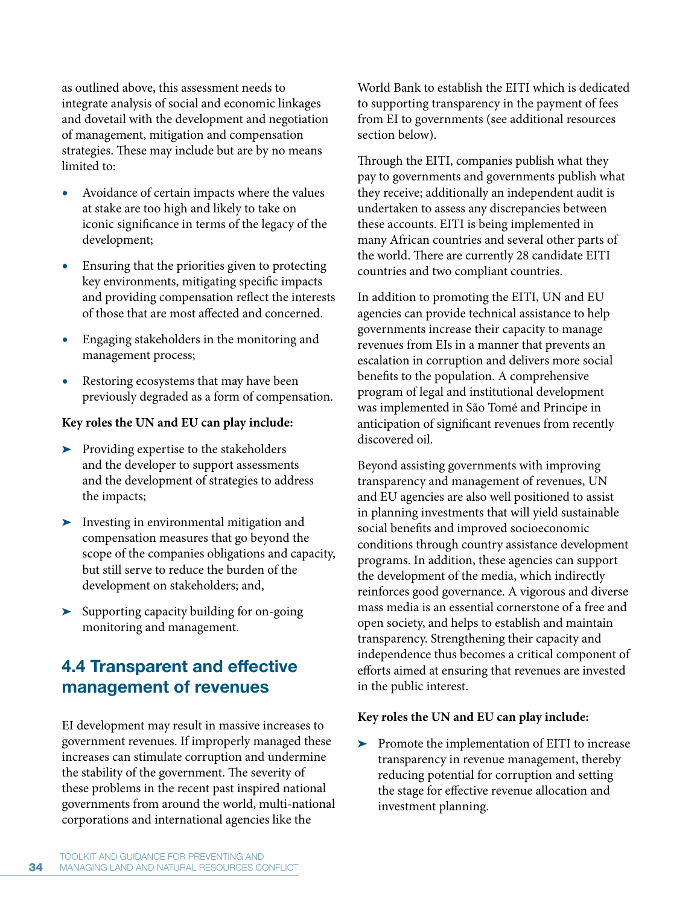as outlined above, this assessment needs to integrate analysis of social and economic linkages and dovetail with the development and negotiation of management, mitigation and compensation strategies. These may include but are by no means limited to:

- **r** Avoidance of certain impacts where the values at stake are too high and likely to take on iconic significance in terms of the legacy of the development;
- **•** Ensuring that the priorities given to protecting key environments, mitigating specific impacts and providing compensation reflect the interests of those that are most affected and concerned.
- **r** Engaging stakeholders in the monitoring and management process;
- **r** Restoring ecosystems that may have been previously degraded as a form of compensation.

# **Key roles the UN and EU can play include:**

- **EX Providing expertise to the stakeholders** and the developer to support assessments and the development of strategies to address the impacts;
- Investing in environmental mitigation and compensation measures that go beyond the scope of the companies obligations and capacity, but still serve to reduce the burden of the development on stakeholders; and,
- > Supporting capacity building for on-going monitoring and management.

# **4.4 Transparent and effective management of revenues**

EI development may result in massive increases to government revenues. If improperly managed these increases can stimulate corruption and undermine the stability of the government. The severity of these problems in the recent past inspired national governments from around the world, multi-national corporations and international agencies like the

World Bank to establish the EITI which is dedicated to supporting transparency in the payment of fees from EI to governments (see additional resources section below).

Through the EITI, companies publish what they pay to governments and governments publish what they receive; additionally an independent audit is undertaken to assess any discrepancies between these accounts. EITI is being implemented in many African countries and several other parts of the world. There are currently 28 candidate EITI countries and two compliant countries.

In addition to promoting the EITI, UN and EU agencies can provide technical assistance to help governments increase their capacity to manage revenues from EIs in a manner that prevents an escalation in corruption and delivers more social benefits to the population. A comprehensive program of legal and institutional development was implemented in São Tomé and Principe in anticipation of significant revenues from recently discovered oil.

Beyond assisting governments with improving transparency and management of revenues, UN and EU agencies are also well positioned to assist in planning investments that will yield sustainable social benefits and improved socioeconomic conditions through country assistance development programs. In addition, these agencies can support the development of the media, which indirectly reinforces good governance. A vigorous and diverse mass media is an essential cornerstone of a free and open society, and helps to establish and maintain transparency. Strengthening their capacity and independence thus becomes a critical component of efforts aimed at ensuring that revenues are invested in the public interest.

### **Key roles the UN and EU can play include:**

 $\blacktriangleright$  Promote the implementation of EITI to increase transparency in revenue management, thereby reducing potential for corruption and setting the stage for effective revenue allocation and investment planning.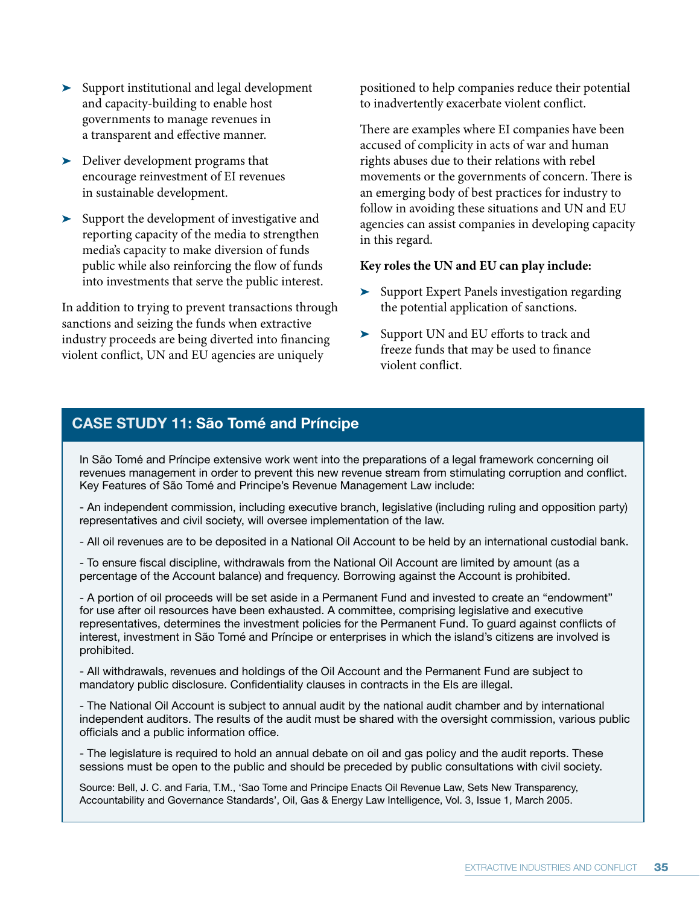- Support institutional and legal development and capacity-building to enable host governments to manage revenues in a transparent and effective manner.
- > Deliver development programs that encourage reinvestment of EI revenues in sustainable development.
- > Support the development of investigative and reporting capacity of the media to strengthen media's capacity to make diversion of funds public while also reinforcing the flow of funds into investments that serve the public interest.

In addition to trying to prevent transactions through sanctions and seizing the funds when extractive industry proceeds are being diverted into financing violent conflict, UN and EU agencies are uniquely

positioned to help companies reduce their potential to inadvertently exacerbate violent conflict.

There are examples where EI companies have been accused of complicity in acts of war and human rights abuses due to their relations with rebel movements or the governments of concern. There is an emerging body of best practices for industry to follow in avoiding these situations and UN and EU agencies can assist companies in developing capacity in this regard.

### **Key roles the UN and EU can play include:**

- Support Expert Panels investigation regarding the potential application of sanctions.
- Support UN and EU efforts to track and freeze funds that may be used to finance violent conflict.

# **CASE STUDY 11: São Tomé and Príncipe**

In São Tomé and Príncipe extensive work went into the preparations of a legal framework concerning oil revenues management in order to prevent this new revenue stream from stimulating corruption and conflict. Key Features of São Tomé and Principe's Revenue Management Law include:

- An independent commission, including executive branch, legislative (including ruling and opposition party) representatives and civil society, will oversee implementation of the law.

- All oil revenues are to be deposited in a National Oil Account to be held by an international custodial bank.

- To ensure fiscal discipline, withdrawals from the National Oil Account are limited by amount (as a percentage of the Account balance) and frequency. Borrowing against the Account is prohibited.

- A portion of oil proceeds will be set aside in a Permanent Fund and invested to create an "endowment" for use after oil resources have been exhausted. A committee, comprising legislative and executive representatives, determines the investment policies for the Permanent Fund. To guard against conflicts of interest, investment in São Tomé and Príncipe or enterprises in which the island's citizens are involved is prohibited.

- All withdrawals, revenues and holdings of the Oil Account and the Permanent Fund are subject to mandatory public disclosure. Confidentiality clauses in contracts in the EIs are illegal.

- The National Oil Account is subject to annual audit by the national audit chamber and by international independent auditors. The results of the audit must be shared with the oversight commission, various public officials and a public information office.

- The legislature is required to hold an annual debate on oil and gas policy and the audit reports. These sessions must be open to the public and should be preceded by public consultations with civil society.

Source: Bell, J. C. and Faria, T.M., 'Sao Tome and Principe Enacts Oil Revenue Law, Sets New Transparency, Accountability and Governance Standards', Oil, Gas & Energy Law Intelligence, Vol. 3, Issue 1, March 2005.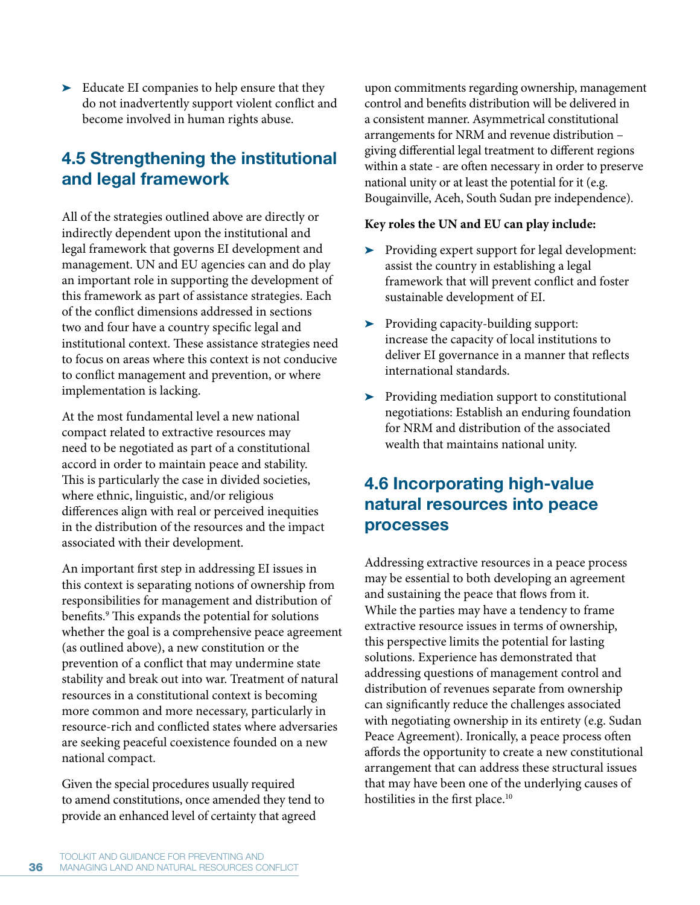> Educate EI companies to help ensure that they do not inadvertently support violent conflict and become involved in human rights abuse.

# **4.5 Strengthening the institutional and legal framework**

All of the strategies outlined above are directly or indirectly dependent upon the institutional and legal framework that governs EI development and management. UN and EU agencies can and do play an important role in supporting the development of this framework as part of assistance strategies. Each of the conflict dimensions addressed in sections two and four have a country specific legal and institutional context. These assistance strategies need to focus on areas where this context is not conducive to conflict management and prevention, or where implementation is lacking.

At the most fundamental level a new national compact related to extractive resources may need to be negotiated as part of a constitutional accord in order to maintain peace and stability. This is particularly the case in divided societies, where ethnic, linguistic, and/or religious differences align with real or perceived inequities in the distribution of the resources and the impact associated with their development.

An important first step in addressing EI issues in this context is separating notions of ownership from responsibilities for management and distribution of benefits.<sup>9</sup> This expands the potential for solutions whether the goal is a comprehensive peace agreement (as outlined above), a new constitution or the prevention of a conflict that may undermine state stability and break out into war. Treatment of natural resources in a constitutional context is becoming more common and more necessary, particularly in resource-rich and conflicted states where adversaries are seeking peaceful coexistence founded on a new national compact.

Given the special procedures usually required to amend constitutions, once amended they tend to provide an enhanced level of certainty that agreed

upon commitments regarding ownership, management control and benefits distribution will be delivered in a consistent manner. Asymmetrical constitutional arrangements for NRM and revenue distribution – giving differential legal treatment to different regions within a state - are often necessary in order to preserve national unity or at least the potential for it (e.g. Bougainville, Aceh, South Sudan pre independence).

# **Key roles the UN and EU can play include:**

- Providing expert support for legal development: assist the country in establishing a legal framework that will prevent conflict and foster sustainable development of EI.
- Providing capacity-building support: increase the capacity of local institutions to deliver EI governance in a manner that reflects international standards.
- > Providing mediation support to constitutional negotiations: Establish an enduring foundation for NRM and distribution of the associated wealth that maintains national unity.

# **4.6 Incorporating high-value natural resources into peace processes**

Addressing extractive resources in a peace process may be essential to both developing an agreement and sustaining the peace that flows from it. While the parties may have a tendency to frame extractive resource issues in terms of ownership, this perspective limits the potential for lasting solutions. Experience has demonstrated that addressing questions of management control and distribution of revenues separate from ownership can significantly reduce the challenges associated with negotiating ownership in its entirety (e.g. Sudan Peace Agreement). Ironically, a peace process often affords the opportunity to create a new constitutional arrangement that can address these structural issues that may have been one of the underlying causes of hostilities in the first place.<sup>10</sup>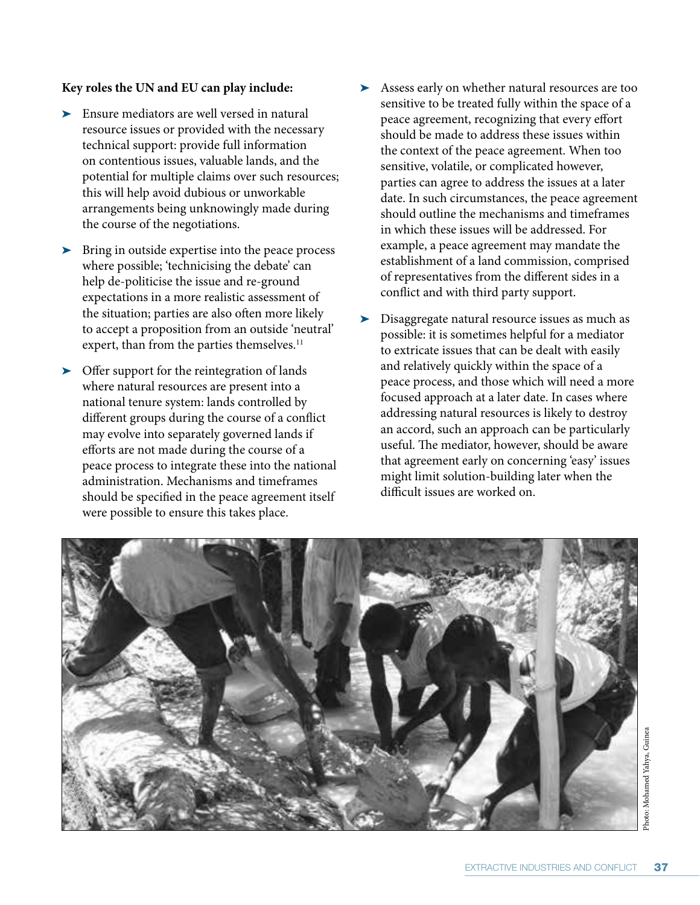### **Key roles the UN and EU can play include:**

- Ensure mediators are well versed in natural resource issues or provided with the necessary technical support: provide full information on contentious issues, valuable lands, and the potential for multiple claims over such resources; this will help avoid dubious or unworkable arrangements being unknowingly made during the course of the negotiations.
- > Bring in outside expertise into the peace process where possible; 'technicising the debate' can help de-politicise the issue and re-ground expectations in a more realistic assessment of the situation; parties are also often more likely to accept a proposition from an outside 'neutral' expert, than from the parties themselves.<sup>11</sup>
- Offer support for the reintegration of lands where natural resources are present into a national tenure system: lands controlled by different groups during the course of a conflict may evolve into separately governed lands if efforts are not made during the course of a peace process to integrate these into the national administration. Mechanisms and timeframes should be specified in the peace agreement itself were possible to ensure this takes place.
- Assess early on whether natural resources are too sensitive to be treated fully within the space of a peace agreement, recognizing that every effort should be made to address these issues within the context of the peace agreement. When too sensitive, volatile, or complicated however, parties can agree to address the issues at a later date. In such circumstances, the peace agreement should outline the mechanisms and timeframes in which these issues will be addressed. For example, a peace agreement may mandate the establishment of a land commission, comprised of representatives from the different sides in a conflict and with third party support.
- Disaggregate natural resource issues as much as possible: it is sometimes helpful for a mediator to extricate issues that can be dealt with easily and relatively quickly within the space of a peace process, and those which will need a more focused approach at a later date. In cases where addressing natural resources is likely to destroy an accord, such an approach can be particularly useful. The mediator, however, should be aware that agreement early on concerning 'easy' issues might limit solution-building later when the difficult issues are worked on.

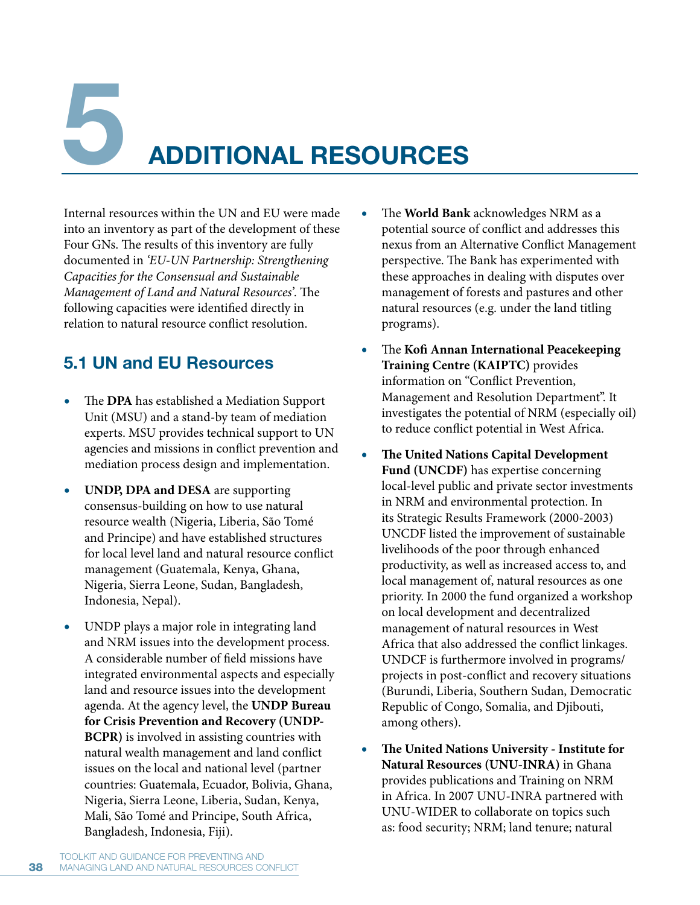**5 ADDITIONAL RESOURCES**

Internal resources within the UN and EU were made into an inventory as part of the development of these Four GNs. The results of this inventory are fully documented in *'EU-UN Partnership: Strengthening Capacities for the Consensual and Sustainable Management of Land and Natural Resources'.* The following capacities were identified directly in relation to natural resource conflict resolution.

# **5.1 UN and EU Resources**

- **r** The **DPA** has established a Mediation Support Unit (MSU) and a stand-by team of mediation experts. MSU provides technical support to UN agencies and missions in conflict prevention and mediation process design and implementation.
- **r UNDP, DPA and DESA** are supporting consensus-building on how to use natural resource wealth (Nigeria, Liberia, São Tomé and Principe) and have established structures for local level land and natural resource conflict management (Guatemala, Kenya, Ghana, Nigeria, Sierra Leone, Sudan, Bangladesh, Indonesia, Nepal).
- UNDP plays a major role in integrating land and NRM issues into the development process. A considerable number of field missions have integrated environmental aspects and especially land and resource issues into the development agenda. At the agency level, the **UNDP Bureau for Crisis Prevention and Recovery (UNDP-BCPR)** is involved in assisting countries with natural wealth management and land conflict issues on the local and national level (partner countries: Guatemala, Ecuador, Bolivia, Ghana, Nigeria, Sierra Leone, Liberia, Sudan, Kenya, Mali, São Tomé and Principe, South Africa, Bangladesh, Indonesia, Fiji).
- **r** The **World Bank** acknowledges NRM as a potential source of conflict and addresses this nexus from an Alternative Conflict Management perspective. The Bank has experimented with these approaches in dealing with disputes over management of forests and pastures and other natural resources (e.g. under the land titling programs).
- **r** The **Kofi Annan International Peacekeeping Training Centre (KAIPTC)** provides information on "Conflict Prevention, Management and Resolution Department". It investigates the potential of NRM (especially oil) to reduce conflict potential in West Africa.
- **r The United Nations Capital Development Fund (UNCDF)** has expertise concerning local-level public and private sector investments in NRM and environmental protection. In its Strategic Results Framework (2000-2003) UNCDF listed the improvement of sustainable livelihoods of the poor through enhanced productivity, as well as increased access to, and local management of, natural resources as one priority. In 2000 the fund organized a workshop on local development and decentralized management of natural resources in West Africa that also addressed the conflict linkages. UNDCF is furthermore involved in programs/ projects in post-conflict and recovery situations (Burundi, Liberia, Southern Sudan, Democratic Republic of Congo, Somalia, and Djibouti, among others).
- **r The United Nations University Institute for Natural Resources (UNU-INRA)** in Ghana provides publications and Training on NRM in Africa. In 2007 UNU-INRA partnered with UNU-WIDER to collaborate on topics such as: food security; NRM; land tenure; natural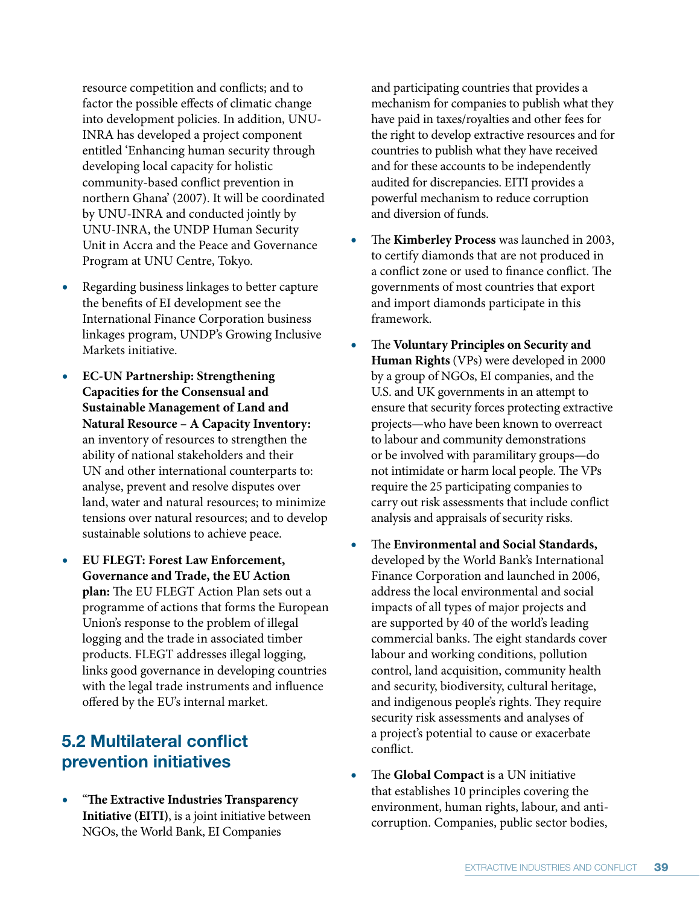resource competition and conflicts; and to factor the possible effects of climatic change into development policies. In addition, UNU-INRA has developed a project component entitled 'Enhancing human security through developing local capacity for holistic community-based conflict prevention in northern Ghana' (2007). It will be coordinated by UNU-INRA and conducted jointly by UNU-INRA, the UNDP Human Security Unit in Accra and the Peace and Governance Program at UNU Centre, Tokyo.

- **r** Regarding business linkages to better capture the benefits of EI development see the International Finance Corporation business linkages program, UNDP's Growing Inclusive Markets initiative.
- **r EC-UN Partnership: Strengthening Capacities for the Consensual and Sustainable Management of Land and Natural Resource – A Capacity Inventory:** an inventory of resources to strengthen the ability of national stakeholders and their UN and other international counterparts to: analyse, prevent and resolve disputes over land, water and natural resources; to minimize tensions over natural resources; and to develop sustainable solutions to achieve peace.
- **r EU FLEGT: Forest Law Enforcement, Governance and Trade, the EU Action plan:** The EU FLEGT Action Plan sets out a programme of actions that forms the European Union's response to the problem of illegal logging and the trade in associated timber products. FLEGT addresses illegal logging, links good governance in developing countries with the legal trade instruments and influence offered by the EU's internal market.

# **5.2 Multilateral conflict prevention initiatives**

**r** "**The Extractive Industries Transparency Initiative (EITI)**, is a joint initiative between NGOs, the World Bank, EI Companies

and participating countries that provides a mechanism for companies to publish what they have paid in taxes/royalties and other fees for the right to develop extractive resources and for countries to publish what they have received and for these accounts to be independently audited for discrepancies. EITI provides a powerful mechanism to reduce corruption and diversion of funds.

- **r** The **Kimberley Process** was launched in 2003, to certify diamonds that are not produced in a conflict zone or used to finance conflict. The governments of most countries that export and import diamonds participate in this framework.
- **r** The **Voluntary Principles on Security and Human Rights** (VPs) were developed in 2000 by a group of NGOs, EI companies, and the U.S. and UK governments in an attempt to ensure that security forces protecting extractive projects—who have been known to overreact to labour and community demonstrations or be involved with paramilitary groups—do not intimidate or harm local people. The VPs require the 25 participating companies to carry out risk assessments that include conflict analysis and appraisals of security risks.
- **r** The **Environmental and Social Standards,** developed by the World Bank's International Finance Corporation and launched in 2006, address the local environmental and social impacts of all types of major projects and are supported by 40 of the world's leading commercial banks. The eight standards cover labour and working conditions, pollution control, land acquisition, community health and security, biodiversity, cultural heritage, and indigenous people's rights. They require security risk assessments and analyses of a project's potential to cause or exacerbate conflict.
- **r** The **Global Compact** is a UN initiative that establishes 10 principles covering the environment, human rights, labour, and anticorruption. Companies, public sector bodies,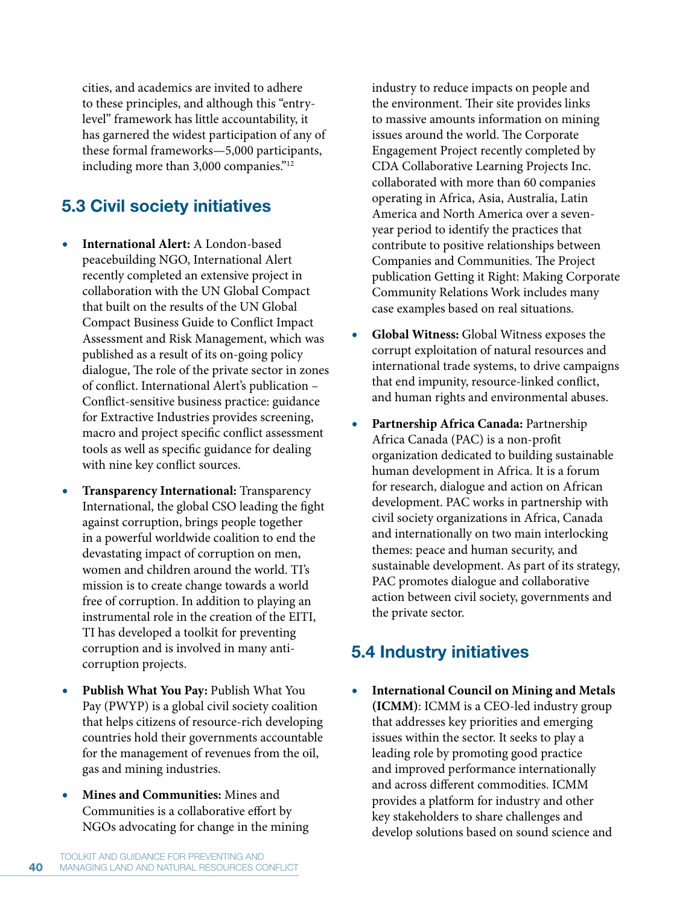cities, and academics are invited to adhere to these principles, and although this "entrylevel" framework has little accountability, it has garnered the widest participation of any of these formal frameworks—5,000 participants, including more than 3,000 companies."12

# **5.3 Civil society initiatives**

- **r International Alert:** A London-based peacebuilding NGO, International Alert recently completed an extensive project in collaboration with the UN Global Compact that built on the results of the UN Global Compact Business Guide to Conflict Impact Assessment and Risk Management, which was published as a result of its on-going policy dialogue, The role of the private sector in zones of conflict. International Alert's publication – Conflict-sensitive business practice: guidance for Extractive Industries provides screening, macro and project specific conflict assessment tools as well as specific guidance for dealing with nine key conflict sources.
- **r Transparency International:** Transparency International, the global CSO leading the fight against corruption, brings people together in a powerful worldwide coalition to end the devastating impact of corruption on men, women and children around the world. TI's mission is to create change towards a world free of corruption. In addition to playing an instrumental role in the creation of the EITI, TI has developed a toolkit for preventing corruption and is involved in many anticorruption projects.
- **r Publish What You Pay:** Publish What You Pay (PWYP) is a global civil society coalition that helps citizens of resource-rich developing countries hold their governments accountable for the management of revenues from the oil, gas and mining industries.
- **r Mines and Communities:** Mines and Communities is a collaborative effort by NGOs advocating for change in the mining

industry to reduce impacts on people and the environment. Their site provides links to massive amounts information on mining issues around the world. The Corporate Engagement Project recently completed by CDA Collaborative Learning Projects Inc. collaborated with more than 60 companies operating in Africa, Asia, Australia, Latin America and North America over a sevenyear period to identify the practices that contribute to positive relationships between Companies and Communities. The Project publication Getting it Right: Making Corporate Community Relations Work includes many case examples based on real situations.

- **r Global Witness:** Global Witness exposes the corrupt exploitation of natural resources and international trade systems, to drive campaigns that end impunity, resource-linked conflict, and human rights and environmental abuses.
- **r Partnership Africa Canada:** Partnership Africa Canada (PAC) is a non-profit organization dedicated to building sustainable human development in Africa. It is a forum for research, dialogue and action on African development. PAC works in partnership with civil society organizations in Africa, Canada and internationally on two main interlocking themes: peace and human security, and sustainable development. As part of its strategy, PAC promotes dialogue and collaborative action between civil society, governments and the private sector.

# **5.4 Industry initiatives**

**r International Council on Mining and Metals (ICMM)**: ICMM is a CEO-led industry group that addresses key priorities and emerging issues within the sector. It seeks to play a leading role by promoting good practice and improved performance internationally and across different commodities. ICMM provides a platform for industry and other key stakeholders to share challenges and develop solutions based on sound science and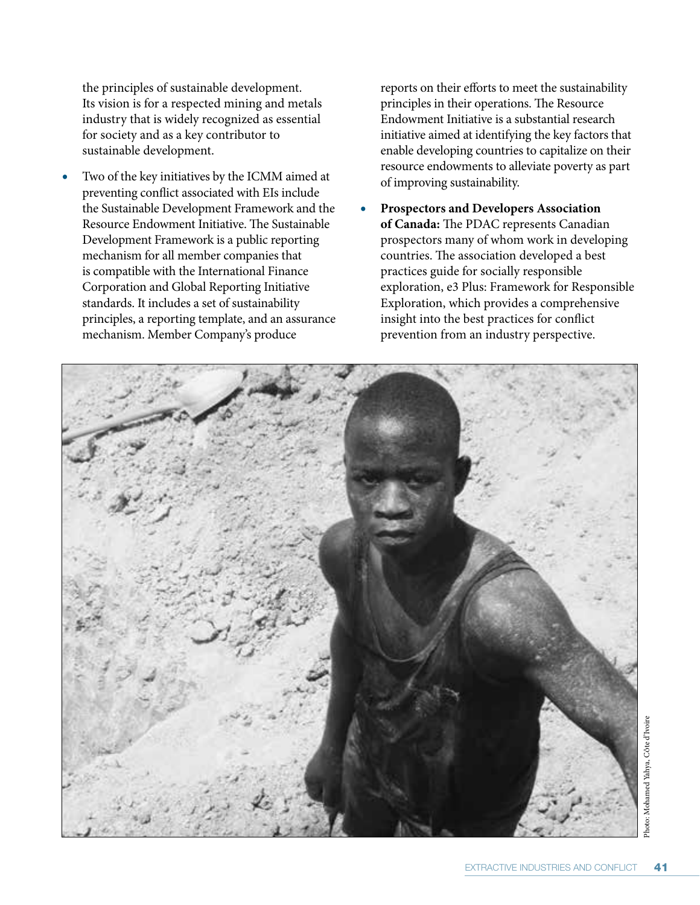the principles of sustainable development. Its vision is for a respected mining and metals industry that is widely recognized as essential for society and as a key contributor to sustainable development.

**r** Two of the key initiatives by the ICMM aimed at preventing conflict associated with EIs include the Sustainable Development Framework and the Resource Endowment Initiative. The Sustainable Development Framework is a public reporting mechanism for all member companies that is compatible with the International Finance Corporation and Global Reporting Initiative standards. It includes a set of sustainability principles, a reporting template, and an assurance mechanism. Member Company's produce

reports on their efforts to meet the sustainability principles in their operations. The Resource Endowment Initiative is a substantial research initiative aimed at identifying the key factors that enable developing countries to capitalize on their resource endowments to alleviate poverty as part of improving sustainability.

**r Prospectors and Developers Association of Canada:** The PDAC represents Canadian prospectors many of whom work in developing countries. The association developed a best practices guide for socially responsible exploration, e3 Plus: Framework for Responsible Exploration, which provides a comprehensive insight into the best practices for conflict prevention from an industry perspective.

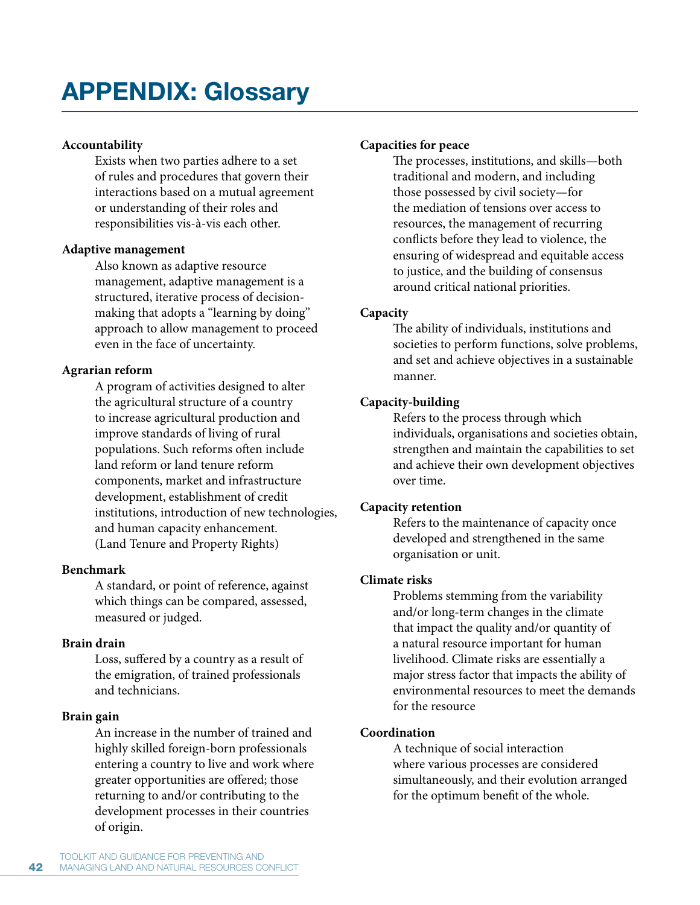# **APPENDIX: Glossary**

### **Accountability**

Exists when two parties adhere to a set of rules and procedures that govern their interactions based on a mutual agreement or understanding of their roles and responsibilities vis-à-vis each other.

### **Adaptive management**

Also known as adaptive resource management, adaptive management is a structured, iterative process of decisionmaking that adopts a "learning by doing" approach to allow management to proceed even in the face of uncertainty.

### **Agrarian reform**

A program of activities designed to alter the agricultural structure of a country to increase agricultural production and improve standards of living of rural populations. Such reforms often include land reform or land tenure reform components, market and infrastructure development, establishment of credit institutions, introduction of new technologies, and human capacity enhancement. (Land Tenure and Property Rights)

### **Benchmark**

A standard, or point of reference, against which things can be compared, assessed, measured or judged.

### **Brain drain**

Loss, suffered by a country as a result of the emigration, of trained professionals and technicians.

# **Brain gain**

An increase in the number of trained and highly skilled foreign-born professionals entering a country to live and work where greater opportunities are offered; those returning to and/or contributing to the development processes in their countries of origin.

### **Capacities for peace**

The processes, institutions, and skills—both traditional and modern, and including those possessed by civil society—for the mediation of tensions over access to resources, the management of recurring conflicts before they lead to violence, the ensuring of widespread and equitable access to justice, and the building of consensus around critical national priorities.

# **Capacity**

The ability of individuals, institutions and societies to perform functions, solve problems, and set and achieve objectives in a sustainable manner.

# **Capacity-building**

Refers to the process through which individuals, organisations and societies obtain, strengthen and maintain the capabilities to set and achieve their own development objectives over time.

### **Capacity retention**

Refers to the maintenance of capacity once developed and strengthened in the same organisation or unit.

### **Climate risks**

Problems stemming from the variability and/or long-term changes in the climate that impact the quality and/or quantity of a natural resource important for human livelihood. Climate risks are essentially a major stress factor that impacts the ability of environmental resources to meet the demands for the resource

### **Coordination**

A technique of social interaction where various processes are considered simultaneously, and their evolution arranged for the optimum benefit of the whole.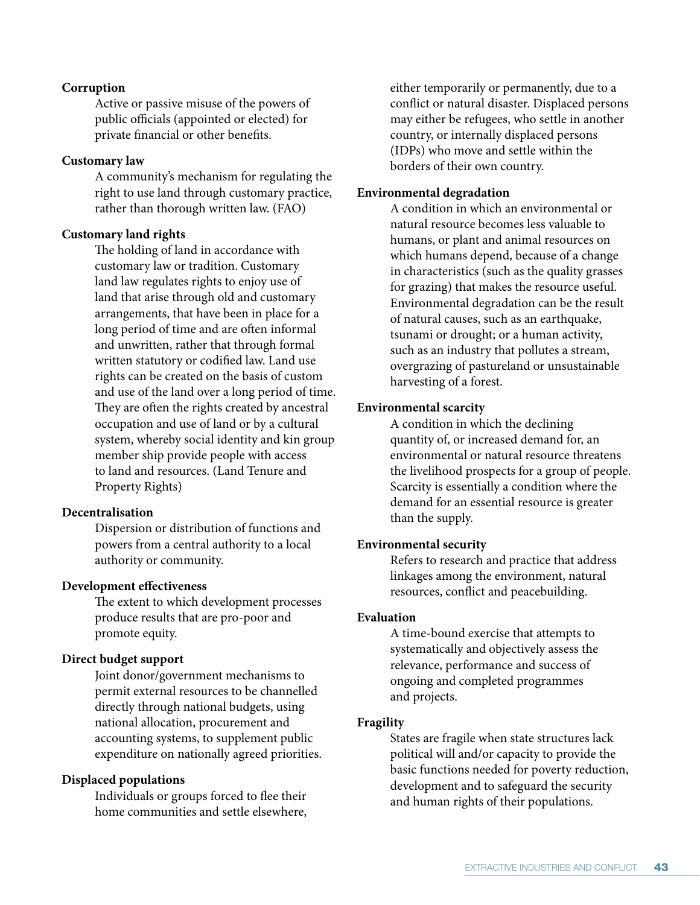### **Corruption**

Active or passive misuse of the powers of public officials (appointed or elected) for private financial or other benefits.

### **Customary law**

A community's mechanism for regulating the right to use land through customary practice, rather than thorough written law. (FAO)

### **Customary land rights**

The holding of land in accordance with customary law or tradition. Customary land law regulates rights to enjoy use of land that arise through old and customary arrangements, that have been in place for a long period of time and are often informal and unwritten, rather that through formal written statutory or codified law. Land use rights can be created on the basis of custom and use of the land over a long period of time. They are often the rights created by ancestral occupation and use of land or by a cultural system, whereby social identity and kin group member ship provide people with access to land and resources. (Land Tenure and Property Rights)

### **Decentralisation**

Dispersion or distribution of functions and powers from a central authority to a local authority or community.

### **Development effectiveness**

The extent to which development processes produce results that are pro-poor and promote equity.

### **Direct budget support**

Joint donor/government mechanisms to permit external resources to be channelled directly through national budgets, using national allocation, procurement and accounting systems, to supplement public expenditure on nationally agreed priorities.

### **Displaced populations**

Individuals or groups forced to flee their home communities and settle elsewhere,

either temporarily or permanently, due to a conflict or natural disaster. Displaced persons may either be refugees, who settle in another country, or internally displaced persons (IDPs) who move and settle within the borders of their own country.

### **Environmental degradation**

A condition in which an environmental or natural resource becomes less valuable to humans, or plant and animal resources on which humans depend, because of a change in characteristics (such as the quality grasses for grazing) that makes the resource useful. Environmental degradation can be the result of natural causes, such as an earthquake, tsunami or drought; or a human activity, such as an industry that pollutes a stream, overgrazing of pastureland or unsustainable harvesting of a forest.

### **Environmental scarcity**

A condition in which the declining quantity of, or increased demand for, an environmental or natural resource threatens the livelihood prospects for a group of people. Scarcity is essentially a condition where the demand for an essential resource is greater than the supply.

### **Environmental security**

Refers to research and practice that address linkages among the environment, natural resources, conflict and peacebuilding.

### **Evaluation**

A time-bound exercise that attempts to systematically and objectively assess the relevance, performance and success of ongoing and completed programmes and projects.

### **Fragility**

States are fragile when state structures lack political will and/or capacity to provide the basic functions needed for poverty reduction, development and to safeguard the security and human rights of their populations.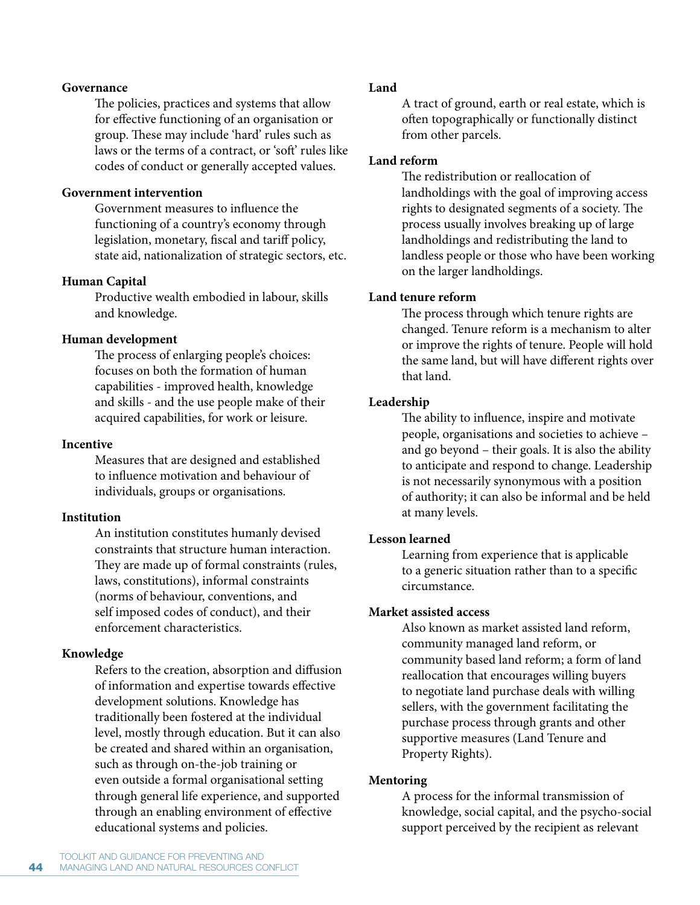### **Governance**

The policies, practices and systems that allow for effective functioning of an organisation or group. These may include 'hard' rules such as laws or the terms of a contract, or 'soft' rules like codes of conduct or generally accepted values.

### **Government intervention**

Government measures to influence the functioning of a country's economy through legislation, monetary, fiscal and tariff policy, state aid, nationalization of strategic sectors, etc.

# **Human Capital**

Productive wealth embodied in labour, skills and knowledge.

# **Human development**

The process of enlarging people's choices: focuses on both the formation of human capabilities - improved health, knowledge and skills - and the use people make of their acquired capabilities, for work or leisure.

# **Incentive**

Measures that are designed and established to influence motivation and behaviour of individuals, groups or organisations.

# **Institution**

An institution constitutes humanly devised constraints that structure human interaction. They are made up of formal constraints (rules, laws, constitutions), informal constraints (norms of behaviour, conventions, and self imposed codes of conduct), and their enforcement characteristics.

# **Knowledge**

Refers to the creation, absorption and diffusion of information and expertise towards effective development solutions. Knowledge has traditionally been fostered at the individual level, mostly through education. But it can also be created and shared within an organisation, such as through on-the-job training or even outside a formal organisational setting through general life experience, and supported through an enabling environment of effective educational systems and policies.

# **Land**

A tract of ground, earth or real estate, which is often topographically or functionally distinct from other parcels.

# **Land reform**

The redistribution or reallocation of landholdings with the goal of improving access rights to designated segments of a society. The process usually involves breaking up of large landholdings and redistributing the land to landless people or those who have been working on the larger landholdings.

# **Land tenure reform**

The process through which tenure rights are changed. Tenure reform is a mechanism to alter or improve the rights of tenure. People will hold the same land, but will have different rights over that land.

# **Leadership**

The ability to influence, inspire and motivate people, organisations and societies to achieve – and go beyond – their goals. It is also the ability to anticipate and respond to change. Leadership is not necessarily synonymous with a position of authority; it can also be informal and be held at many levels.

# **Lesson learned**

Learning from experience that is applicable to a generic situation rather than to a specific circumstance.

# **Market assisted access**

Also known as market assisted land reform, community managed land reform, or community based land reform; a form of land reallocation that encourages willing buyers to negotiate land purchase deals with willing sellers, with the government facilitating the purchase process through grants and other supportive measures (Land Tenure and Property Rights).

# **Mentoring**

A process for the informal transmission of knowledge, social capital, and the psycho-social support perceived by the recipient as relevant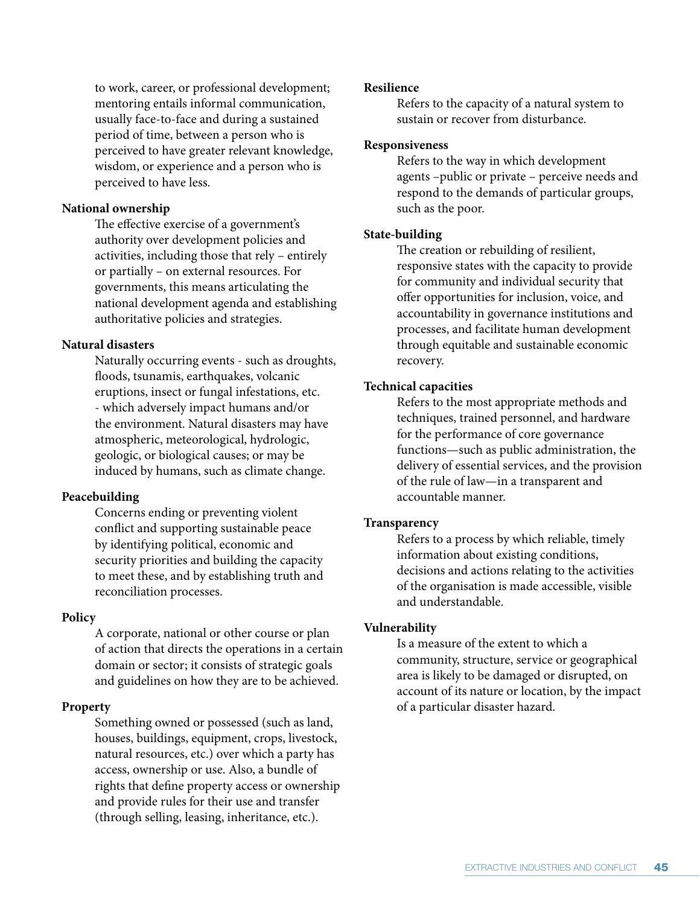to work, career, or professional development; mentoring entails informal communication, usually face-to-face and during a sustained period of time, between a person who is perceived to have greater relevant knowledge, wisdom, or experience and a person who is perceived to have less.

### **National ownership**

The effective exercise of a government's authority over development policies and activities, including those that rely – entirely or partially – on external resources. For governments, this means articulating the national development agenda and establishing authoritative policies and strategies.

### **Natural disasters**

Naturally occurring events - such as droughts, floods, tsunamis, earthquakes, volcanic eruptions, insect or fungal infestations, etc. - which adversely impact humans and/or the environment. Natural disasters may have atmospheric, meteorological, hydrologic, geologic, or biological causes; or may be induced by humans, such as climate change.

### **Peacebuilding**

Concerns ending or preventing violent conflict and supporting sustainable peace by identifying political, economic and security priorities and building the capacity to meet these, and by establishing truth and reconciliation processes.

### **Policy**

A corporate, national or other course or plan of action that directs the operations in a certain domain or sector; it consists of strategic goals and guidelines on how they are to be achieved.

### **Property**

Something owned or possessed (such as land, houses, buildings, equipment, crops, livestock, natural resources, etc.) over which a party has access, ownership or use. Also, a bundle of rights that define property access or ownership and provide rules for their use and transfer (through selling, leasing, inheritance, etc.).

### **Resilience**

Refers to the capacity of a natural system to sustain or recover from disturbance.

### **Responsiveness**

Refers to the way in which development agents –public or private – perceive needs and respond to the demands of particular groups, such as the poor.

### **State-building**

The creation or rebuilding of resilient, responsive states with the capacity to provide for community and individual security that offer opportunities for inclusion, voice, and accountability in governance institutions and processes, and facilitate human development through equitable and sustainable economic recovery.

### **Technical capacities**

Refers to the most appropriate methods and techniques, trained personnel, and hardware for the performance of core governance functions—such as public administration, the delivery of essential services, and the provision of the rule of law—in a transparent and accountable manner.

### **Transparency**

Refers to a process by which reliable, timely information about existing conditions, decisions and actions relating to the activities of the organisation is made accessible, visible and understandable.

### **Vulnerability**

Is a measure of the extent to which a community, structure, service or geographical area is likely to be damaged or disrupted, on account of its nature or location, by the impact of a particular disaster hazard.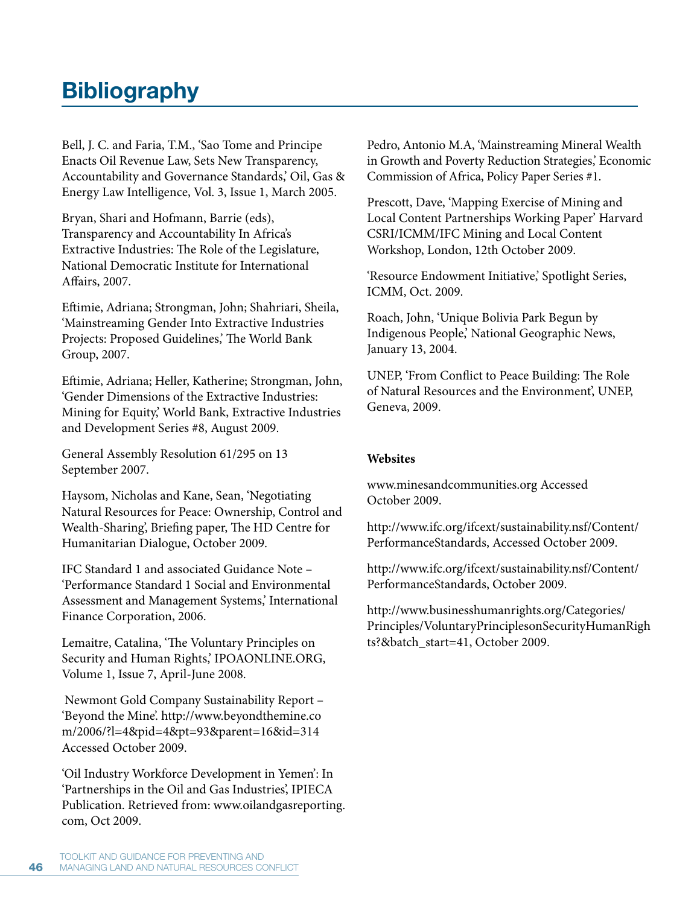# **Bibliography**

Bell, J. C. and Faria, T.M., 'Sao Tome and Principe Enacts Oil Revenue Law, Sets New Transparency, Accountability and Governance Standards,' Oil, Gas & Energy Law Intelligence, Vol. 3, Issue 1, March 2005.

Bryan, Shari and Hofmann, Barrie (eds), Transparency and Accountability In Africa's Extractive Industries: The Role of the Legislature, National Democratic Institute for International Affairs, 2007.

Eftimie, Adriana; Strongman, John; Shahriari, Sheila, 'Mainstreaming Gender Into Extractive Industries Projects: Proposed Guidelines,' The World Bank Group, 2007.

Eftimie, Adriana; Heller, Katherine; Strongman, John, 'Gender Dimensions of the Extractive Industries: Mining for Equity,' World Bank, Extractive Industries and Development Series #8, August 2009.

General Assembly Resolution 61/295 on 13 September 2007.

Haysom, Nicholas and Kane, Sean, 'Negotiating Natural Resources for Peace: Ownership, Control and Wealth-Sharing', Briefing paper, The HD Centre for Humanitarian Dialogue, October 2009.

IFC Standard 1 and associated Guidance Note – 'Performance Standard 1 Social and Environmental Assessment and Management Systems,' International Finance Corporation, 2006.

Lemaitre, Catalina, 'The Voluntary Principles on Security and Human Rights,' IPOAONLINE.ORG, Volume 1, Issue 7, April-June 2008.

Newmont Gold Company Sustainability Report – 'Beyond the Mine'. http://www.beyondthemine.co m/2006/?l=4&pid=4&pt=93&parent=16&id=314 Accessed October 2009.

'Oil Industry Workforce Development in Yemen': In 'Partnerships in the Oil and Gas Industries', IPIECA Publication. Retrieved from: www.oilandgasreporting. com, Oct 2009.

Pedro, Antonio M.A, 'Mainstreaming Mineral Wealth in Growth and Poverty Reduction Strategies,' Economic Commission of Africa, Policy Paper Series #1.

Prescott, Dave, 'Mapping Exercise of Mining and Local Content Partnerships Working Paper' Harvard CSRI/ICMM/IFC Mining and Local Content Workshop, London, 12th October 2009.

'Resource Endowment Initiative,' Spotlight Series, ICMM, Oct. 2009.

Roach, John, 'Unique Bolivia Park Begun by Indigenous People,' National Geographic News, January 13, 2004.

UNEP, 'From Conflict to Peace Building: The Role of Natural Resources and the Environment', UNEP, Geneva, 2009.

# **Websites**

www.minesandcommunities.org Accessed October 2009.

http://www.ifc.org/ifcext/sustainability.nsf/Content/ PerformanceStandards, Accessed October 2009.

http://www.ifc.org/ifcext/sustainability.nsf/Content/ PerformanceStandards, October 2009.

http://www.businesshumanrights.org/Categories/ Principles/VoluntaryPrinciplesonSecurityHumanRigh ts?&batch\_start=41, October 2009.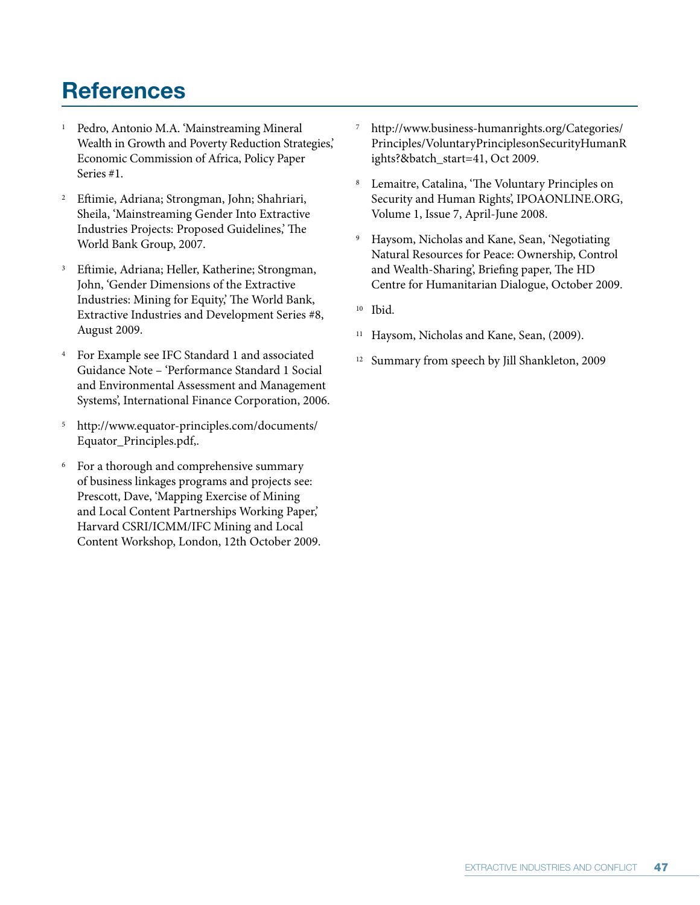# **References**

- 1 Pedro, Antonio M.A. 'Mainstreaming Mineral Wealth in Growth and Poverty Reduction Strategies,' Economic Commission of Africa, Policy Paper Series #1.
- <sup>2</sup> Eftimie, Adriana; Strongman, John; Shahriari, Sheila, 'Mainstreaming Gender Into Extractive Industries Projects: Proposed Guidelines,' The World Bank Group, 2007.
- 3 Eftimie, Adriana; Heller, Katherine; Strongman, John, 'Gender Dimensions of the Extractive Industries: Mining for Equity,' The World Bank, Extractive Industries and Development Series #8, August 2009.
- 4 For Example see IFC Standard 1 and associated Guidance Note – 'Performance Standard 1 Social and Environmental Assessment and Management Systems', International Finance Corporation, 2006.
- 5 http://www.equator-principles.com/documents/ Equator\_Principles.pdf,.
- 6 For a thorough and comprehensive summary of business linkages programs and projects see: Prescott, Dave, 'Mapping Exercise of Mining and Local Content Partnerships Working Paper,' Harvard CSRI/ICMM/IFC Mining and Local Content Workshop, London, 12th October 2009.
- 7 http://www.business-humanrights.org/Categories/ Principles/VoluntaryPrinciplesonSecurityHumanR ights?&batch\_start=41, Oct 2009.
- 8 Lemaitre, Catalina, 'The Voluntary Principles on Security and Human Rights', IPOAONLINE.ORG, Volume 1, Issue 7, April-June 2008.
- 9 Haysom, Nicholas and Kane, Sean, 'Negotiating Natural Resources for Peace: Ownership, Control and Wealth-Sharing', Briefing paper, The HD Centre for Humanitarian Dialogue, October 2009.
- <sup>10</sup> Ibid.
- <sup>11</sup> Haysom, Nicholas and Kane, Sean, (2009).
- <sup>12</sup> Summary from speech by Jill Shankleton, 2009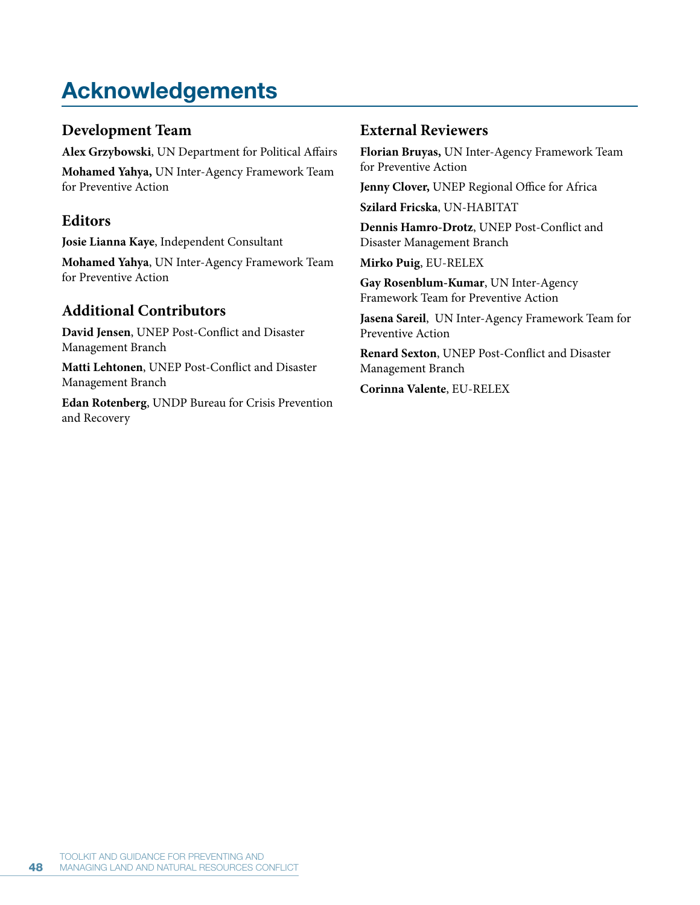# **Acknowledgements**

# **Development Team**

**Alex Grzybowski**, UN Department for Political Affairs **Mohamed Yahya,** UN Inter-Agency Framework Team for Preventive Action

# **Editors**

**Josie Lianna Kaye**, Independent Consultant

**Mohamed Yahya**, UN Inter-Agency Framework Team for Preventive Action

# **Additional Contributors**

**David Jensen**, UNEP Post-Conflict and Disaster Management Branch

**Matti Lehtonen**, UNEP Post-Conflict and Disaster Management Branch

**Edan Rotenberg**, UNDP Bureau for Crisis Prevention and Recovery

# **External Reviewers**

**Florian Bruyas,** UN Inter-Agency Framework Team for Preventive Action

**Jenny Clover,** UNEP Regional Office for Africa

**Szilard Fricska**, UN-HABITAT

**Dennis Hamro-Drotz**, UNEP Post-Conflict and Disaster Management Branch

**Mirko Puig**, EU-RELEX

**Gay Rosenblum-Kumar**, UN Inter-Agency Framework Team for Preventive Action

**Jasena Sareil**, UN Inter-Agency Framework Team for Preventive Action

**Renard Sexton**, UNEP Post-Conflict and Disaster Management Branch

**Corinna Valente**, EU-RELEX